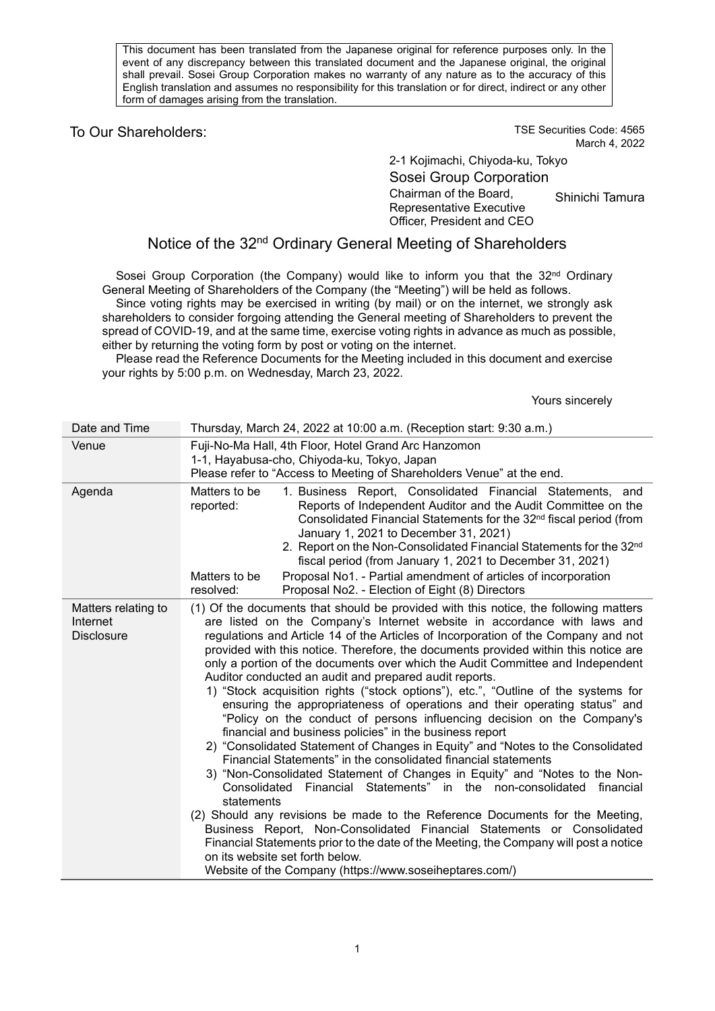This document has been translated from the Japanese original for reference purposes only. In the event of any discrepancy between this translated document and the Japanese original, the original shall prevail. Sosei Group Corporation makes no warranty of any nature as to the accuracy of this English translation and assumes no responsibility for this translation or for direct, indirect or any other form of damages arising from the translation.

# To Our Shareholders: TO Our Shareholders:

March 4, 2022

2-1 Kojimachi, Chiyoda-ku, Tokyo Sosei Group Corporation Chairman of the Board, Representative Executive Officer, President and CEO Shinichi Tamura

# Notice of the 32<sup>nd</sup> Ordinary General Meeting of Shareholders

Sosei Group Corporation (the Company) would like to inform you that the 32<sup>nd</sup> Ordinary General Meeting of Shareholders of the Company (the "Meeting") will be held as follows. Since voting rights may be exercised in writing (by mail) or on the internet, we strongly ask shareholders to consider forgoing attending the General meeting of Shareholders to prevent the spread of COVID-19, and at the same time, exercise voting rights in advance as much as possible, either by returning the voting form by post or voting on the internet.

Please read the Reference Documents for the Meeting included in this document and exercise your rights by 5:00 p.m. on Wednesday, March 23, 2022.

Yours sincerely

| Date and Time                                        | Thursday, March 24, 2022 at 10:00 a.m. (Reception start: 9:30 a.m.)                                                                                                                                                                                                                                                                                                                                                                                                                                                                                                                                                                                                                                                                                                                                                                                                                                                                                                                                                                                                                                                                                                                                                                                                                                                                                                                                                                                                               |
|------------------------------------------------------|-----------------------------------------------------------------------------------------------------------------------------------------------------------------------------------------------------------------------------------------------------------------------------------------------------------------------------------------------------------------------------------------------------------------------------------------------------------------------------------------------------------------------------------------------------------------------------------------------------------------------------------------------------------------------------------------------------------------------------------------------------------------------------------------------------------------------------------------------------------------------------------------------------------------------------------------------------------------------------------------------------------------------------------------------------------------------------------------------------------------------------------------------------------------------------------------------------------------------------------------------------------------------------------------------------------------------------------------------------------------------------------------------------------------------------------------------------------------------------------|
| Venue                                                | Fuji-No-Ma Hall, 4th Floor, Hotel Grand Arc Hanzomon<br>1-1, Hayabusa-cho, Chiyoda-ku, Tokyo, Japan<br>Please refer to "Access to Meeting of Shareholders Venue" at the end.                                                                                                                                                                                                                                                                                                                                                                                                                                                                                                                                                                                                                                                                                                                                                                                                                                                                                                                                                                                                                                                                                                                                                                                                                                                                                                      |
| Agenda                                               | 1. Business Report, Consolidated Financial Statements, and<br>Matters to be<br>Reports of Independent Auditor and the Audit Committee on the<br>reported:<br>Consolidated Financial Statements for the 32 <sup>nd</sup> fiscal period (from<br>January 1, 2021 to December 31, 2021)<br>2. Report on the Non-Consolidated Financial Statements for the 32nd<br>fiscal period (from January 1, 2021 to December 31, 2021)<br>Proposal No1. - Partial amendment of articles of incorporation<br>Matters to be<br>resolved:<br>Proposal No2. - Election of Eight (8) Directors                                                                                                                                                                                                                                                                                                                                                                                                                                                                                                                                                                                                                                                                                                                                                                                                                                                                                                       |
| Matters relating to<br>Internet<br><b>Disclosure</b> | (1) Of the documents that should be provided with this notice, the following matters<br>are listed on the Company's Internet website in accordance with laws and<br>regulations and Article 14 of the Articles of Incorporation of the Company and not<br>provided with this notice. Therefore, the documents provided within this notice are<br>only a portion of the documents over which the Audit Committee and Independent<br>Auditor conducted an audit and prepared audit reports.<br>1) "Stock acquisition rights ("stock options"), etc.", "Outline of the systems for<br>ensuring the appropriateness of operations and their operating status" and<br>"Policy on the conduct of persons influencing decision on the Company's<br>financial and business policies" in the business report<br>2) "Consolidated Statement of Changes in Equity" and "Notes to the Consolidated<br>Financial Statements" in the consolidated financial statements<br>3) "Non-Consolidated Statement of Changes in Equity" and "Notes to the Non-<br>Financial Statements" in the non-consolidated financial<br>Consolidated<br>statements<br>(2) Should any revisions be made to the Reference Documents for the Meeting,<br>Business Report, Non-Consolidated Financial Statements or Consolidated<br>Financial Statements prior to the date of the Meeting, the Company will post a notice<br>on its website set forth below.<br>Website of the Company (https://www.soseiheptares.com/) |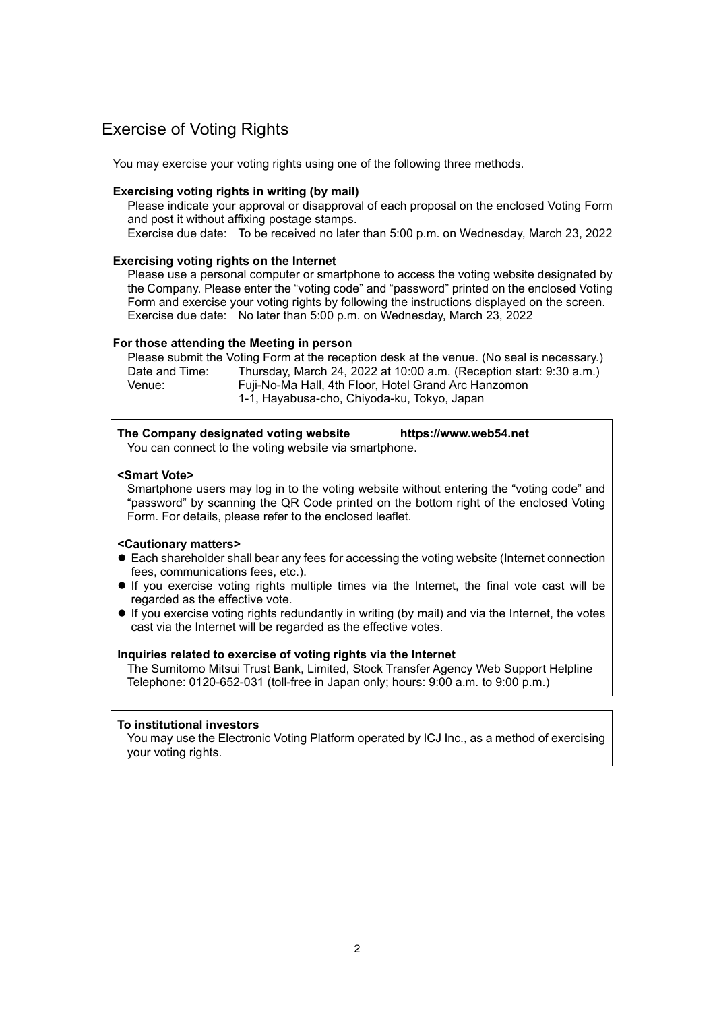# Exercise of Voting Rights

You may exercise your voting rights using one of the following three methods.

#### **Exercising voting rights in writing (by mail)**

Please indicate your approval or disapproval of each proposal on the enclosed Voting Form and post it without affixing postage stamps.

Exercise due date: To be received no later than 5:00 p.m. on Wednesday, March 23, 2022

#### **Exercising voting rights on the Internet**

Please use a personal computer or smartphone to access the voting website designated by the Company. Please enter the "voting code" and "password" printed on the enclosed Voting Form and exercise your voting rights by following the instructions displayed on the screen. Exercise due date: No later than 5:00 p.m. on Wednesday, March 23, 2022

#### **For those attending the Meeting in person**

Please submit the Voting Form at the reception desk at the venue. (No seal is necessary.) Date and Time: Thursday, March 24, 2022 at 10:00 a.m. (Reception start: 9:30 a.m.)<br>Venue: Fuii-No-Ma Hall, 4th Floor, Hotel Grand Arc Hanzomon Fuji-No-Ma Hall, 4th Floor, Hotel Grand Arc Hanzomon 1-1, Hayabusa-cho, Chiyoda-ku, Tokyo, Japan

| The Company designated voting website                 | https://www.web54.net |
|-------------------------------------------------------|-----------------------|
| You can connect to the voting website via smartphone. |                       |

### **<Smart Vote>**

Smartphone users may log in to the voting website without entering the "voting code" and "password" by scanning the QR Code printed on the bottom right of the enclosed Voting Form. For details, please refer to the enclosed leaflet.

### **<Cautionary matters>**

- Each shareholder shall bear any fees for accessing the voting website (Internet connection fees, communications fees, etc.).
- If you exercise voting rights multiple times via the Internet, the final vote cast will be regarded as the effective vote.
- If you exercise voting rights redundantly in writing (by mail) and via the Internet, the votes cast via the Internet will be regarded as the effective votes.

## **Inquiries related to exercise of voting rights via the Internet**

The Sumitomo Mitsui Trust Bank, Limited, Stock Transfer Agency Web Support Helpline Telephone: 0120-652-031 (toll-free in Japan only; hours: 9:00 a.m. to 9:00 p.m.)

#### **To institutional investors**

You may use the Electronic Voting Platform operated by ICJ Inc., as a method of exercising your voting rights.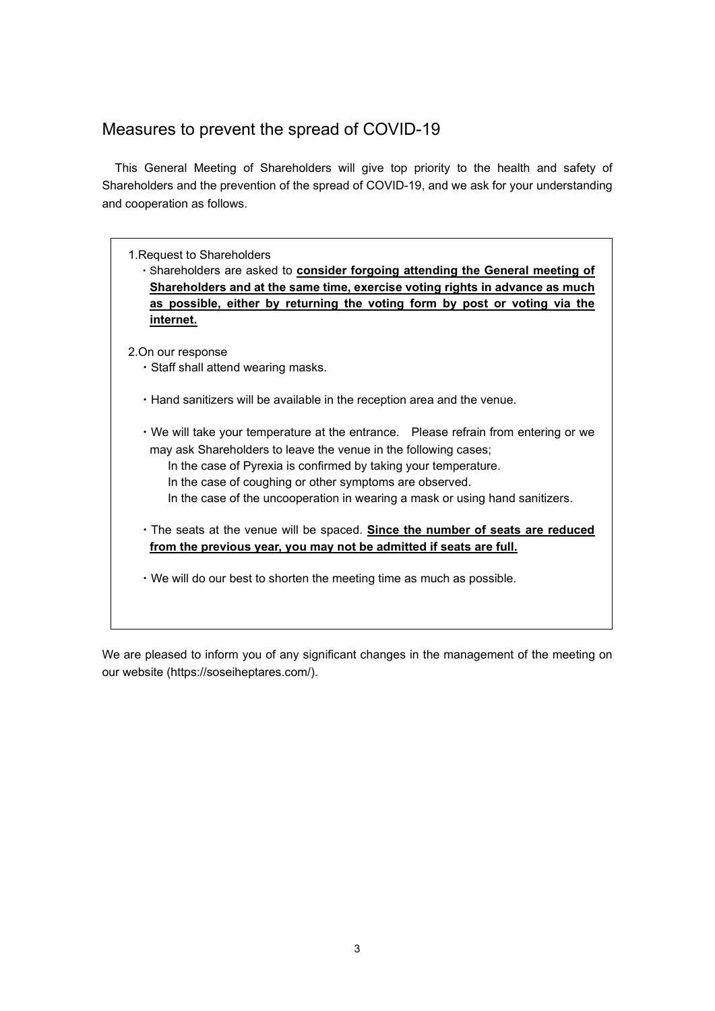# Measures to prevent the spread of COVID-19

This General Meeting of Shareholders will give top priority to the health and safety of Shareholders and the prevention of the spread of COVID-19, and we ask for your understanding and cooperation as follows.

1.Request to Shareholders

・Shareholders are asked to **consider forgoing attending the General meeting of Shareholders and at the same time, exercise voting rights in advance as much as possible, either by returning the voting form by post or voting via the internet.**

2.On our response

- ・Staff shall attend wearing masks.
- ・Hand sanitizers will be available in the reception area and the venue.
- ・We will take your temperature at the entrance. Please refrain from entering or we may ask Shareholders to leave the venue in the following cases;
	- In the case of Pyrexia is confirmed by taking your temperature.
	- In the case of coughing or other symptoms are observed.
	- In the case of the uncooperation in wearing a mask or using hand sanitizers.
- ・The seats at the venue will be spaced. **Since the number of seats are reduced from the previous year, you may not be admitted if seats are full.**
- ・We will do our best to shorten the meeting time as much as possible.

We are pleased to inform you of any significant changes in the management of the meeting on our website (https://soseiheptares.com/).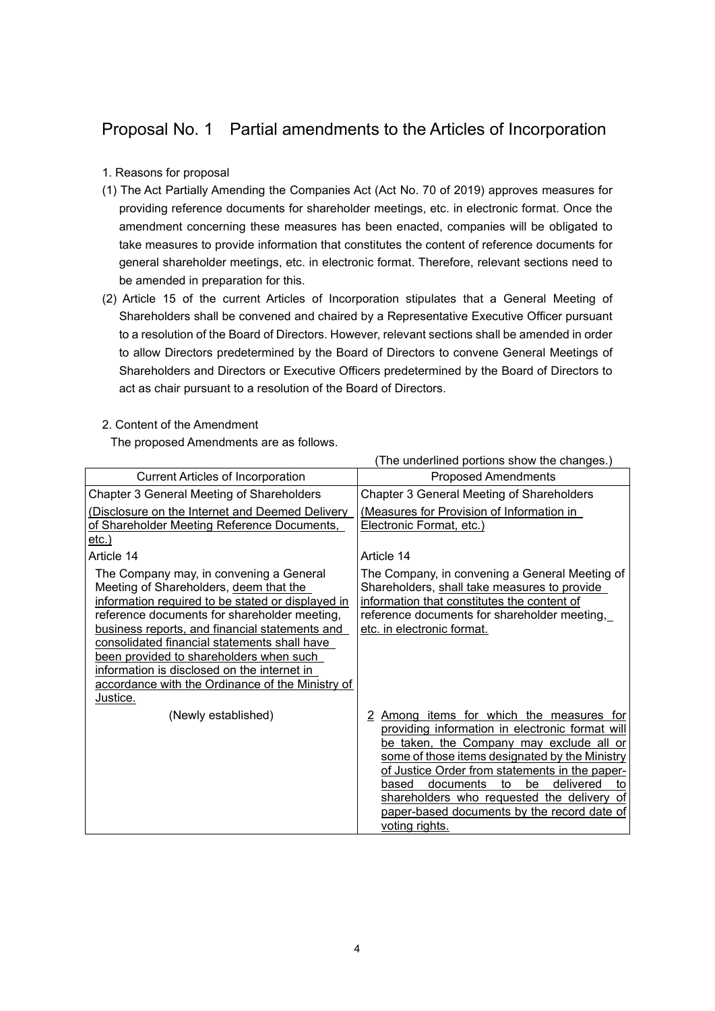# Proposal No. 1 Partial amendments to the Articles of Incorporation

# 1. Reasons for proposal

- (1) The Act Partially Amending the Companies Act (Act No. 70 of 2019) approves measures for providing reference documents for shareholder meetings, etc. in electronic format. Once the amendment concerning these measures has been enacted, companies will be obligated to take measures to provide information that constitutes the content of reference documents for general shareholder meetings, etc. in electronic format. Therefore, relevant sections need to be amended in preparation for this.
- (2) Article 15 of the current Articles of Incorporation stipulates that a General Meeting of Shareholders shall be convened and chaired by a Representative Executive Officer pursuant to a resolution of the Board of Directors. However, relevant sections shall be amended in order to allow Directors predetermined by the Board of Directors to convene General Meetings of Shareholders and Directors or Executive Officers predetermined by the Board of Directors to act as chair pursuant to a resolution of the Board of Directors.

# 2. Content of the Amendment

The proposed Amendments are as follows.

|                                                                                                                                                                                                                                                                                                                                                                                                                                                    | The underlined portions show the changes.)                                                                                                                                                                                                                                                                                                                                                                         |
|----------------------------------------------------------------------------------------------------------------------------------------------------------------------------------------------------------------------------------------------------------------------------------------------------------------------------------------------------------------------------------------------------------------------------------------------------|--------------------------------------------------------------------------------------------------------------------------------------------------------------------------------------------------------------------------------------------------------------------------------------------------------------------------------------------------------------------------------------------------------------------|
| <b>Current Articles of Incorporation</b>                                                                                                                                                                                                                                                                                                                                                                                                           | <b>Proposed Amendments</b>                                                                                                                                                                                                                                                                                                                                                                                         |
| Chapter 3 General Meeting of Shareholders                                                                                                                                                                                                                                                                                                                                                                                                          | Chapter 3 General Meeting of Shareholders                                                                                                                                                                                                                                                                                                                                                                          |
| (Disclosure on the Internet and Deemed Delivery                                                                                                                                                                                                                                                                                                                                                                                                    | (Measures for Provision of Information in                                                                                                                                                                                                                                                                                                                                                                          |
| of Shareholder Meeting Reference Documents,                                                                                                                                                                                                                                                                                                                                                                                                        | Electronic Format, etc.)                                                                                                                                                                                                                                                                                                                                                                                           |
| <u>etc.)</u>                                                                                                                                                                                                                                                                                                                                                                                                                                       |                                                                                                                                                                                                                                                                                                                                                                                                                    |
| Article 14                                                                                                                                                                                                                                                                                                                                                                                                                                         | Article 14                                                                                                                                                                                                                                                                                                                                                                                                         |
| The Company may, in convening a General<br>Meeting of Shareholders, deem that the<br>information required to be stated or displayed in<br>reference documents for shareholder meeting,<br>business reports, and financial statements and<br>consolidated financial statements shall have<br>been provided to shareholders when such<br>information is disclosed on the internet in<br>accordance with the Ordinance of the Ministry of<br>Justice. | The Company, in convening a General Meeting of<br>Shareholders, shall take measures to provide<br>information that constitutes the content of<br>reference documents for shareholder meeting,<br>etc. in electronic format.                                                                                                                                                                                        |
| (Newly established)                                                                                                                                                                                                                                                                                                                                                                                                                                | Among items for which the measures for<br>2<br>providing information in electronic format will<br>be taken, the Company may exclude all or<br>some of those items designated by the Ministry<br>of Justice Order from statements in the paper-<br>documents<br>be<br>delivered<br>based<br>to<br>to<br>shareholders who requested the delivery of<br>paper-based documents by the record date of<br>voting rights. |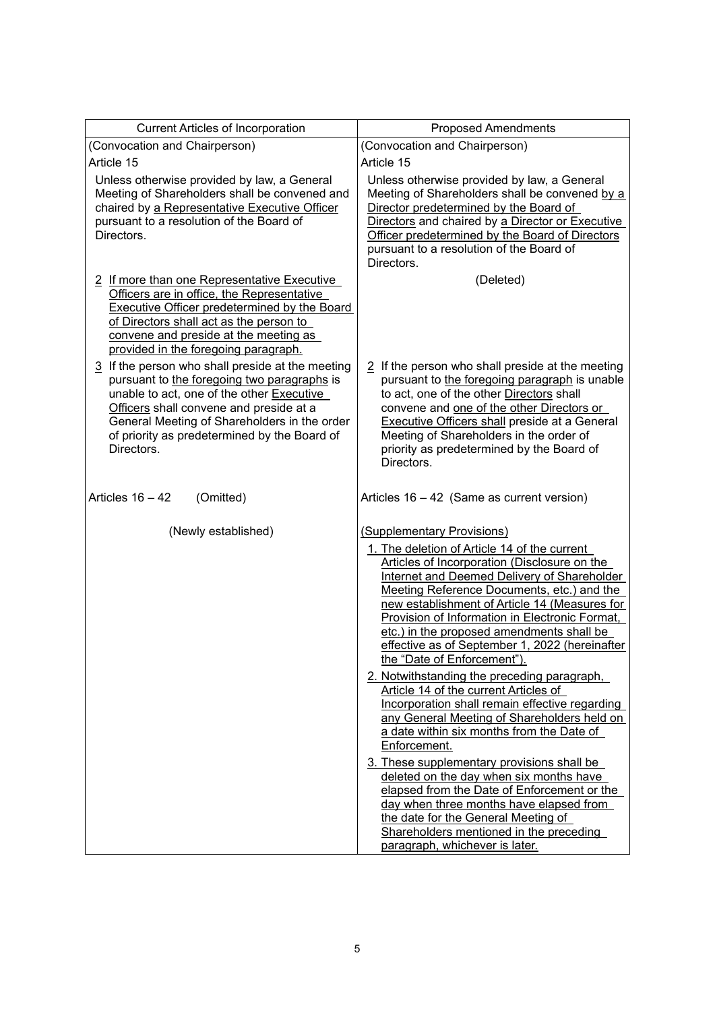| <b>Current Articles of Incorporation</b>                                                                                                                                                                                                                                                                          | <b>Proposed Amendments</b>                                                                                                                                                                                                                                                                                                                                                                                                                                                                                                                                                                                                                                                                                                                                                                                                                                                                                                                                                                 |
|-------------------------------------------------------------------------------------------------------------------------------------------------------------------------------------------------------------------------------------------------------------------------------------------------------------------|--------------------------------------------------------------------------------------------------------------------------------------------------------------------------------------------------------------------------------------------------------------------------------------------------------------------------------------------------------------------------------------------------------------------------------------------------------------------------------------------------------------------------------------------------------------------------------------------------------------------------------------------------------------------------------------------------------------------------------------------------------------------------------------------------------------------------------------------------------------------------------------------------------------------------------------------------------------------------------------------|
| (Convocation and Chairperson)                                                                                                                                                                                                                                                                                     | (Convocation and Chairperson)                                                                                                                                                                                                                                                                                                                                                                                                                                                                                                                                                                                                                                                                                                                                                                                                                                                                                                                                                              |
| Article 15                                                                                                                                                                                                                                                                                                        | Article 15                                                                                                                                                                                                                                                                                                                                                                                                                                                                                                                                                                                                                                                                                                                                                                                                                                                                                                                                                                                 |
| Unless otherwise provided by law, a General<br>Meeting of Shareholders shall be convened and<br>chaired by a Representative Executive Officer<br>pursuant to a resolution of the Board of<br>Directors.                                                                                                           | Unless otherwise provided by law, a General<br>Meeting of Shareholders shall be convened by a<br>Director predetermined by the Board of<br>Directors and chaired by a Director or Executive<br>Officer predetermined by the Board of Directors<br>pursuant to a resolution of the Board of<br>Directors.                                                                                                                                                                                                                                                                                                                                                                                                                                                                                                                                                                                                                                                                                   |
| 2 If more than one Representative Executive<br>Officers are in office, the Representative<br><b>Executive Officer predetermined by the Board</b><br>of Directors shall act as the person to<br>convene and preside at the meeting as<br>provided in the foregoing paragraph.                                      | (Deleted)                                                                                                                                                                                                                                                                                                                                                                                                                                                                                                                                                                                                                                                                                                                                                                                                                                                                                                                                                                                  |
| $\frac{3}{2}$ If the person who shall preside at the meeting<br>pursuant to the foregoing two paragraphs is<br>unable to act, one of the other Executive<br>Officers shall convene and preside at a<br>General Meeting of Shareholders in the order<br>of priority as predetermined by the Board of<br>Directors. | $2$ If the person who shall preside at the meeting<br>pursuant to the foregoing paragraph is unable<br>to act, one of the other Directors shall<br>convene and one of the other Directors or<br><b>Executive Officers shall preside at a General</b><br>Meeting of Shareholders in the order of<br>priority as predetermined by the Board of<br>Directors.                                                                                                                                                                                                                                                                                                                                                                                                                                                                                                                                                                                                                                 |
| Articles $16 - 42$<br>(Omitted)                                                                                                                                                                                                                                                                                   | Articles 16 - 42 (Same as current version)                                                                                                                                                                                                                                                                                                                                                                                                                                                                                                                                                                                                                                                                                                                                                                                                                                                                                                                                                 |
| (Newly established)                                                                                                                                                                                                                                                                                               | (Supplementary Provisions)<br>1. The deletion of Article 14 of the current<br>Articles of Incorporation (Disclosure on the<br><b>Internet and Deemed Delivery of Shareholder</b><br>Meeting Reference Documents, etc.) and the<br>new establishment of Article 14 (Measures for<br>Provision of Information in Electronic Format,<br>etc.) in the proposed amendments shall be<br>effective as of September 1, 2022 (hereinafter<br>the "Date of Enforcement").<br>2. Notwithstanding the preceding paragraph,<br>Article 14 of the current Articles of<br>Incorporation shall remain effective regarding<br>any General Meeting of Shareholders held on<br>a date within six months from the Date of<br>Enforcement.<br>3. These supplementary provisions shall be<br>deleted on the day when six months have<br>elapsed from the Date of Enforcement or the<br>day when three months have elapsed from<br>the date for the General Meeting of<br>Shareholders mentioned in the preceding |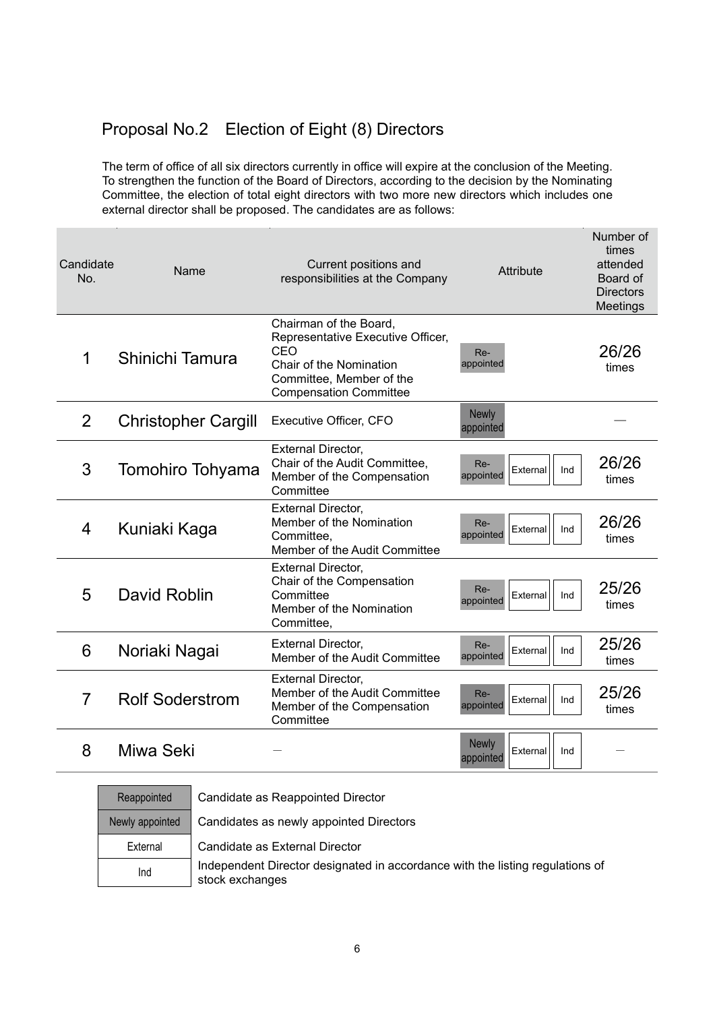# Proposal No.2 Election of Eight (8) Directors

The term of office of all six directors currently in office will expire at the conclusion of the Meeting. To strengthen the function of the Board of Directors, according to the decision by the Nominating Committee, the election of total eight directors with two more new directors which includes one external director shall be proposed. The candidates are as follows:

| Candidate<br>No. | Name                       | Current positions and<br>responsibilities at the Company                                                                                                   | Attribute                                    | Number of<br>times<br>attended<br>Board of<br><b>Directors</b><br>Meetings |
|------------------|----------------------------|------------------------------------------------------------------------------------------------------------------------------------------------------------|----------------------------------------------|----------------------------------------------------------------------------|
| 1                | Shinichi Tamura            | Chairman of the Board,<br>Representative Executive Officer,<br>CEO<br>Chair of the Nomination<br>Committee, Member of the<br><b>Compensation Committee</b> | Re-<br>appointed                             | 26/26<br>times                                                             |
| $\overline{2}$   | <b>Christopher Cargill</b> | Executive Officer, CFO                                                                                                                                     | <b>Newly</b><br>appointed                    |                                                                            |
| 3                | Tomohiro Tohyama           | <b>External Director,</b><br>Chair of the Audit Committee,<br>Member of the Compensation<br>Committee                                                      | Re-<br>External<br>Ind<br>appointed          | 26/26<br>times                                                             |
| 4                | Kuniaki Kaga               | <b>External Director,</b><br>Member of the Nomination<br>Committee,<br>Member of the Audit Committee                                                       | Re-<br>External<br>Ind<br>appointed          | 26/26<br>times                                                             |
| 5                | David Roblin               | <b>External Director,</b><br>Chair of the Compensation<br>Committee<br>Member of the Nomination<br>Committee,                                              | Re-<br>External<br>Ind<br>appointed          | 25/26<br>times                                                             |
| 6                | Noriaki Nagai              | <b>External Director,</b><br>Member of the Audit Committee                                                                                                 | Re-<br>External<br>Ind<br>appointed          | 25/26<br>times                                                             |
| $\overline{7}$   | <b>Rolf Soderstrom</b>     | <b>External Director,</b><br>Member of the Audit Committee<br>Member of the Compensation<br>Committee                                                      | Re-<br>External<br>Ind<br>appointed          | 25/26<br>times                                                             |
| 8                | Miwa Seki                  |                                                                                                                                                            | <b>Newly</b><br>External<br>Ind<br>appointed |                                                                            |

| Reappointed     | Candidate as Reappointed Director                                                                |
|-----------------|--------------------------------------------------------------------------------------------------|
| Newly appointed | Candidates as newly appointed Directors                                                          |
| External        | Candidate as External Director                                                                   |
| Ind             | Independent Director designated in accordance with the listing regulations of<br>stock exchanges |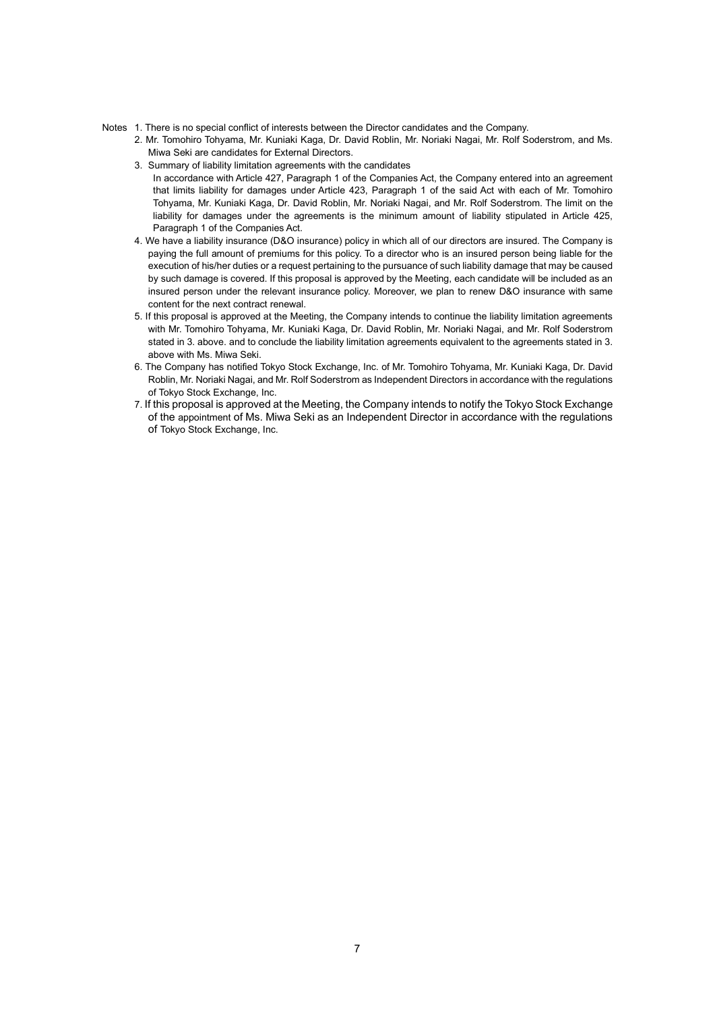- Notes 1. There is no special conflict of interests between the Director candidates and the Company.
	- 2. Mr. Tomohiro Tohyama, Mr. Kuniaki Kaga, Dr. David Roblin, Mr. Noriaki Nagai, Mr. Rolf Soderstrom, and Ms. Miwa Seki are candidates for External Directors.
	- 3. Summary of liability limitation agreements with the candidates
	- In accordance with Article 427, Paragraph 1 of the Companies Act, the Company entered into an agreement that limits liability for damages under Article 423, Paragraph 1 of the said Act with each of Mr. Tomohiro Tohyama, Mr. Kuniaki Kaga, Dr. David Roblin, Mr. Noriaki Nagai, and Mr. Rolf Soderstrom. The limit on the liability for damages under the agreements is the minimum amount of liability stipulated in Article 425, Paragraph 1 of the Companies Act.
	- 4. We have a liability insurance (D&O insurance) policy in which all of our directors are insured. The Company is paying the full amount of premiums for this policy. To a director who is an insured person being liable for the execution of his/her duties or a request pertaining to the pursuance of such liability damage that may be caused by such damage is covered. If this proposal is approved by the Meeting, each candidate will be included as an insured person under the relevant insurance policy. Moreover, we plan to renew D&O insurance with same content for the next contract renewal.
	- 5. If this proposal is approved at the Meeting, the Company intends to continue the liability limitation agreements with Mr. Tomohiro Tohyama, Mr. Kuniaki Kaga, Dr. David Roblin, Mr. Noriaki Nagai, and Mr. Rolf Soderstrom stated in 3. above. and to conclude the liability limitation agreements equivalent to the agreements stated in 3. above with Ms. Miwa Seki.
	- 6. The Company has notified Tokyo Stock Exchange, Inc. of Mr. Tomohiro Tohyama, Mr. Kuniaki Kaga, Dr. David Roblin, Mr. Noriaki Nagai, and Mr. Rolf Soderstrom as Independent Directors in accordance with the regulations of Tokyo Stock Exchange, Inc.
	- 7. If this proposal is approved at the Meeting, the Company intends to notify the Tokyo Stock Exchange of the appointment of Ms. Miwa Seki as an Independent Director in accordance with the regulations of Tokyo Stock Exchange, Inc.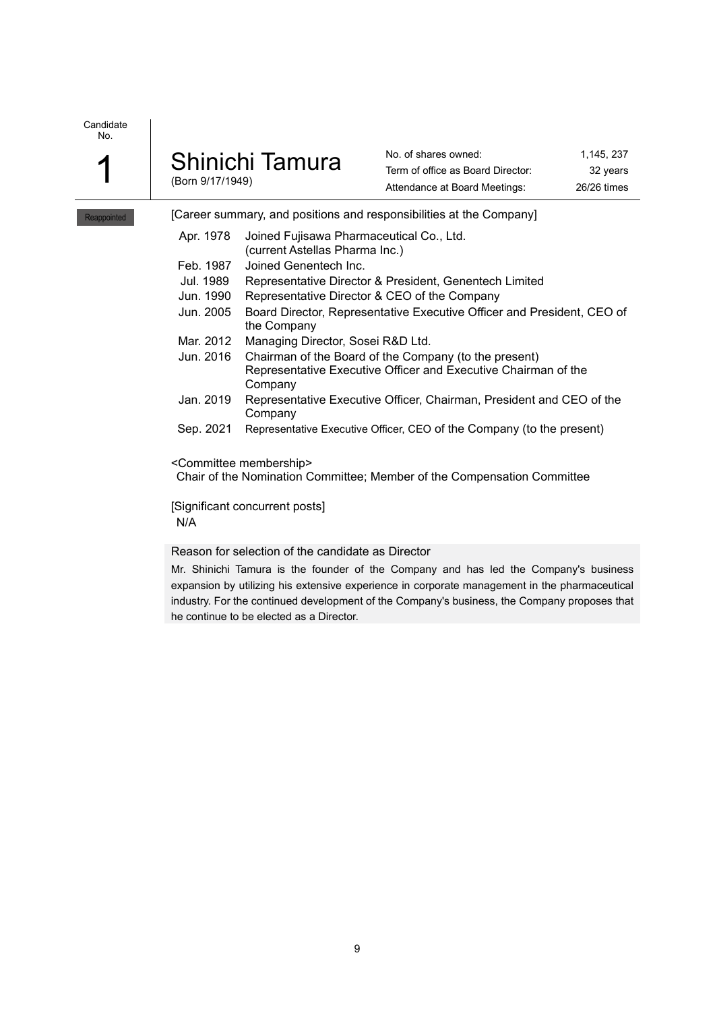| $\overline{\mathcal{A}}$ | Shinichi Tamura  |  |
|--------------------------|------------------|--|
|                          | (Born 9/17/1949) |  |

| No. of shares owned:              | 1.145, 237  |
|-----------------------------------|-------------|
| Term of office as Board Director: | 32 years    |
| Attendance at Board Meetings:     | 26/26 times |

Reappointed | [Career summary, and positions and responsibilities at the Company]

|  |  | Apr. 1978 Joined Fujisawa Pharmaceutical Co., Ltd. |  |
|--|--|----------------------------------------------------|--|
|  |  |                                                    |  |

- (current Astellas Pharma Inc.)
- Feb. 1987 Joined Genentech Inc.
- Jul. 1989 Representative Director & President, Genentech Limited
- Jun. 1990 Representative Director & CEO of the Company
- Jun. 2005 Board Director, Representative Executive Officer and President, CEO of the Company
- Mar. 2012 Managing Director, Sosei R&D Ltd.
- Jun. 2016 Chairman of the Board of the Company (to the present) Representative Executive Officer and Executive Chairman of the Company
- Jan. 2019 Representative Executive Officer, Chairman, President and CEO of the Company
- Sep. 2021 Representative Executive Officer, CEO of the Company (to the present)

<Committee membership>

Chair of the Nomination Committee; Member of the Compensation Committee

[Significant concurrent posts] N/A

## Reason for selection of the candidate as Director

Mr. Shinichi Tamura is the founder of the Company and has led the Company's business expansion by utilizing his extensive experience in corporate management in the pharmaceutical industry. For the continued development of the Company's business, the Company proposes that he continue to be elected as a Director.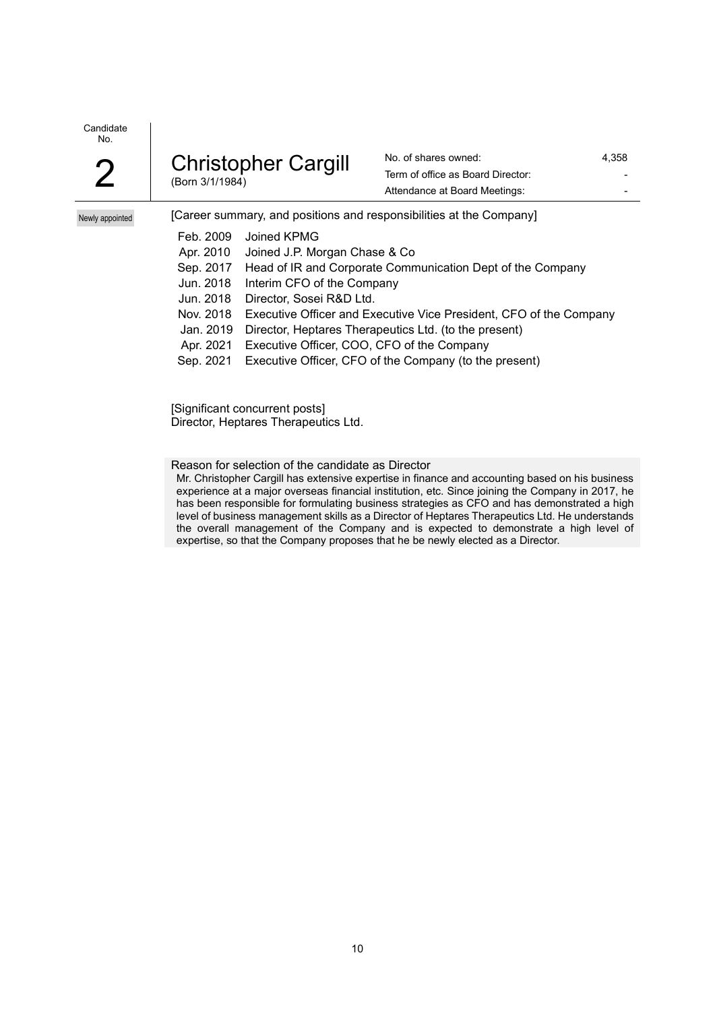| <b>Christopher Cargill</b><br>∩<br>(Born 3/1/1984) |
|----------------------------------------------------|
|----------------------------------------------------|

No. of shares owned: 4,358 Term of office as Board Director: Attendance at Board Meetings: The Contract of the Attendance at Board Meetings:

Newly appointed

| [Career summary, and positions and responsibilities at the Company] |
|---------------------------------------------------------------------|
| Joined KPMG                                                         |
| Joined J.P. Morgan Chase & Co.                                      |
| Head of IR and Corporate Communication Dept of the Company          |
| Interim CFO of the Company                                          |
| Director, Sosei R&D Ltd.                                            |
| Executive Officer and Executive Vice President, CFO of the Company  |
| Director, Heptares Therapeutics Ltd. (to the present)               |
| Executive Officer, COO, CFO of the Company                          |
| Executive Officer, CFO of the Company (to the present)              |
|                                                                     |

[Significant concurrent posts] Director, Heptares Therapeutics Ltd.

Reason for selection of the candidate as Director

Mr. Christopher Cargill has extensive expertise in finance and accounting based on his business experience at a major overseas financial institution, etc. Since joining the Company in 2017, he has been responsible for formulating business strategies as CFO and has demonstrated a high level of business management skills as a Director of Heptares Therapeutics Ltd. He understands the overall management of the Company and is expected to demonstrate a high level of expertise, so that the Company proposes that he be newly elected as a Director.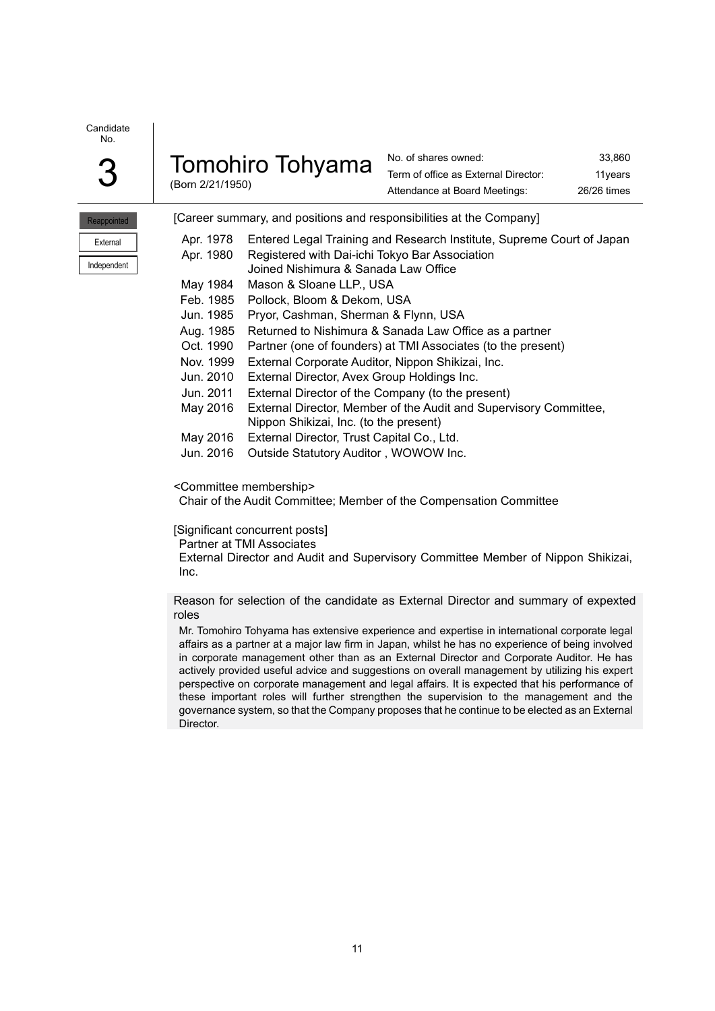| ı |  |
|---|--|

| ⌒ | <b>Tomohiro Tohyama</b> |  |
|---|-------------------------|--|
| J | (Born 2/21/1950)        |  |

No. of shares owned: 33,860 Term of office as External Director: 11years Attendance at Board Meetings: 26/26 times

| <b>Reappointed</b> |  |
|--------------------|--|
| External           |  |
| Independent        |  |

|  | [Career summary, and positions and responsibilities at the Company] |  |
|--|---------------------------------------------------------------------|--|
|  |                                                                     |  |

| Apr. 1978 | Entered Legal Training and Research Institute, Supreme Court of Japan |
|-----------|-----------------------------------------------------------------------|
| Apr. 1980 | Registered with Dai-ichi Tokyo Bar Association                        |
|           | Joined Nishimura & Sanada Law Office                                  |
| May 1984  | Mason & Sloane LLP., USA                                              |
| Feb. 1985 | Pollock, Bloom & Dekom, USA                                           |
| Jun. 1985 | Pryor, Cashman, Sherman & Flynn, USA                                  |
| Aug. 1985 | Returned to Nishimura & Sanada Law Office as a partner                |
| Oct. 1990 | Partner (one of founders) at TMI Associates (to the present)          |
| Nov. 1999 | External Corporate Auditor, Nippon Shikizai, Inc.                     |
| Jun. 2010 | External Director, Avex Group Holdings Inc.                           |
| Jun. 2011 | External Director of the Company (to the present)                     |
| May 2016  | External Director, Member of the Audit and Supervisory Committee,     |
|           | Nippon Shikizai, Inc. (to the present)                                |
| May 2016  | External Director, Trust Capital Co., Ltd.                            |
| Jun. 2016 | Outside Statutory Auditor, WOWOW Inc.                                 |
|           |                                                                       |

<Committee membership>

Chair of the Audit Committee; Member of the Compensation Committee

#### [Significant concurrent posts]

Partner at TMI Associates

External Director and Audit and Supervisory Committee Member of Nippon Shikizai, Inc.

Reason for selection of the candidate as External Director and summary of expexted roles

Mr. Tomohiro Tohyama has extensive experience and expertise in international corporate legal affairs as a partner at a major law firm in Japan, whilst he has no experience of being involved in corporate management other than as an External Director and Corporate Auditor. He has actively provided useful advice and suggestions on overall management by utilizing his expert perspective on corporate management and legal affairs. It is expected that his performance of these important roles will further strengthen the supervision to the management and the governance system, so that the Company proposes that he continue to be elected as an External Director.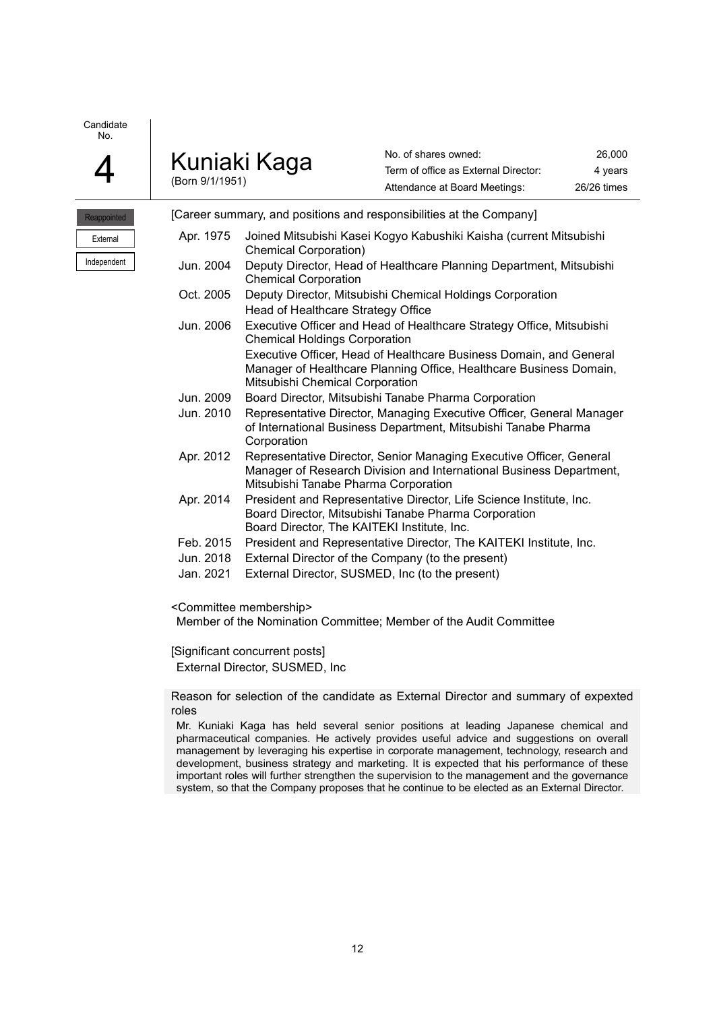| Kuniaki Kaga    | No. of shares owned:                 | 26,000      |
|-----------------|--------------------------------------|-------------|
|                 | Term of office as External Director: | 4 vears     |
| (Born 9/1/1951) | Attendance at Board Meetings:        | 26/26 times |

Reappointed External Independent

|           | [Career summary, and positions and responsibilities at the Company]                                                                                                                |
|-----------|------------------------------------------------------------------------------------------------------------------------------------------------------------------------------------|
| Apr. 1975 | Joined Mitsubishi Kasei Kogyo Kabushiki Kaisha (current Mitsubishi<br><b>Chemical Corporation)</b>                                                                                 |
| Jun. 2004 | Deputy Director, Head of Healthcare Planning Department, Mitsubishi<br><b>Chemical Corporation</b>                                                                                 |
| Oct. 2005 | Deputy Director, Mitsubishi Chemical Holdings Corporation<br>Head of Healthcare Strategy Office                                                                                    |
| Jun. 2006 | Executive Officer and Head of Healthcare Strategy Office, Mitsubishi<br><b>Chemical Holdings Corporation</b>                                                                       |
|           | Executive Officer, Head of Healthcare Business Domain, and General<br>Manager of Healthcare Planning Office, Healthcare Business Domain,<br>Mitsubishi Chemical Corporation        |
| Jun. 2009 | Board Director, Mitsubishi Tanabe Pharma Corporation                                                                                                                               |
| Jun. 2010 | Representative Director, Managing Executive Officer, General Manager<br>of International Business Department, Mitsubishi Tanabe Pharma<br>Corporation                              |
| Apr. 2012 | Representative Director, Senior Managing Executive Officer, General<br>Manager of Research Division and International Business Department,<br>Mitsubishi Tanabe Pharma Corporation |
| Apr. 2014 | President and Representative Director, Life Science Institute, Inc.<br>Board Director, Mitsubishi Tanabe Pharma Corporation<br>Board Director, The KAITEKI Institute, Inc.         |
| Feb. 2015 | President and Representative Director, The KAITEKI Institute, Inc.                                                                                                                 |
| Jun. 2018 | External Director of the Company (to the present)                                                                                                                                  |
| Jan. 2021 | External Director, SUSMED, Inc (to the present)                                                                                                                                    |

<Committee membership>

Member of the Nomination Committee; Member of the Audit Committee

[Significant concurrent posts]

External Director, SUSMED, Inc

Reason for selection of the candidate as External Director and summary of expexted roles

Mr. Kuniaki Kaga has held several senior positions at leading Japanese chemical and pharmaceutical companies. He actively provides useful advice and suggestions on overall management by leveraging his expertise in corporate management, technology, research and development, business strategy and marketing. It is expected that his performance of these important roles will further strengthen the supervision to the management and the governance system, so that the Company proposes that he continue to be elected as an External Director.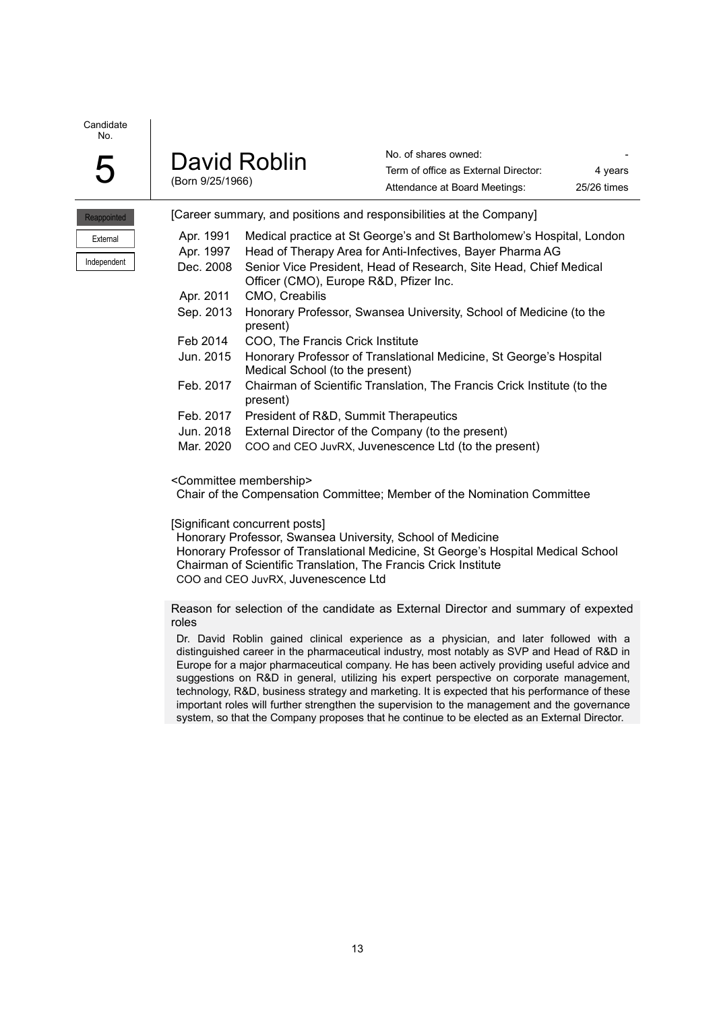|                     | David Roblin     |
|---------------------|------------------|
| $\boldsymbol{\cup}$ | (Born 9/25/1966) |

No. of shares owned: Term of office as External Director: 4 years Attendance at Board Meetings: 25/26 times

| Reappointed |           | [Career summary, and positions and responsibilities at the Company]                                         |
|-------------|-----------|-------------------------------------------------------------------------------------------------------------|
| External    | Apr. 1991 | Medical practice at St George's and St Bartholomew's Hospital, London                                       |
|             | Apr. 1997 | Head of Therapy Area for Anti-Infectives, Bayer Pharma AG                                                   |
| Independent | Dec. 2008 | Senior Vice President, Head of Research, Site Head, Chief Medical<br>Officer (CMO), Europe R&D, Pfizer Inc. |
|             | Apr. 2011 | CMO, Creabilis                                                                                              |
|             | Sep. 2013 | Honorary Professor, Swansea University, School of Medicine (to the<br>present)                              |
|             | Feb 2014  | COO, The Francis Crick Institute                                                                            |
|             | Jun. 2015 | Honorary Professor of Translational Medicine, St George's Hospital<br>Medical School (to the present)       |
|             | Feb. 2017 | Chairman of Scientific Translation, The Francis Crick Institute (to the<br>present)                         |

- Feb. 2017 President of R&D, Summit Therapeutics
- Jun. 2018 External Director of the Company (to the present)
- Mar. 2020 COO and CEO JuvRX, Juvenescence Ltd (to the present)

#### <Committee membership>

Chair of the Compensation Committee; Member of the Nomination Committee

#### [Significant concurrent posts]

Honorary Professor, Swansea University, School of Medicine Honorary Professor of Translational Medicine, St George's Hospital Medical School Chairman of Scientific Translation, The Francis Crick Institute COO and CEO JuvRX, Juvenescence Ltd

Reason for selection of the candidate as External Director and summary of expexted roles

Dr. David Roblin gained clinical experience as a physician, and later followed with a distinguished career in the pharmaceutical industry, most notably as SVP and Head of R&D in Europe for a major pharmaceutical company. He has been actively providing useful advice and suggestions on R&D in general, utilizing his expert perspective on corporate management, technology, R&D, business strategy and marketing. It is expected that his performance of these important roles will further strengthen the supervision to the management and the governance system, so that the Company proposes that he continue to be elected as an External Director.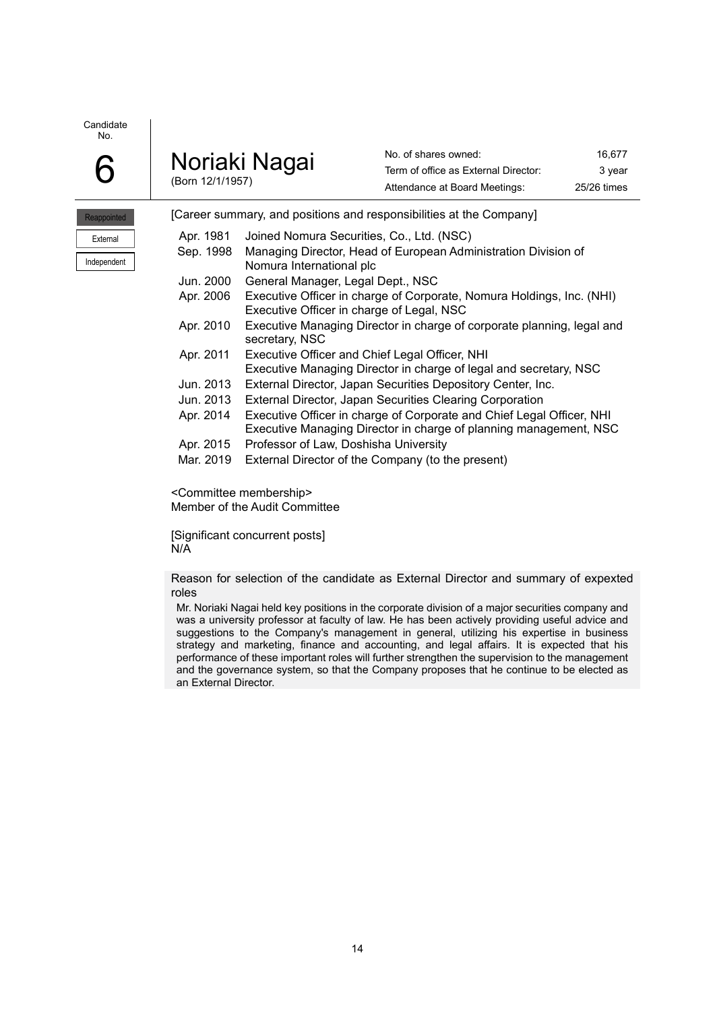| 6 | Noriaki Nagai    |
|---|------------------|
|   | (Born 12/1/1957) |

No. of shares owned: 16,677 Term of office as External Director: 3 year Attendance at Board Meetings: 25/26 times

| Reappointed |
|-------------|
| External    |
| Independent |

| [Career summary, and positions and responsibilities at the Company] |                                                                                                                                            |  |
|---------------------------------------------------------------------|--------------------------------------------------------------------------------------------------------------------------------------------|--|
| Apr. 1981                                                           | Joined Nomura Securities, Co., Ltd. (NSC)                                                                                                  |  |
| Sep. 1998                                                           | Managing Director, Head of European Administration Division of<br>Nomura International plc                                                 |  |
| Jun. 2000                                                           | General Manager, Legal Dept., NSC                                                                                                          |  |
| Apr. 2006                                                           | Executive Officer in charge of Corporate, Nomura Holdings, Inc. (NHI)<br>Executive Officer in charge of Legal, NSC                         |  |
| Apr. 2010                                                           | Executive Managing Director in charge of corporate planning, legal and<br>secretary, NSC                                                   |  |
| Apr. 2011                                                           | Executive Officer and Chief Legal Officer, NHI<br>Executive Managing Director in charge of legal and secretary, NSC                        |  |
| Jun. 2013                                                           | External Director, Japan Securities Depository Center, Inc.                                                                                |  |
| Jun. 2013                                                           | External Director, Japan Securities Clearing Corporation                                                                                   |  |
| Apr. 2014                                                           | Executive Officer in charge of Corporate and Chief Legal Officer, NHI<br>Executive Managing Director in charge of planning management, NSC |  |
| Apr. 2015                                                           | Professor of Law, Doshisha University                                                                                                      |  |
| Mar. 2019                                                           | External Director of the Company (to the present)                                                                                          |  |

<Committee membership> Member of the Audit Committee

[Significant concurrent posts] N/A

Reason for selection of the candidate as External Director and summary of expexted roles

Mr. Noriaki Nagai held key positions in the corporate division of a major securities company and was a university professor at faculty of law. He has been actively providing useful advice and suggestions to the Company's management in general, utilizing his expertise in business strategy and marketing, finance and accounting, and legal affairs. It is expected that his performance of these important roles will further strengthen the supervision to the management and the governance system, so that the Company proposes that he continue to be elected as an External Director.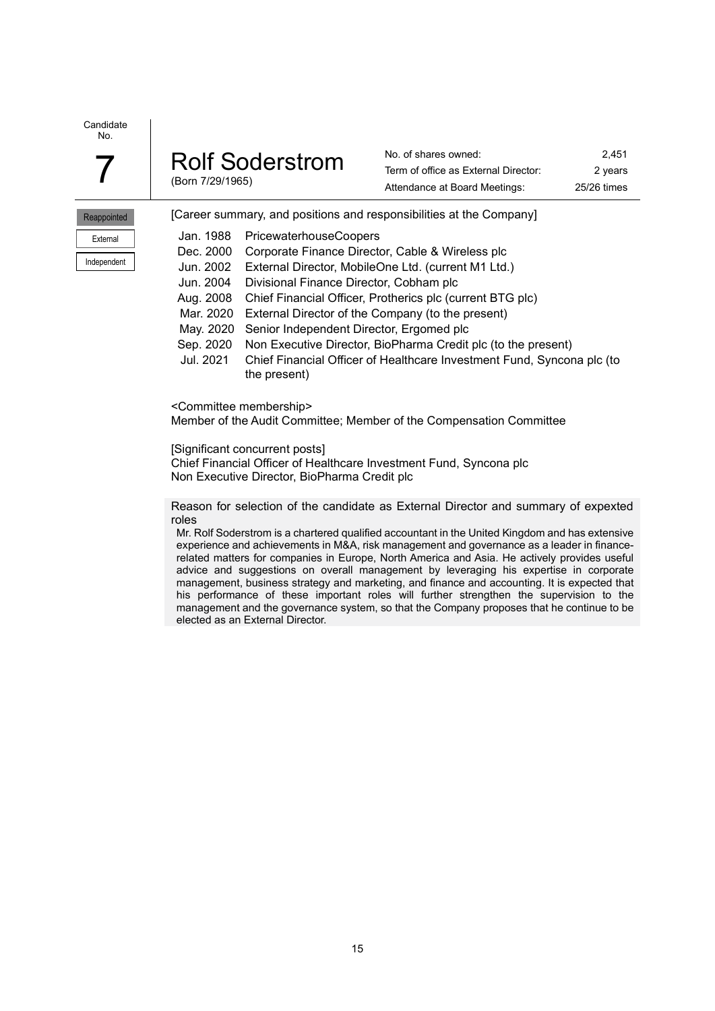Reappointed External Independent

|  | <b>Rolf Soderstrom</b> |
|--|------------------------|
|  | (Born 7/29/1965)       |

No. of shares owned: 2,451 Term of office as External Director: 2 years Attendance at Board Meetings: 25/26 times

| (Born 7/29/1965) |                                  | Attendance at Board Meetings:                                       | 25/26 time |
|------------------|----------------------------------|---------------------------------------------------------------------|------------|
|                  |                                  | [Career summary, and positions and responsibilities at the Company] |            |
|                  | Jan. 1988 PricewaterhouseCoopers |                                                                     |            |

|           | Jan. 1988 PricewaterhouseCoopers                                        |
|-----------|-------------------------------------------------------------------------|
| Dec. 2000 | Corporate Finance Director, Cable & Wireless plc                        |
| Jun. 2002 | External Director, MobileOne Ltd. (current M1 Ltd.)                     |
| Jun. 2004 | Divisional Finance Director, Cobham plc                                 |
| Aug. 2008 | Chief Financial Officer, Protherics plc (current BTG plc)               |
| Mar. 2020 | External Director of the Company (to the present)                       |
|           | May. 2020 Senior Independent Director, Ergomed plc                      |
|           | Sep. 2020 Non Executive Director, BioPharma Credit plc (to the present) |
| Jul. 2021 | Chief Financial Officer of Healthcare Investment Fund, Syncona plc (to  |
|           | the present)                                                            |

<Committee membership>

Member of the Audit Committee; Member of the Compensation Committee

[Significant concurrent posts]

Chief Financial Officer of Healthcare Investment Fund, Syncona plc Non Executive Director, BioPharma Credit plc

Reason for selection of the candidate as External Director and summary of expexted roles

Mr. Rolf Soderstrom is a chartered qualified accountant in the United Kingdom and has extensive experience and achievements in M&A, risk management and governance as a leader in financerelated matters for companies in Europe, North America and Asia. He actively provides useful advice and suggestions on overall management by leveraging his expertise in corporate management, business strategy and marketing, and finance and accounting. It is expected that his performance of these important roles will further strengthen the supervision to the management and the governance system, so that the Company proposes that he continue to be elected as an External Director.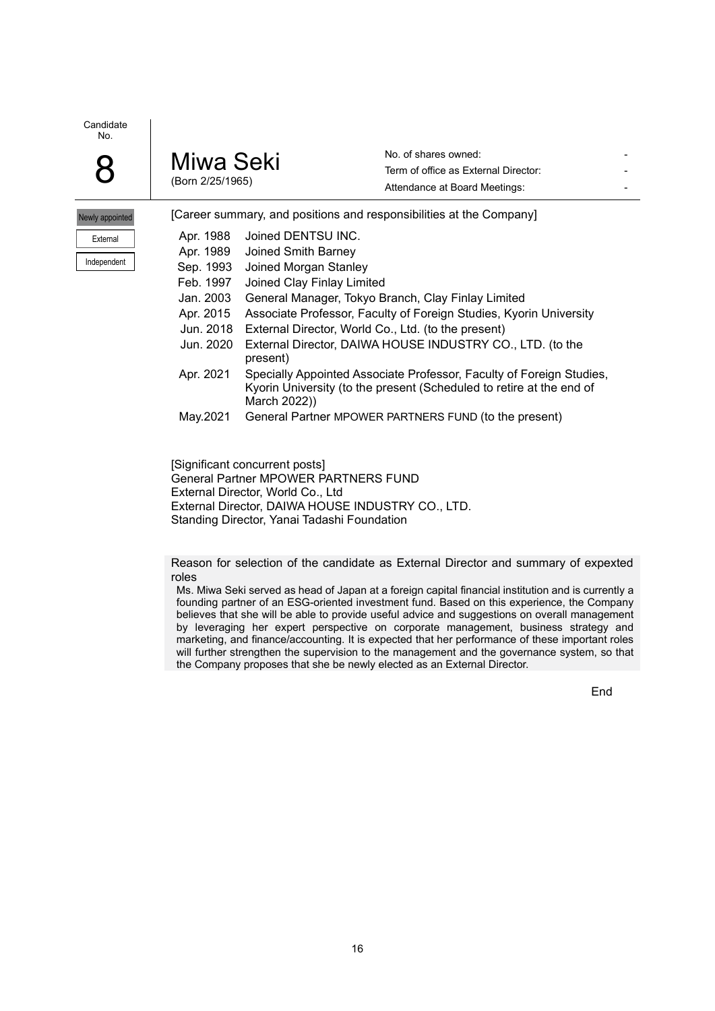| Miwa Seki        |
|------------------|
| (Born 2/25/1965) |

No. of shares owned: Term of office as External Director: Attendance at Board Meetings: The Contract of the Attendance of Board Meetings:

| Newly appointed |  |  |
|-----------------|--|--|
| External        |  |  |
| Independent     |  |  |

|           | [Career summary, and positions and responsibilities at the Company]                                                                                          |
|-----------|--------------------------------------------------------------------------------------------------------------------------------------------------------------|
| Apr. 1988 | Joined DENTSU INC.                                                                                                                                           |
| Apr. 1989 | Joined Smith Barney                                                                                                                                          |
| Sep. 1993 | Joined Morgan Stanley                                                                                                                                        |
| Feb. 1997 | Joined Clay Finlay Limited                                                                                                                                   |
| Jan. 2003 | General Manager, Tokyo Branch, Clay Finlay Limited                                                                                                           |
| Apr. 2015 | Associate Professor, Faculty of Foreign Studies, Kyorin University                                                                                           |
| Jun. 2018 | External Director, World Co., Ltd. (to the present)                                                                                                          |
| Jun. 2020 | External Director, DAIWA HOUSE INDUSTRY CO., LTD. (to the<br>present)                                                                                        |
| Apr. 2021 | Specially Appointed Associate Professor, Faculty of Foreign Studies,<br>Kyorin University (to the present (Scheduled to retire at the end of<br>March 2022)) |
| May.2021  | General Partner MPOWER PARTNERS FUND (to the present)                                                                                                        |
|           |                                                                                                                                                              |
|           |                                                                                                                                                              |

[Significant concurrent posts] General Partner MPOWER PARTNERS FUND External Director, World Co., Ltd External Director, DAIWA HOUSE INDUSTRY CO., LTD. Standing Director, Yanai Tadashi Foundation

Reason for selection of the candidate as External Director and summary of expexted roles

Ms. Miwa Seki served as head of Japan at a foreign capital financial institution and is currently a founding partner of an ESG-oriented investment fund. Based on this experience, the Company believes that she will be able to provide useful advice and suggestions on overall management by leveraging her expert perspective on corporate management, business strategy and marketing, and finance/accounting. It is expected that her performance of these important roles will further strengthen the supervision to the management and the governance system, so that the Company proposes that she be newly elected as an External Director.

End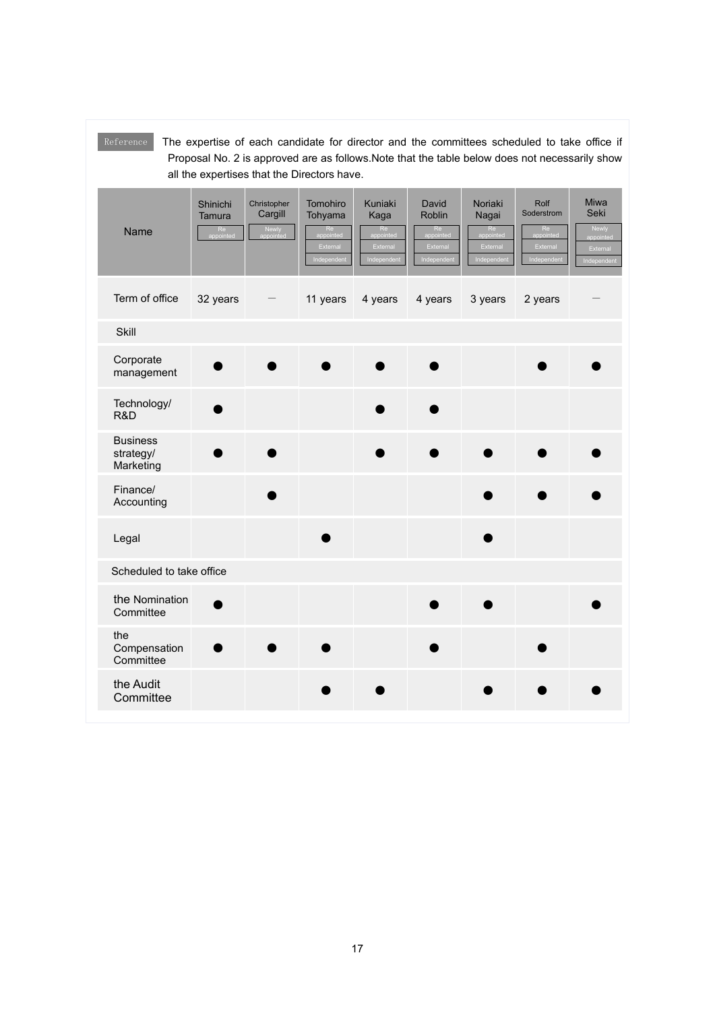| Reference<br>The expertise of each candidate for director and the committees scheduled to take office if<br>Proposal No. 2 is approved are as follows. Note that the table below does not necessarily show<br>all the expertises that the Directors have. |                          |                                 |                                                      |                                                  |                                                         |                                                   |                                                                |                                                                      |
|-----------------------------------------------------------------------------------------------------------------------------------------------------------------------------------------------------------------------------------------------------------|--------------------------|---------------------------------|------------------------------------------------------|--------------------------------------------------|---------------------------------------------------------|---------------------------------------------------|----------------------------------------------------------------|----------------------------------------------------------------------|
| Name                                                                                                                                                                                                                                                      | Shinichi<br>Tamura<br>Re | Christopher<br>Cargill<br>Newly | Tomohiro<br>Tohyama<br>Re<br>External<br>Independent | Kuniaki<br>Kaga<br>Re<br>External<br>Independent | David<br><b>Roblin</b><br>Re<br>External<br>Independent | Noriaki<br>Nagai<br>Re<br>External<br>Independent | Rolf<br>Soderstrom<br>Re<br>pointed<br>External<br>Independent | <b>Miwa</b><br>Seki<br>Newly<br>appointed<br>External<br>Independent |
| Term of office                                                                                                                                                                                                                                            | 32 years                 |                                 | 11 years                                             | 4 years                                          | 4 years                                                 | 3 years                                           | 2 years                                                        |                                                                      |
| Skill                                                                                                                                                                                                                                                     |                          |                                 |                                                      |                                                  |                                                         |                                                   |                                                                |                                                                      |
| Corporate<br>management                                                                                                                                                                                                                                   |                          |                                 |                                                      |                                                  |                                                         |                                                   |                                                                |                                                                      |
| Technology/<br>R&D                                                                                                                                                                                                                                        |                          |                                 |                                                      |                                                  |                                                         |                                                   |                                                                |                                                                      |
| <b>Business</b><br>strategy/<br>Marketing                                                                                                                                                                                                                 |                          |                                 |                                                      |                                                  |                                                         |                                                   |                                                                |                                                                      |
| Finance/<br>Accounting                                                                                                                                                                                                                                    |                          |                                 |                                                      |                                                  |                                                         |                                                   |                                                                |                                                                      |
| Legal                                                                                                                                                                                                                                                     |                          |                                 |                                                      |                                                  |                                                         |                                                   |                                                                |                                                                      |
| Scheduled to take office                                                                                                                                                                                                                                  |                          |                                 |                                                      |                                                  |                                                         |                                                   |                                                                |                                                                      |
| the Nomination<br>Committee                                                                                                                                                                                                                               |                          |                                 |                                                      |                                                  |                                                         |                                                   |                                                                |                                                                      |
| the<br>Compensation<br>Committee                                                                                                                                                                                                                          |                          |                                 |                                                      |                                                  |                                                         |                                                   |                                                                |                                                                      |
| the Audit<br>Committee                                                                                                                                                                                                                                    |                          |                                 |                                                      |                                                  |                                                         |                                                   |                                                                |                                                                      |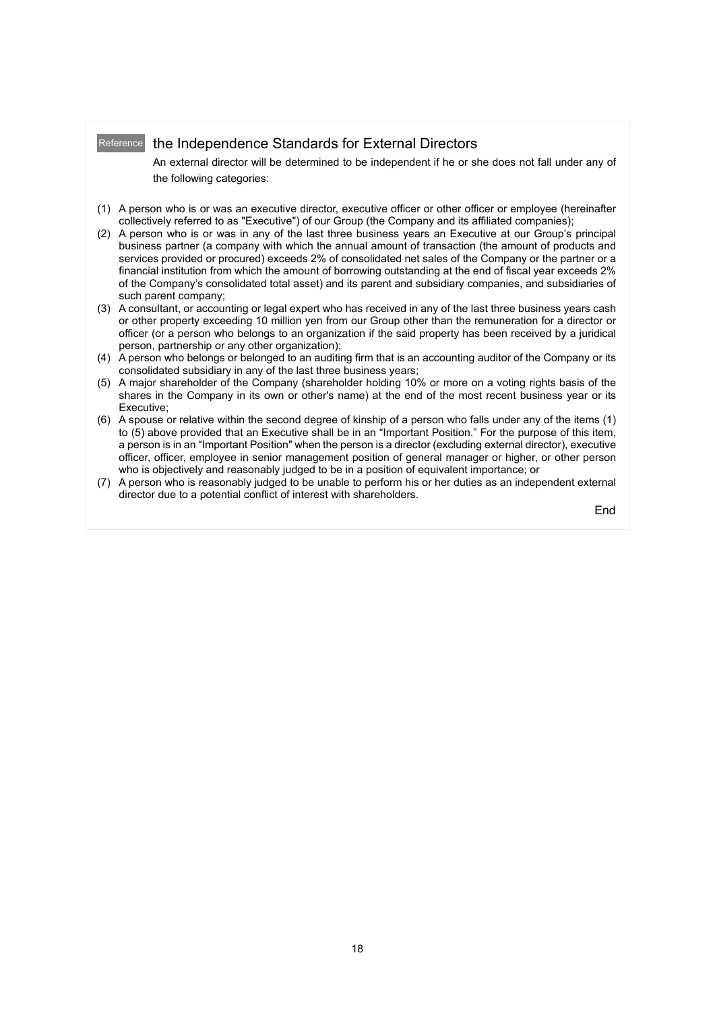# Reference the Independence Standards for External Directors

An external director will be determined to be independent if he or she does not fall under any of the following categories:

- (1) A person who is or was an executive director, executive officer or other officer or employee (hereinafter collectively referred to as "Executive") of our Group (the Company and its affiliated companies);
- (2) A person who is or was in any of the last three business years an Executive at our Group's principal business partner (a company with which the annual amount of transaction (the amount of products and services provided or procured) exceeds 2% of consolidated net sales of the Company or the partner or a financial institution from which the amount of borrowing outstanding at the end of fiscal year exceeds 2% of the Company's consolidated total asset) and its parent and subsidiary companies, and subsidiaries of such parent company;
- (3) A consultant, or accounting or legal expert who has received in any of the last three business years cash or other property exceeding 10 million yen from our Group other than the remuneration for a director or officer (or a person who belongs to an organization if the said property has been received by a juridical person, partnership or any other organization);
- (4) A person who belongs or belonged to an auditing firm that is an accounting auditor of the Company or its consolidated subsidiary in any of the last three business years;
- (5) A major shareholder of the Company (shareholder holding 10% or more on a voting rights basis of the shares in the Company in its own or other's name) at the end of the most recent business year or its Executive;
- (6) A spouse or relative within the second degree of kinship of a person who falls under any of the items (1) to (5) above provided that an Executive shall be in an "Important Position." For the purpose of this item, a person is in an "Important Position" when the person is a director (excluding external director), executive officer, officer, employee in senior management position of general manager or higher, or other person who is objectively and reasonably judged to be in a position of equivalent importance; or
- (7) A person who is reasonably judged to be unable to perform his or her duties as an independent external director due to a potential conflict of interest with shareholders.

End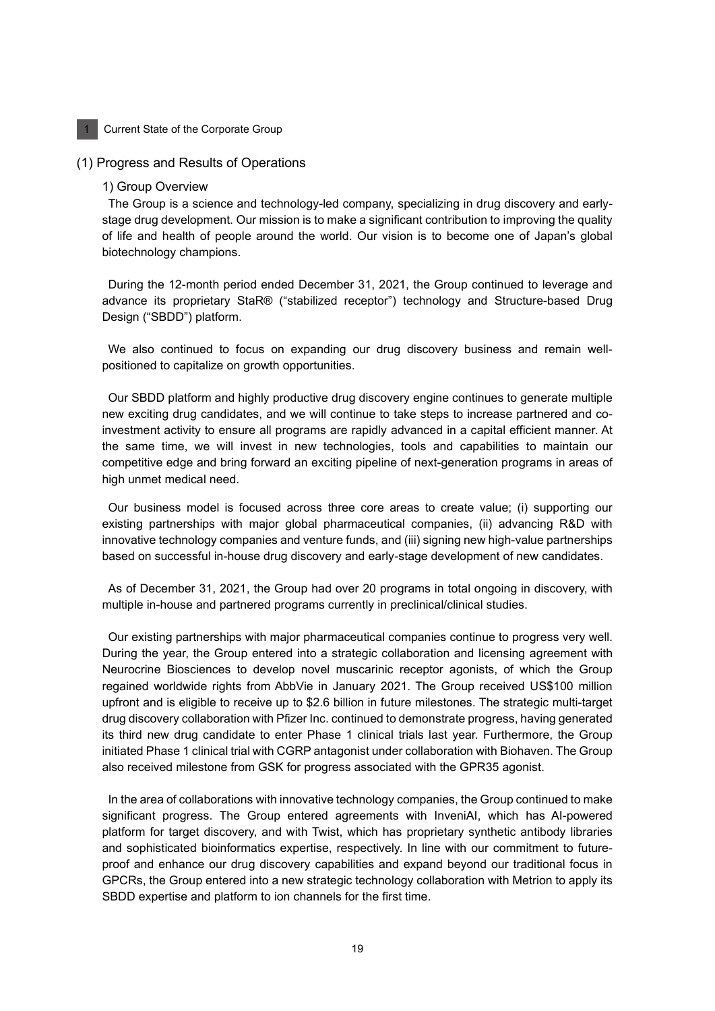#### **Current State of the Corporate Group**

#### (1) Progress and Results of Operations

#### 1) Group Overview

The Group is a science and technology-led company, specializing in drug discovery and earlystage drug development. Our mission is to make a significant contribution to improving the quality of life and health of people around the world. Our vision is to become one of Japan's global biotechnology champions.

During the 12-month period ended December 31, 2021, the Group continued to leverage and advance its proprietary StaR® ("stabilized receptor") technology and Structure-based Drug Design ("SBDD") platform.

We also continued to focus on expanding our drug discovery business and remain wellpositioned to capitalize on growth opportunities.

Our SBDD platform and highly productive drug discovery engine continues to generate multiple new exciting drug candidates, and we will continue to take steps to increase partnered and coinvestment activity to ensure all programs are rapidly advanced in a capital efficient manner. At the same time, we will invest in new technologies, tools and capabilities to maintain our competitive edge and bring forward an exciting pipeline of next-generation programs in areas of high unmet medical need.

Our business model is focused across three core areas to create value; (i) supporting our existing partnerships with major global pharmaceutical companies, (ii) advancing R&D with innovative technology companies and venture funds, and (iii) signing new high-value partnerships based on successful in-house drug discovery and early-stage development of new candidates.

As of December 31, 2021, the Group had over 20 programs in total ongoing in discovery, with multiple in-house and partnered programs currently in preclinical/clinical studies.

Our existing partnerships with major pharmaceutical companies continue to progress very well. During the year, the Group entered into a strategic collaboration and licensing agreement with Neurocrine Biosciences to develop novel muscarinic receptor agonists, of which the Group regained worldwide rights from AbbVie in January 2021. The Group received US\$100 million upfront and is eligible to receive up to \$2.6 billion in future milestones. The strategic multi-target drug discovery collaboration with Pfizer Inc. continued to demonstrate progress, having generated its third new drug candidate to enter Phase 1 clinical trials last year. Furthermore, the Group initiated Phase 1 clinical trial with CGRP antagonist under collaboration with Biohaven. The Group also received milestone from GSK for progress associated with the GPR35 agonist.

In the area of collaborations with innovative technology companies, the Group continued to make significant progress. The Group entered agreements with InveniAI, which has AI-powered platform for target discovery, and with Twist, which has proprietary synthetic antibody libraries and sophisticated bioinformatics expertise, respectively. In line with our commitment to futureproof and enhance our drug discovery capabilities and expand beyond our traditional focus in GPCRs, the Group entered into a new strategic technology collaboration with Metrion to apply its SBDD expertise and platform to ion channels for the first time.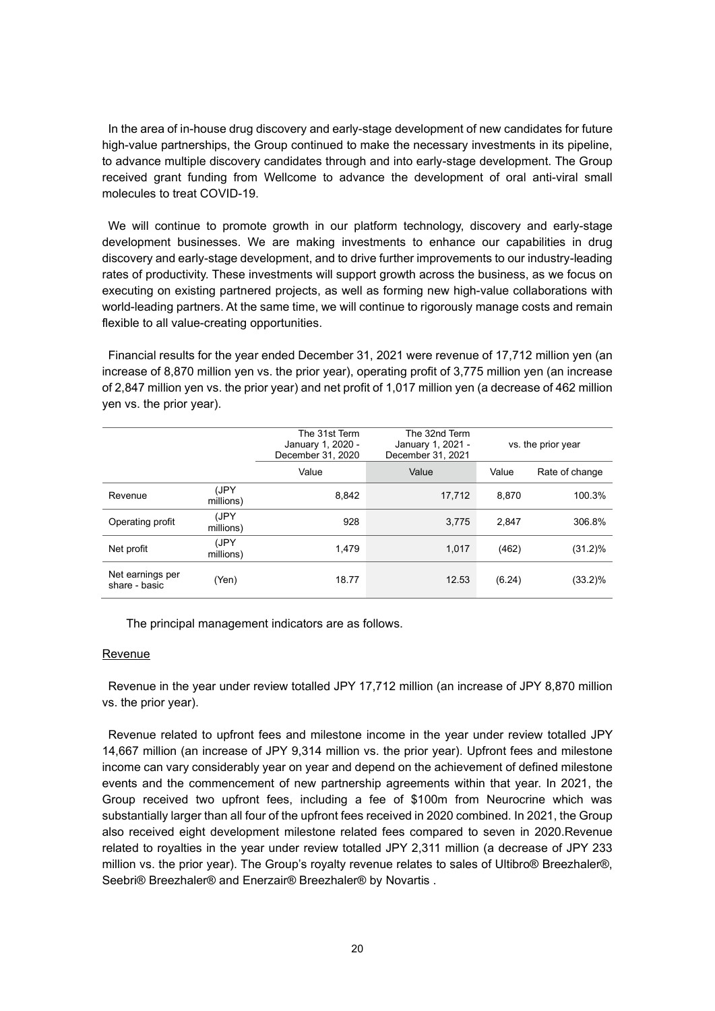In the area of in-house drug discovery and early-stage development of new candidates for future high-value partnerships, the Group continued to make the necessary investments in its pipeline, to advance multiple discovery candidates through and into early-stage development. The Group received grant funding from Wellcome to advance the development of oral anti-viral small molecules to treat COVID-19.

We will continue to promote growth in our platform technology, discovery and early-stage development businesses. We are making investments to enhance our capabilities in drug discovery and early-stage development, and to drive further improvements to our industry-leading rates of productivity. These investments will support growth across the business, as we focus on executing on existing partnered projects, as well as forming new high-value collaborations with world-leading partners. At the same time, we will continue to rigorously manage costs and remain flexible to all value-creating opportunities.

Financial results for the year ended December 31, 2021 were revenue of 17,712 million yen (an increase of 8,870 million yen vs. the prior year), operating profit of 3,775 million yen (an increase of 2,847 million yen vs. the prior year) and net profit of 1,017 million yen (a decrease of 462 million yen vs. the prior year).

|                                   |                   | The 31st Term<br>January 1, 2020 -<br>December 31, 2020 | The 32nd Term<br>January 1, 2021 -<br>December 31, 2021 |        | vs. the prior year |
|-----------------------------------|-------------------|---------------------------------------------------------|---------------------------------------------------------|--------|--------------------|
|                                   |                   | Value                                                   | Value                                                   | Value  | Rate of change     |
| Revenue                           | (JPY<br>millions) | 8,842                                                   | 17,712                                                  | 8.870  | 100.3%             |
| Operating profit                  | (JPY<br>millions) | 928                                                     | 3,775                                                   | 2.847  | 306.8%             |
| Net profit                        | (JPY<br>millions) | 1.479                                                   | 1.017                                                   | (462)  | $(31.2)\%$         |
| Net earnings per<br>share - basic | (Yen)             | 18.77                                                   | 12.53                                                   | (6.24) | $(33.2)\%$         |

The principal management indicators are as follows.

### Revenue

Revenue in the year under review totalled JPY 17,712 million (an increase of JPY 8,870 million vs. the prior year).

Revenue related to upfront fees and milestone income in the year under review totalled JPY 14,667 million (an increase of JPY 9,314 million vs. the prior year). Upfront fees and milestone income can vary considerably year on year and depend on the achievement of defined milestone events and the commencement of new partnership agreements within that year. In 2021, the Group received two upfront fees, including a fee of \$100m from Neurocrine which was substantially larger than all four of the upfront fees received in 2020 combined. In 2021, the Group also received eight development milestone related fees compared to seven in 2020.Revenue related to royalties in the year under review totalled JPY 2,311 million (a decrease of JPY 233 million vs. the prior year). The Group's royalty revenue relates to sales of Ultibro® Breezhaler®, Seebri® Breezhaler® and Enerzair® Breezhaler® by Novartis .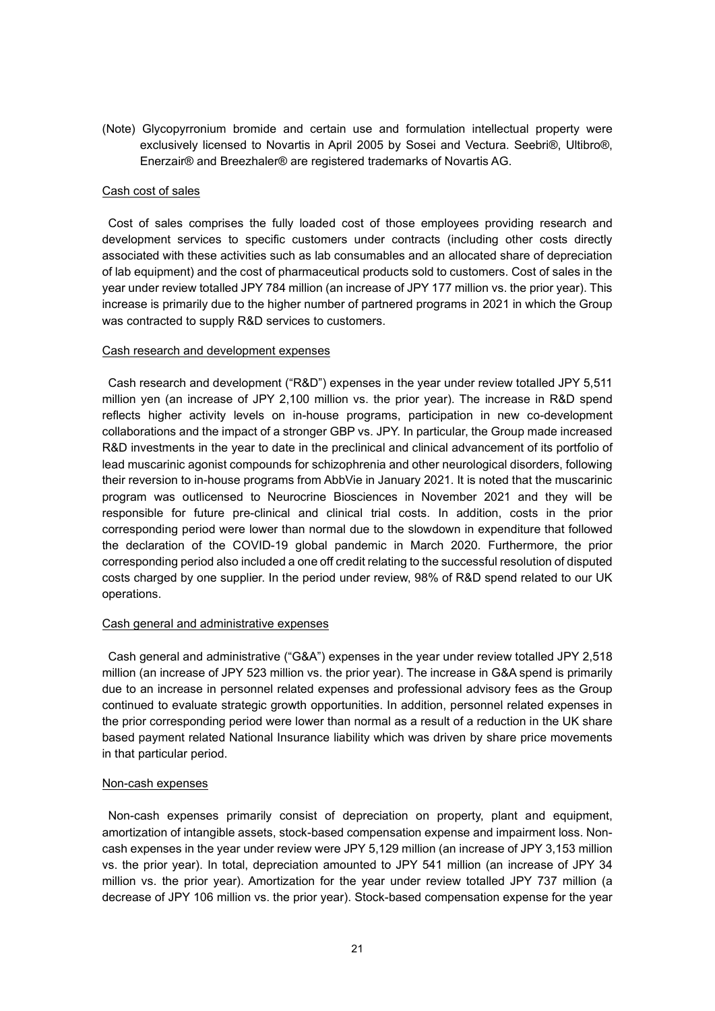(Note) Glycopyrronium bromide and certain use and formulation intellectual property were exclusively licensed to Novartis in April 2005 by Sosei and Vectura. Seebri®, Ultibro®, Enerzair® and Breezhaler® are registered trademarks of Novartis AG.

## Cash cost of sales

Cost of sales comprises the fully loaded cost of those employees providing research and development services to specific customers under contracts (including other costs directly associated with these activities such as lab consumables and an allocated share of depreciation of lab equipment) and the cost of pharmaceutical products sold to customers. Cost of sales in the year under review totalled JPY 784 million (an increase of JPY 177 million vs. the prior year). This increase is primarily due to the higher number of partnered programs in 2021 in which the Group was contracted to supply R&D services to customers.

# Cash research and development expenses

Cash research and development ("R&D") expenses in the year under review totalled JPY 5,511 million yen (an increase of JPY 2,100 million vs. the prior year). The increase in R&D spend reflects higher activity levels on in-house programs, participation in new co-development collaborations and the impact of a stronger GBP vs. JPY. In particular, the Group made increased R&D investments in the year to date in the preclinical and clinical advancement of its portfolio of lead muscarinic agonist compounds for schizophrenia and other neurological disorders, following their reversion to in-house programs from AbbVie in January 2021. It is noted that the muscarinic program was outlicensed to Neurocrine Biosciences in November 2021 and they will be responsible for future pre-clinical and clinical trial costs. In addition, costs in the prior corresponding period were lower than normal due to the slowdown in expenditure that followed the declaration of the COVID-19 global pandemic in March 2020. Furthermore, the prior corresponding period also included a one off credit relating to the successful resolution of disputed costs charged by one supplier. In the period under review, 98% of R&D spend related to our UK operations.

### Cash general and administrative expenses

Cash general and administrative ("G&A") expenses in the year under review totalled JPY 2,518 million (an increase of JPY 523 million vs. the prior year). The increase in G&A spend is primarily due to an increase in personnel related expenses and professional advisory fees as the Group continued to evaluate strategic growth opportunities. In addition, personnel related expenses in the prior corresponding period were lower than normal as a result of a reduction in the UK share based payment related National Insurance liability which was driven by share price movements in that particular period.

### Non-cash expenses

Non-cash expenses primarily consist of depreciation on property, plant and equipment, amortization of intangible assets, stock-based compensation expense and impairment loss. Noncash expenses in the year under review were JPY 5,129 million (an increase of JPY 3,153 million vs. the prior year). In total, depreciation amounted to JPY 541 million (an increase of JPY 34 million vs. the prior year). Amortization for the year under review totalled JPY 737 million (a decrease of JPY 106 million vs. the prior year). Stock-based compensation expense for the year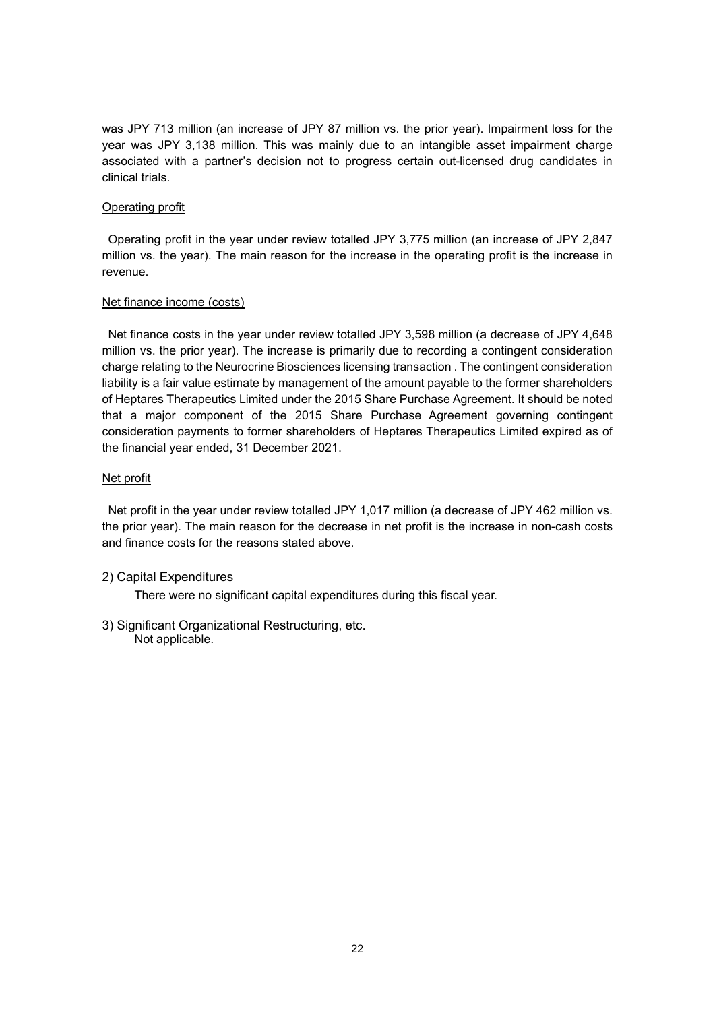was JPY 713 million (an increase of JPY 87 million vs. the prior year). Impairment loss for the year was JPY 3,138 million. This was mainly due to an intangible asset impairment charge associated with a partner's decision not to progress certain out-licensed drug candidates in clinical trials.

# Operating profit

Operating profit in the year under review totalled JPY 3,775 million (an increase of JPY 2,847 million vs. the year). The main reason for the increase in the operating profit is the increase in revenue.

### Net finance income (costs)

Net finance costs in the year under review totalled JPY 3,598 million (a decrease of JPY 4,648 million vs. the prior year). The increase is primarily due to recording a contingent consideration charge relating to the Neurocrine Biosciences licensing transaction . The contingent consideration liability is a fair value estimate by management of the amount payable to the former shareholders of Heptares Therapeutics Limited under the 2015 Share Purchase Agreement. It should be noted that a major component of the 2015 Share Purchase Agreement governing contingent consideration payments to former shareholders of Heptares Therapeutics Limited expired as of the financial year ended, 31 December 2021.

# Net profit

Net profit in the year under review totalled JPY 1,017 million (a decrease of JPY 462 million vs. the prior year). The main reason for the decrease in net profit is the increase in non-cash costs and finance costs for the reasons stated above.

# 2) Capital Expenditures

There were no significant capital expenditures during this fiscal year.

3) Significant Organizational Restructuring, etc. Not applicable.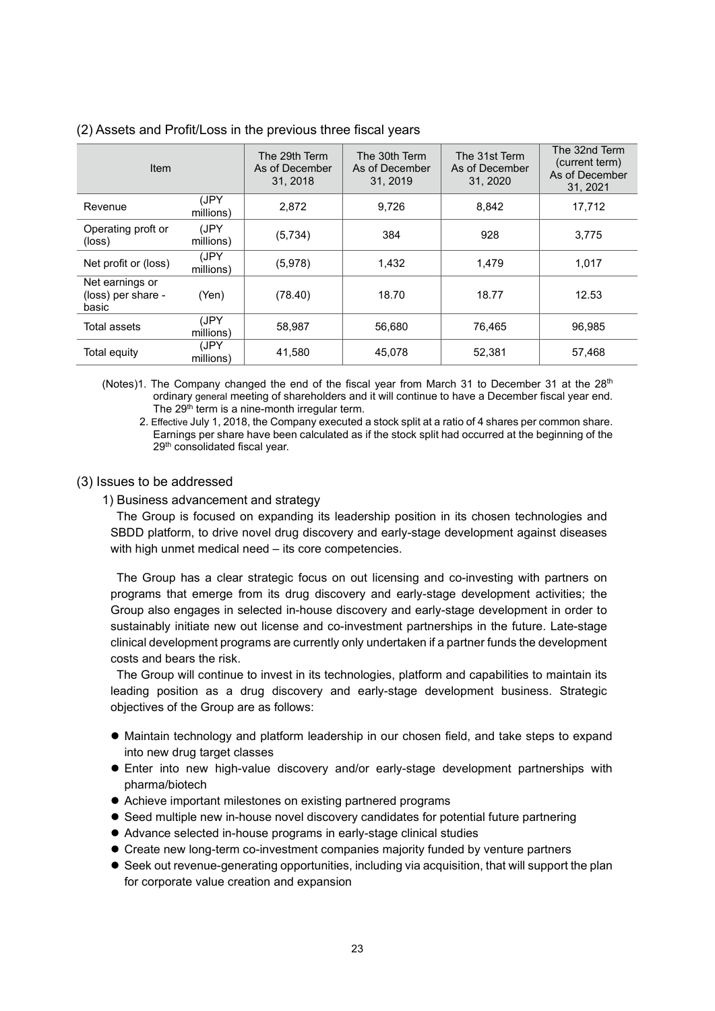| Item                                           |                   | The 29th Term<br>As of December<br>31, 2018 | The 30th Term<br>As of December<br>31, 2019 | The 31st Term<br>As of December<br>31, 2020 | The 32nd Term<br>(current term)<br>As of December<br>31, 2021 |
|------------------------------------------------|-------------------|---------------------------------------------|---------------------------------------------|---------------------------------------------|---------------------------------------------------------------|
| Revenue                                        | (JPY<br>millions) | 2.872                                       | 9.726                                       | 8.842                                       | 17.712                                                        |
| Operating proft or<br>(loss)                   | (JPY<br>millions) | (5,734)                                     | 384                                         | 928                                         | 3,775                                                         |
| Net profit or (loss)                           | (JPY<br>millions) | (5,978)                                     | 1,432                                       | 1.479                                       | 1,017                                                         |
| Net earnings or<br>(loss) per share -<br>basic | (Yen)             | (78.40)                                     | 18.70                                       | 18.77                                       | 12.53                                                         |
| Total assets                                   | (JPY<br>millions) | 58,987                                      | 56.680                                      | 76.465                                      | 96.985                                                        |
| Total equity                                   | (JPY<br>millions) | 41,580                                      | 45,078                                      | 52,381                                      | 57,468                                                        |

(2) Assets and Profit/Loss in the previous three fiscal years

(Notes)1. The Company changed the end of the fiscal year from March 31 to December 31 at the  $28<sup>th</sup>$ ordinary general meeting of shareholders and it will continue to have a December fiscal year end. The  $29<sup>th</sup>$  term is a nine-month irregular term.

2. Effective July 1, 2018, the Company executed a stock split at a ratio of 4 shares per common share. Earnings per share have been calculated as if the stock split had occurred at the beginning of the 29<sup>th</sup> consolidated fiscal year.

# (3) Issues to be addressed

### 1) Business advancement and strategy

The Group is focused on expanding its leadership position in its chosen technologies and SBDD platform, to drive novel drug discovery and early-stage development against diseases with high unmet medical need – its core competencies.

The Group has a clear strategic focus on out licensing and co-investing with partners on programs that emerge from its drug discovery and early-stage development activities; the Group also engages in selected in-house discovery and early-stage development in order to sustainably initiate new out license and co-investment partnerships in the future. Late-stage clinical development programs are currently only undertaken if a partner funds the development costs and bears the risk.

The Group will continue to invest in its technologies, platform and capabilities to maintain its leading position as a drug discovery and early-stage development business. Strategic objectives of the Group are as follows:

- $\bullet$  Maintain technology and platform leadership in our chosen field, and take steps to expand into new drug target classes
- Enter into new high-value discovery and/or early-stage development partnerships with pharma/biotech
- Achieve important milestones on existing partnered programs
- Seed multiple new in-house novel discovery candidates for potential future partnering
- Advance selected in-house programs in early-stage clinical studies
- Create new long-term co-investment companies majority funded by venture partners
- $\bullet$  Seek out revenue-generating opportunities, including via acquisition, that will support the plan for corporate value creation and expansion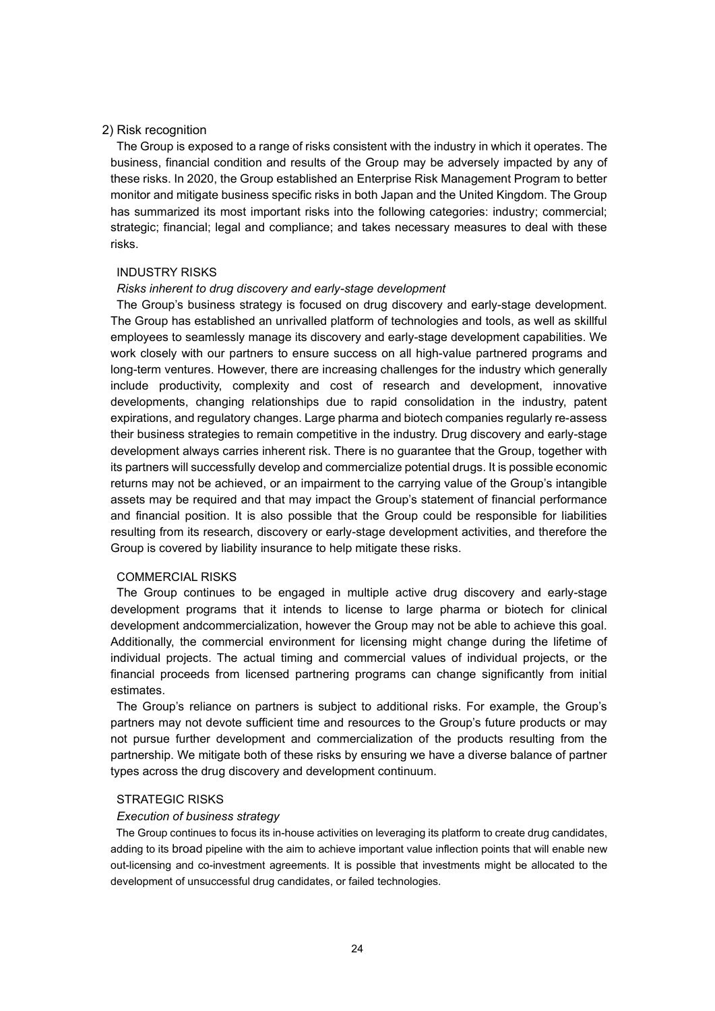#### 2) Risk recognition

The Group is exposed to a range of risks consistent with the industry in which it operates. The business, financial condition and results of the Group may be adversely impacted by any of these risks. In 2020, the Group established an Enterprise Risk Management Program to better monitor and mitigate business specific risks in both Japan and the United Kingdom. The Group has summarized its most important risks into the following categories: industry; commercial; strategic; financial; legal and compliance; and takes necessary measures to deal with these risks.

#### INDUSTRY RISKS

#### *Risks inherent to drug discovery and early-stage development*

The Group's business strategy is focused on drug discovery and early-stage development. The Group has established an unrivalled platform of technologies and tools, as well as skillful employees to seamlessly manage its discovery and early-stage development capabilities. We work closely with our partners to ensure success on all high-value partnered programs and long-term ventures. However, there are increasing challenges for the industry which generally include productivity, complexity and cost of research and development, innovative developments, changing relationships due to rapid consolidation in the industry, patent expirations, and regulatory changes. Large pharma and biotech companies regularly re-assess their business strategies to remain competitive in the industry. Drug discovery and early-stage development always carries inherent risk. There is no guarantee that the Group, together with its partners will successfully develop and commercialize potential drugs. It is possible economic returns may not be achieved, or an impairment to the carrying value of the Group's intangible assets may be required and that may impact the Group's statement of financial performance and financial position. It is also possible that the Group could be responsible for liabilities resulting from its research, discovery or early-stage development activities, and therefore the Group is covered by liability insurance to help mitigate these risks.

#### COMMERCIAL RISKS

The Group continues to be engaged in multiple active drug discovery and early-stage development programs that it intends to license to large pharma or biotech for clinical development andcommercialization, however the Group may not be able to achieve this goal. Additionally, the commercial environment for licensing might change during the lifetime of individual projects. The actual timing and commercial values of individual projects, or the financial proceeds from licensed partnering programs can change significantly from initial estimates.

The Group's reliance on partners is subject to additional risks. For example, the Group's partners may not devote sufficient time and resources to the Group's future products or may not pursue further development and commercialization of the products resulting from the partnership. We mitigate both of these risks by ensuring we have a diverse balance of partner types across the drug discovery and development continuum.

#### STRATEGIC RISKS

#### *Execution of business strategy*

The Group continues to focus its in-house activities on leveraging its platform to create drug candidates, adding to its broad pipeline with the aim to achieve important value inflection points that will enable new out-licensing and co-investment agreements. It is possible that investments might be allocated to the development of unsuccessful drug candidates, or failed technologies.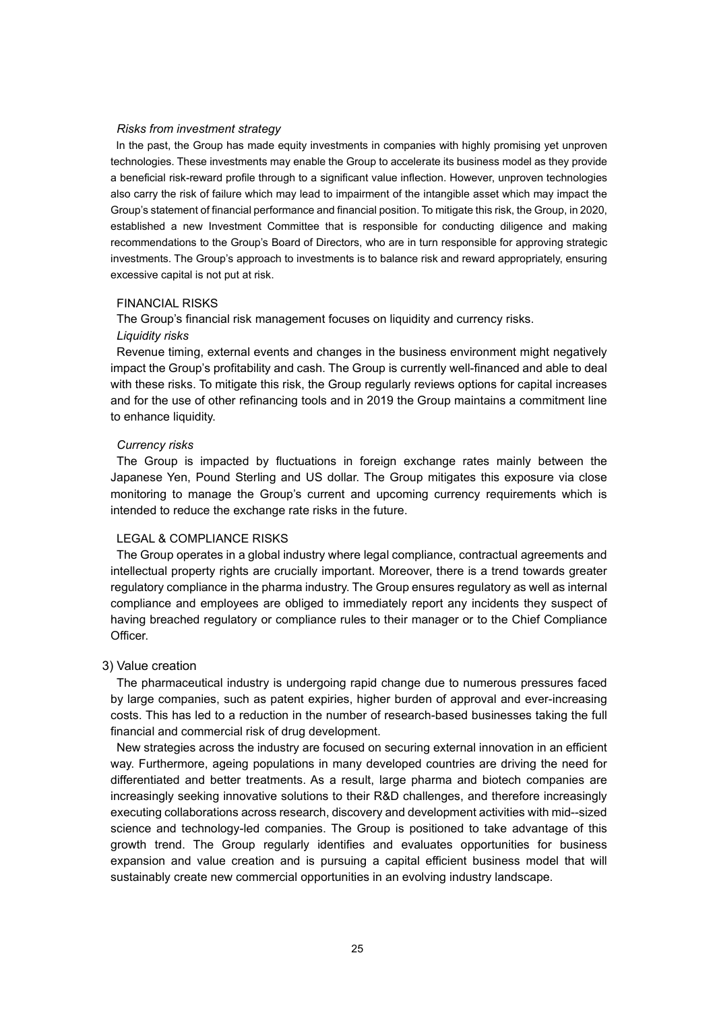#### *Risks from investment strategy*

In the past, the Group has made equity investments in companies with highly promising yet unproven technologies. These investments may enable the Group to accelerate its business model as they provide a beneficial risk-reward profile through to a significant value inflection. However, unproven technologies also carry the risk of failure which may lead to impairment of the intangible asset which may impact the Group's statement of financial performance and financial position. To mitigate this risk, the Group, in 2020, established a new Investment Committee that is responsible for conducting diligence and making recommendations to the Group's Board of Directors, who are in turn responsible for approving strategic investments. The Group's approach to investments is to balance risk and reward appropriately, ensuring excessive capital is not put at risk.

#### FINANCIAL RISKS

The Group's financial risk management focuses on liquidity and currency risks.

#### *Liquidity risks*

Revenue timing, external events and changes in the business environment might negatively impact the Group's profitability and cash. The Group is currently well-financed and able to deal with these risks. To mitigate this risk, the Group regularly reviews options for capital increases and for the use of other refinancing tools and in 2019 the Group maintains a commitment line to enhance liquidity.

#### *Currency risks*

The Group is impacted by fluctuations in foreign exchange rates mainly between the Japanese Yen, Pound Sterling and US dollar. The Group mitigates this exposure via close monitoring to manage the Group's current and upcoming currency requirements which is intended to reduce the exchange rate risks in the future.

#### LEGAL & COMPLIANCE RISKS

The Group operates in a global industry where legal compliance, contractual agreements and intellectual property rights are crucially important. Moreover, there is a trend towards greater regulatory compliance in the pharma industry. The Group ensures regulatory as well as internal compliance and employees are obliged to immediately report any incidents they suspect of having breached regulatory or compliance rules to their manager or to the Chief Compliance Officer.

#### 3) Value creation

The pharmaceutical industry is undergoing rapid change due to numerous pressures faced by large companies, such as patent expiries, higher burden of approval and ever-increasing costs. This has led to a reduction in the number of research-based businesses taking the full financial and commercial risk of drug development.

New strategies across the industry are focused on securing external innovation in an efficient way. Furthermore, ageing populations in many developed countries are driving the need for differentiated and better treatments. As a result, large pharma and biotech companies are increasingly seeking innovative solutions to their R&D challenges, and therefore increasingly executing collaborations across research, discovery and development activities with mid--sized science and technology-led companies. The Group is positioned to take advantage of this growth trend. The Group regularly identifies and evaluates opportunities for business expansion and value creation and is pursuing a capital efficient business model that will sustainably create new commercial opportunities in an evolving industry landscape.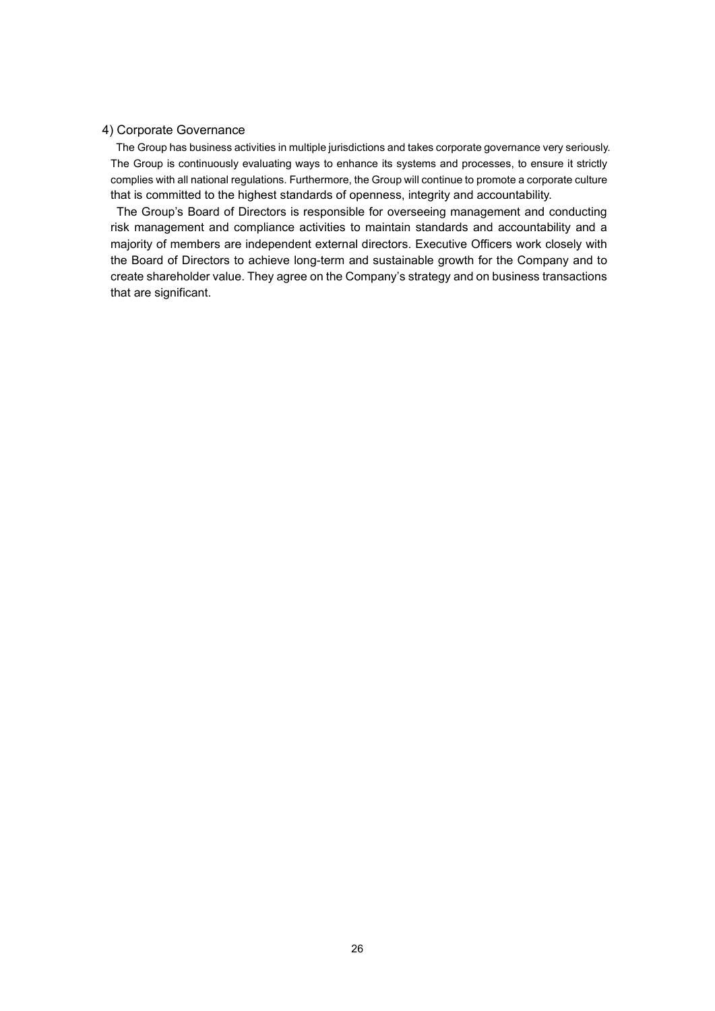# 4) Corporate Governance

The Group has business activities in multiple jurisdictions and takes corporate governance very seriously. The Group is continuously evaluating ways to enhance its systems and processes, to ensure it strictly complies with all national regulations. Furthermore, the Group will continue to promote a corporate culture that is committed to the highest standards of openness, integrity and accountability.

The Group's Board of Directors is responsible for overseeing management and conducting risk management and compliance activities to maintain standards and accountability and a majority of members are independent external directors. Executive Officers work closely with the Board of Directors to achieve long-term and sustainable growth for the Company and to create shareholder value. They agree on the Company's strategy and on business transactions that are significant.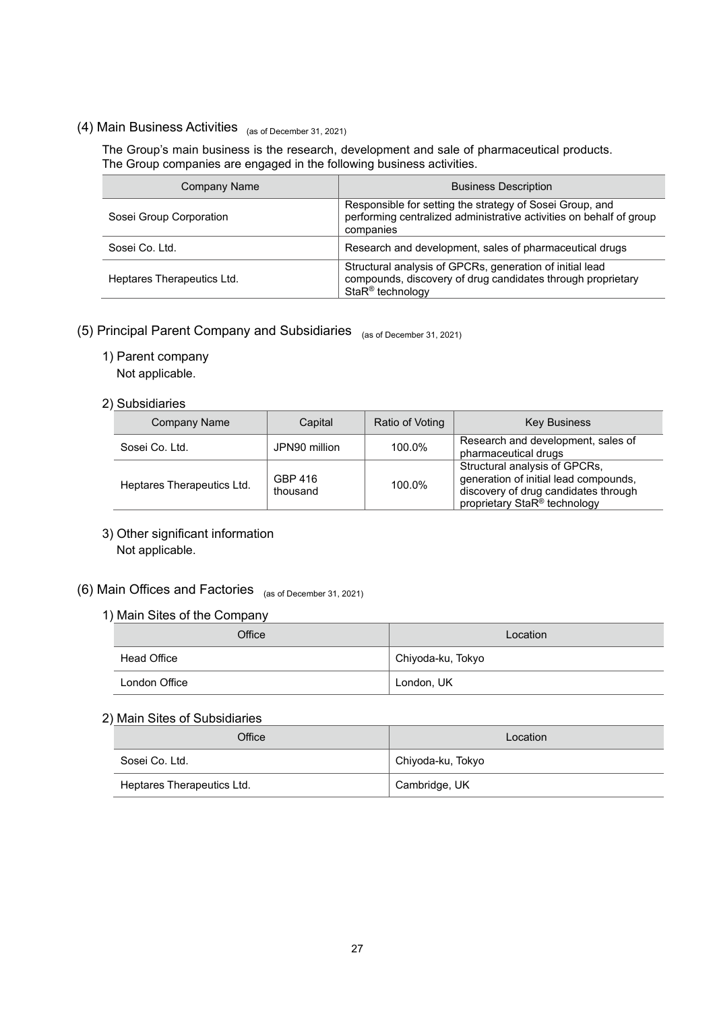# (4) Main Business Activities (as of December 31, 2021)

The Group's main business is the research, development and sale of pharmaceutical products. The Group companies are engaged in the following business activities.

| <b>Company Name</b>        | <b>Business Description</b>                                                                                                                    |
|----------------------------|------------------------------------------------------------------------------------------------------------------------------------------------|
| Sosei Group Corporation    | Responsible for setting the strategy of Sosei Group, and<br>performing centralized administrative activities on behalf of group<br>companies   |
| Sosei Co. Ltd.             | Research and development, sales of pharmaceutical drugs                                                                                        |
| Heptares Therapeutics Ltd. | Structural analysis of GPCRs, generation of initial lead<br>compounds, discovery of drug candidates through proprietary<br>$StaR^@$ technology |

# (5) Principal Parent Company and Subsidiaries (as of December 31, 2021)

- 1) Parent company
	- Not applicable.

# 2) Subsidiaries

| Company Name               | Capital             | Ratio of Voting | <b>Key Business</b>                                                                                                                                        |
|----------------------------|---------------------|-----------------|------------------------------------------------------------------------------------------------------------------------------------------------------------|
| Sosei Co. Ltd.             | JPN90 million       | 100.0%          | Research and development, sales of<br>pharmaceutical drugs                                                                                                 |
| Heptares Therapeutics Ltd. | GBP 416<br>thousand | 100.0%          | Structural analysis of GPCRs,<br>generation of initial lead compounds,<br>discovery of drug candidates through<br>proprietary StaR <sup>®</sup> technology |

3) Other significant information Not applicable.

# (6) Main Offices and Factories (as of December 31, 2021)

# 1) Main Sites of the Company

| Office        | Location          |  |  |
|---------------|-------------------|--|--|
| Head Office   | Chiyoda-ku, Tokyo |  |  |
| London Office | London, UK        |  |  |

# 2) Main Sites of Subsidiaries

| Office                     | Location          |  |
|----------------------------|-------------------|--|
| Sosei Co. Ltd.             | Chiyoda-ku, Tokyo |  |
| Heptares Therapeutics Ltd. | Cambridge, UK     |  |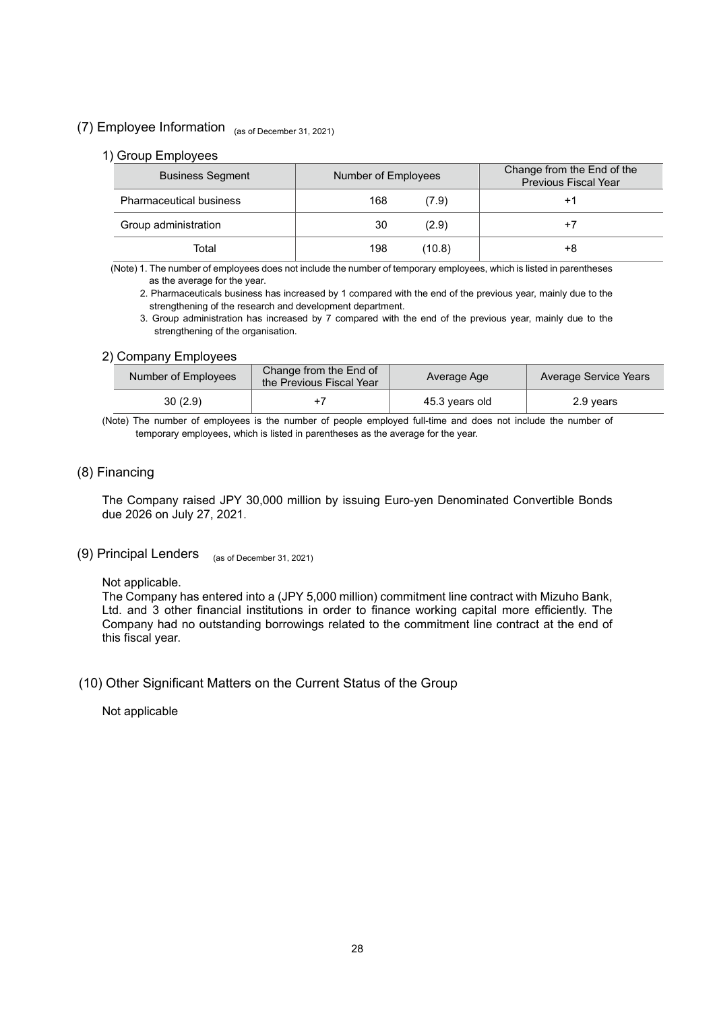# (7) Employee Information (as of December 31, 2021)

## 1) Group Employees

| <b>Business Segment</b>        | Number of Employees | Change from the End of the<br><b>Previous Fiscal Year</b> |
|--------------------------------|---------------------|-----------------------------------------------------------|
| <b>Pharmaceutical business</b> | 168<br>(7.9)        | +1                                                        |
| Group administration           | 30<br>(2.9)         | $+7$                                                      |
| Total                          | 198<br>(10.8)       | +8                                                        |

(Note) 1. The number of employees does not include the number of temporary employees, which is listed in parentheses as the average for the year.

2. Pharmaceuticals business has increased by 1 compared with the end of the previous year, mainly due to the strengthening of the research and development department.

3. Group administration has increased by 7 compared with the end of the previous year, mainly due to the strengthening of the organisation.

# 2) Company Employees

| Number of Employees | Change from the End of<br>the Previous Fiscal Year | Average Age    | Average Service Years |
|---------------------|----------------------------------------------------|----------------|-----------------------|
| 30(2.9)             |                                                    | 45.3 years old | 2.9 years             |

(Note) The number of employees is the number of people employed full-time and does not include the number of temporary employees, which is listed in parentheses as the average for the year.

# (8) Financing

The Company raised JPY 30,000 million by issuing Euro-yen Denominated Convertible Bonds due 2026 on July 27, 2021.

# (9) Principal Lenders (as of December 31, 2021)

### Not applicable.

The Company has entered into a (JPY 5,000 million) commitment line contract with Mizuho Bank, Ltd. and 3 other financial institutions in order to finance working capital more efficiently. The Company had no outstanding borrowings related to the commitment line contract at the end of this fiscal year.

# (10) Other Significant Matters on the Current Status of the Group

Not applicable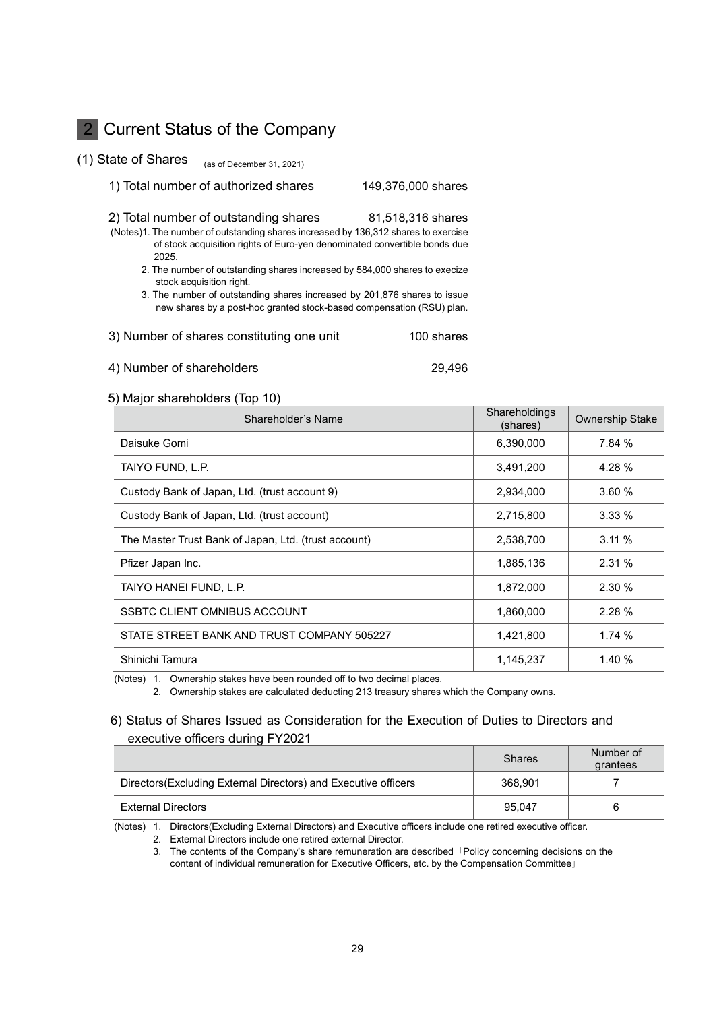# 2 Current Status of the Company

(1) State of Shares (as of December 31, 2021)

### 1) Total number of authorized shares 149,376,000 shares

| 2) Total number of outstanding shares | 81,518,316 shares |
|---------------------------------------|-------------------|
|                                       |                   |

- (Notes)1. The number of outstanding shares increased by 136,312 shares to exercise of stock acquisition rights of Euro-yen denominated convertible bonds due 2025.
	- 2. The number of outstanding shares increased by 584,000 shares to execize stock acquisition right.
	- 3. The number of outstanding shares increased by 201,876 shares to issue new shares by a post-hoc granted stock-based compensation (RSU) plan.

| 3) Number of shares constituting one unit | 100 shares |
|-------------------------------------------|------------|
|-------------------------------------------|------------|

#### 4) Number of shareholders 29,496

## 5) Major shareholders (Top 10)

| Shareholder's Name                                   | Shareholdings<br>(shares) | <b>Ownership Stake</b> |
|------------------------------------------------------|---------------------------|------------------------|
| Daisuke Gomi                                         | 6,390,000                 | 7.84%                  |
| TAIYO FUND, L.P.                                     | 3,491,200                 | 4.28 %                 |
| Custody Bank of Japan, Ltd. (trust account 9)        | 2,934,000                 | 3.60%                  |
| Custody Bank of Japan, Ltd. (trust account)          | 2,715,800                 | 3.33%                  |
| The Master Trust Bank of Japan, Ltd. (trust account) | 2,538,700                 | 3.11%                  |
| Pfizer Japan Inc.                                    | 1,885,136                 | 2.31%                  |
| TAIYO HANEI FUND, L.P.                               | 1,872,000                 | 2.30%                  |
| SSBTC CLIENT OMNIBUS ACCOUNT                         | 1,860,000                 | 2.28%                  |
| STATE STREET BANK AND TRUST COMPANY 505227           | 1,421,800                 | 1.74%                  |
| Shinichi Tamura                                      | 1,145,237                 | 1.40 %                 |

(Notes) 1. Ownership stakes have been rounded off to two decimal places.

2. Ownership stakes are calculated deducting 213 treasury shares which the Company owns.

# 6) Status of Shares Issued as Consideration for the Execution of Duties to Directors and executive officers during FY2021

|                                                                 | <b>Shares</b> | Number of<br>grantees |
|-----------------------------------------------------------------|---------------|-----------------------|
| Directors (Excluding External Directors) and Executive officers | 368.901       |                       |
| <b>External Directors</b>                                       | 95.047        | 6                     |

(Notes) 1. Directors(Excluding External Directors) and Executive officers include one retired executive officer.

2. External Directors include one retired external Director.

3. The contents of the Company's share remuneration are described 「Policy concerning decisions on the content of individual remuneration for Executive Officers, etc. by the Compensation Committee」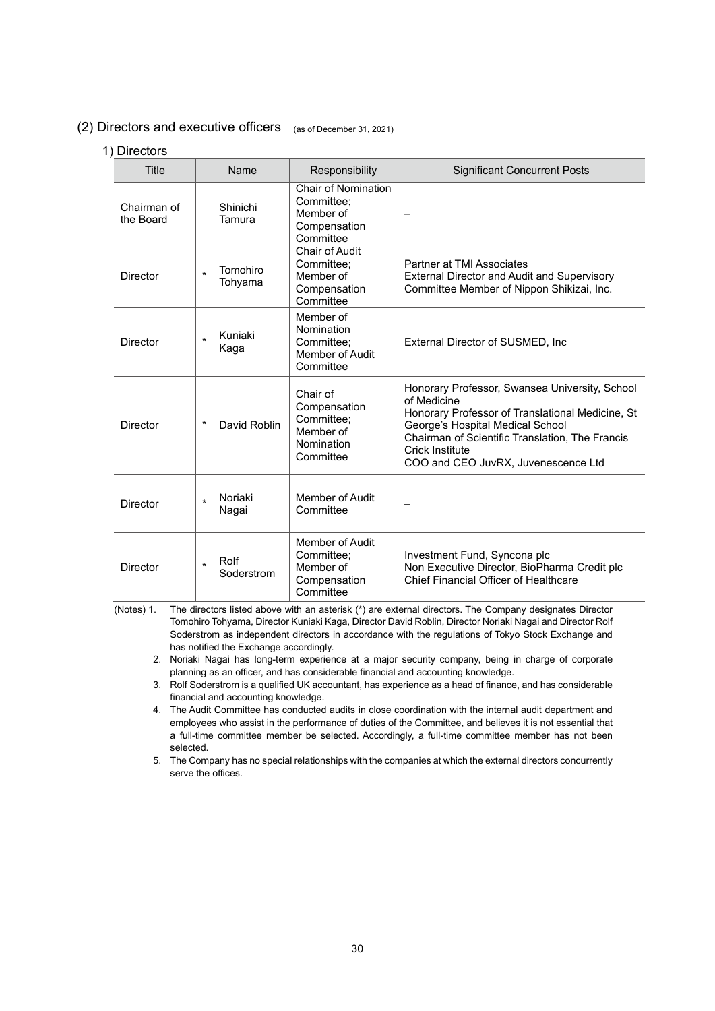# (2) Directors and executive officers (as of December 31, 2021)

# 1) Directors

| Title                    | Name                           | Responsibility                                                                     | <b>Significant Concurrent Posts</b>                                                                                                                                                                                                                                |
|--------------------------|--------------------------------|------------------------------------------------------------------------------------|--------------------------------------------------------------------------------------------------------------------------------------------------------------------------------------------------------------------------------------------------------------------|
| Chairman of<br>the Board | Shinichi<br>Tamura             | <b>Chair of Nomination</b><br>Committee:<br>Member of<br>Compensation<br>Committee |                                                                                                                                                                                                                                                                    |
| <b>Director</b>          | Tomohiro<br>$\star$<br>Tohyama | Chair of Audit<br>Committee;<br>Member of<br>Compensation<br>Committee             | Partner at TMI Associates<br>External Director and Audit and Supervisory<br>Committee Member of Nippon Shikizai, Inc.                                                                                                                                              |
| <b>Director</b>          | Kuniaki<br>$\star$<br>Kaga     | Member of<br>Nomination<br>Committee:<br><b>Member of Audit</b><br>Committee       | External Director of SUSMED, Inc.                                                                                                                                                                                                                                  |
| <b>Director</b>          | $^\star$<br>David Roblin       | Chair of<br>Compensation<br>Committee:<br>Member of<br>Nomination<br>Committee     | Honorary Professor, Swansea University, School<br>of Medicine<br>Honorary Professor of Translational Medicine, St<br>George's Hospital Medical School<br>Chairman of Scientific Translation, The Francis<br>Crick Institute<br>COO and CEO JuvRX, Juvenescence Ltd |
| Director                 | Noriaki<br>$\star$<br>Nagai    | Member of Audit<br>Committee                                                       |                                                                                                                                                                                                                                                                    |
| Director                 | Rolf<br>$\star$<br>Soderstrom  | Member of Audit<br>Committee;<br>Member of<br>Compensation<br>Committee            | Investment Fund, Syncona plc<br>Non Executive Director, BioPharma Credit plc<br>Chief Financial Officer of Healthcare                                                                                                                                              |

(Notes) 1. The directors listed above with an asterisk (\*) are external directors. The Company designates Director Tomohiro Tohyama, Director Kuniaki Kaga, Director David Roblin, Director Noriaki Nagai and Director Rolf Soderstrom as independent directors in accordance with the regulations of Tokyo Stock Exchange and has notified the Exchange accordingly.

2. Noriaki Nagai has long-term experience at a major security company, being in charge of corporate planning as an officer, and has considerable financial and accounting knowledge.

3. Rolf Soderstrom is a qualified UK accountant, has experience as a head of finance, and has considerable financial and accounting knowledge.

4. The Audit Committee has conducted audits in close coordination with the internal audit department and employees who assist in the performance of duties of the Committee, and believes it is not essential that a full-time committee member be selected. Accordingly, a full-time committee member has not been selected.

5. The Company has no special relationships with the companies at which the external directors concurrently serve the offices.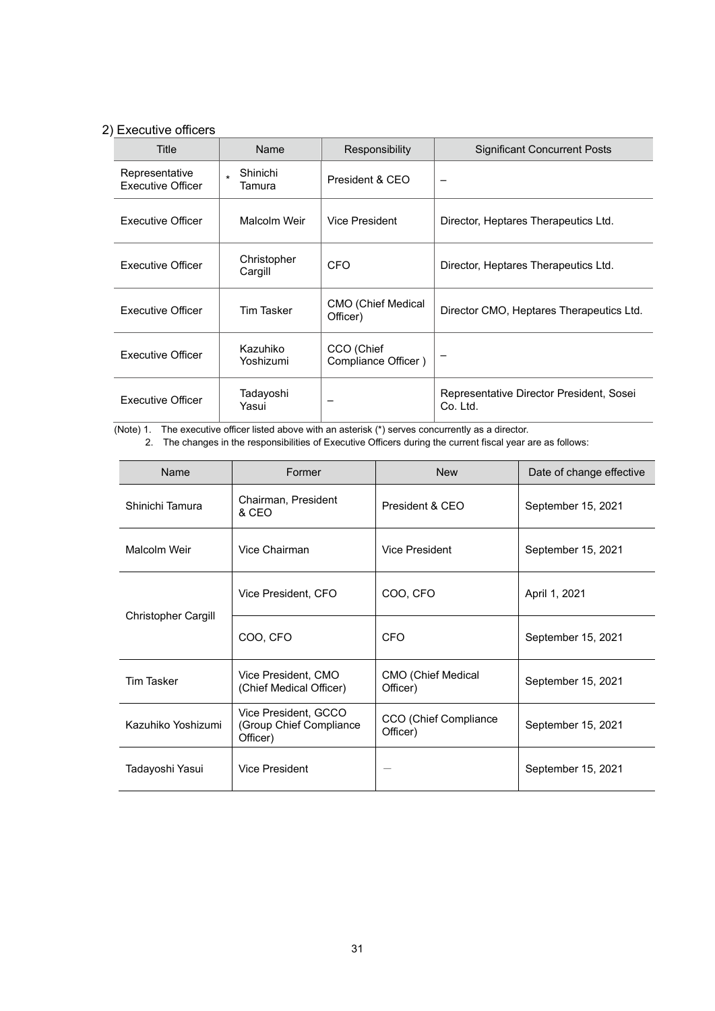# 2) Executive officers

| Title                                      | Name                   | Responsibility                    | <b>Significant Concurrent Posts</b>                  |
|--------------------------------------------|------------------------|-----------------------------------|------------------------------------------------------|
| Representative<br><b>Executive Officer</b> | Shinichi<br>Tamura     | President & CEO                   |                                                      |
| Executive Officer                          | Malcolm Weir           | Vice President                    | Director, Heptares Therapeutics Ltd.                 |
| <b>Executive Officer</b>                   | Christopher<br>Cargill | CFO                               | Director, Heptares Therapeutics Ltd.                 |
| <b>Executive Officer</b>                   | Tim Tasker             | CMO (Chief Medical<br>Officer)    | Director CMO, Heptares Therapeutics Ltd.             |
| <b>Executive Officer</b>                   | Kazuhiko<br>Yoshizumi  | CCO (Chief<br>Compliance Officer) |                                                      |
| <b>Executive Officer</b>                   | Tadayoshi<br>Yasui     |                                   | Representative Director President, Sosei<br>Co. Ltd. |

(Note) 1. The executive officer listed above with an asterisk (\*) serves concurrently as a director.

2. The changes in the responsibilities of Executive Officers during the current fiscal year are as follows:

| Name                       | Former                                                      | <b>New</b>                            | Date of change effective |
|----------------------------|-------------------------------------------------------------|---------------------------------------|--------------------------|
| Shinichi Tamura            | Chairman, President<br>& CEO                                | President & CFO                       | September 15, 2021       |
| Malcolm Weir               | Vice Chairman                                               | Vice President                        | September 15, 2021       |
|                            | Vice President, CFO                                         | COO, CFO                              | April 1, 2021            |
| <b>Christopher Cargill</b> | COO, CFO                                                    | <b>CFO</b>                            | September 15, 2021       |
| <b>Tim Tasker</b>          | Vice President, CMO<br>(Chief Medical Officer)              | <b>CMO (Chief Medical</b><br>Officer) | September 15, 2021       |
| Kazuhiko Yoshizumi         | Vice President, GCCO<br>(Group Chief Compliance<br>Officer) | CCO (Chief Compliance<br>Officer)     | September 15, 2021       |
| Tadayoshi Yasui            | Vice President                                              |                                       | September 15, 2021       |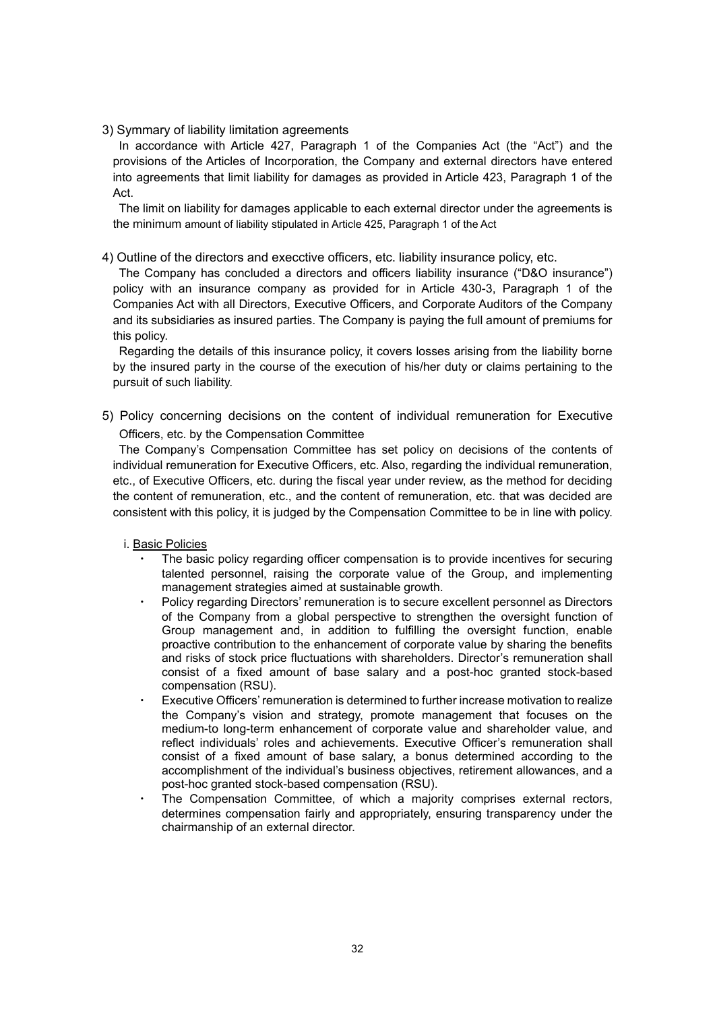# 3) Symmary of liability limitation agreements

In accordance with Article 427, Paragraph 1 of the Companies Act (the "Act") and the provisions of the Articles of Incorporation, the Company and external directors have entered into agreements that limit liability for damages as provided in Article 423, Paragraph 1 of the Act.

The limit on liability for damages applicable to each external director under the agreements is the minimum amount of liability stipulated in Article 425, Paragraph 1 of the Act

4) Outline of the directors and execctive officers, etc. liability insurance policy, etc.

The Company has concluded a directors and officers liability insurance ("D&O insurance") policy with an insurance company as provided for in Article 430-3, Paragraph 1 of the Companies Act with all Directors, Executive Officers, and Corporate Auditors of the Company and its subsidiaries as insured parties. The Company is paying the full amount of premiums for this policy.

Regarding the details of this insurance policy, it covers losses arising from the liability borne by the insured party in the course of the execution of his/her duty or claims pertaining to the pursuit of such liability.

5) Policy concerning decisions on the content of individual remuneration for Executive Officers, etc. by the Compensation Committee

The Company's Compensation Committee has set policy on decisions of the contents of individual remuneration for Executive Officers, etc. Also, regarding the individual remuneration, etc., of Executive Officers, etc. during the fiscal year under review, as the method for deciding the content of remuneration, etc., and the content of remuneration, etc. that was decided are consistent with this policy, it is judged by the Compensation Committee to be in line with policy.

- i. Basic Policies
	- The basic policy regarding officer compensation is to provide incentives for securing talented personnel, raising the corporate value of the Group, and implementing management strategies aimed at sustainable growth.
	- Policy regarding Directors' remuneration is to secure excellent personnel as Directors of the Company from a global perspective to strengthen the oversight function of Group management and, in addition to fulfilling the oversight function, enable proactive contribution to the enhancement of corporate value by sharing the benefits and risks of stock price fluctuations with shareholders. Director's remuneration shall consist of a fixed amount of base salary and a post-hoc granted stock-based compensation (RSU).
	- Executive Officers' remuneration is determined to further increase motivation to realize the Company's vision and strategy, promote management that focuses on the medium-to long-term enhancement of corporate value and shareholder value, and reflect individuals' roles and achievements. Executive Officer's remuneration shall consist of a fixed amount of base salary, a bonus determined according to the accomplishment of the individual's business objectives, retirement allowances, and a post-hoc granted stock-based compensation (RSU).
	- The Compensation Committee, of which a majority comprises external rectors, determines compensation fairly and appropriately, ensuring transparency under the chairmanship of an external director.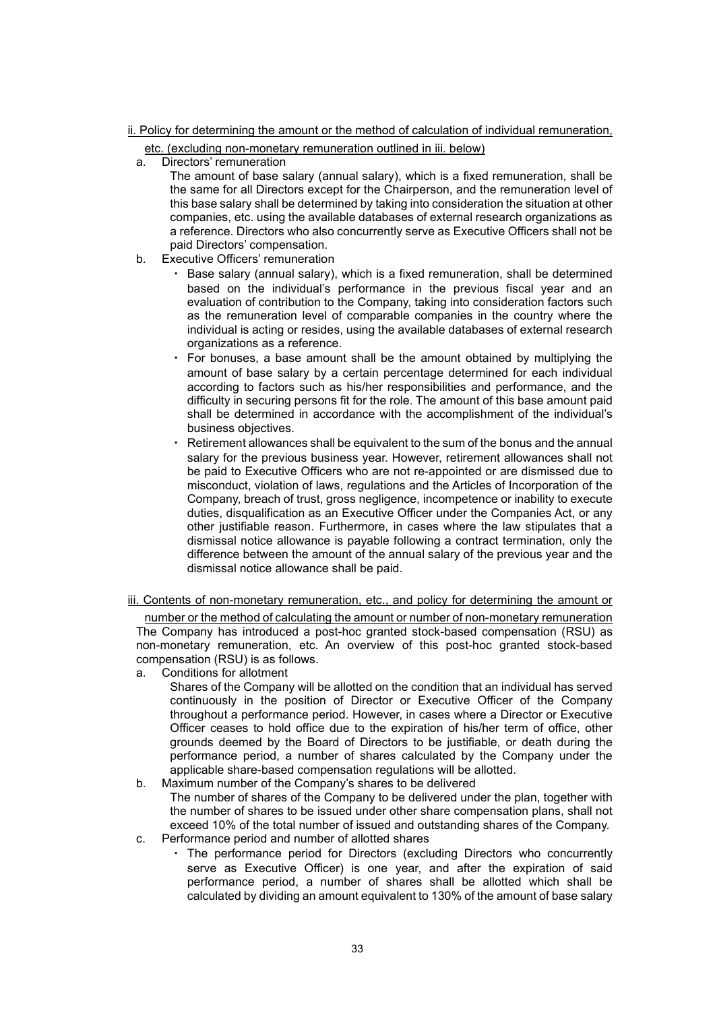#### ii. Policy for determining the amount or the method of calculation of individual remuneration,

- etc. (excluding non-monetary remuneration outlined in iii. below)
- a. Directors' remuneration
	- The amount of base salary (annual salary), which is a fixed remuneration, shall be the same for all Directors except for the Chairperson, and the remuneration level of this base salary shall be determined by taking into consideration the situation at other companies, etc. using the available databases of external research organizations as a reference. Directors who also concurrently serve as Executive Officers shall not be paid Directors' compensation.
- b. Executive Officers' remuneration
	- ・ Base salary (annual salary), which is a fixed remuneration, shall be determined based on the individual's performance in the previous fiscal year and an evaluation of contribution to the Company, taking into consideration factors such as the remuneration level of comparable companies in the country where the individual is acting or resides, using the available databases of external research organizations as a reference.
	- For bonuses, a base amount shall be the amount obtained by multiplying the amount of base salary by a certain percentage determined for each individual according to factors such as his/her responsibilities and performance, and the difficulty in securing persons fit for the role. The amount of this base amount paid shall be determined in accordance with the accomplishment of the individual's business objectives.
	- Retirement allowances shall be equivalent to the sum of the bonus and the annual salary for the previous business year. However, retirement allowances shall not be paid to Executive Officers who are not re-appointed or are dismissed due to misconduct, violation of laws, regulations and the Articles of Incorporation of the Company, breach of trust, gross negligence, incompetence or inability to execute duties, disqualification as an Executive Officer under the Companies Act, or any other justifiable reason. Furthermore, in cases where the law stipulates that a dismissal notice allowance is payable following a contract termination, only the difference between the amount of the annual salary of the previous year and the dismissal notice allowance shall be paid.
- iii. Contents of non-monetary remuneration, etc., and policy for determining the amount or

number or the method of calculating the amount or number of non-monetary remuneration The Company has introduced a post-hoc granted stock-based compensation (RSU) as non-monetary remuneration, etc. An overview of this post-hoc granted stock-based compensation (RSU) is as follows.

a. Conditions for allotment

Shares of the Company will be allotted on the condition that an individual has served continuously in the position of Director or Executive Officer of the Company throughout a performance period. However, in cases where a Director or Executive Officer ceases to hold office due to the expiration of his/her term of office, other grounds deemed by the Board of Directors to be justifiable, or death during the performance period, a number of shares calculated by the Company under the applicable share-based compensation regulations will be allotted.

- b. Maximum number of the Company's shares to be delivered The number of shares of the Company to be delivered under the plan, together with the number of shares to be issued under other share compensation plans, shall not exceed 10% of the total number of issued and outstanding shares of the Company.
- c. Performance period and number of allotted shares
	- ・ The performance period for Directors (excluding Directors who concurrently serve as Executive Officer) is one year, and after the expiration of said performance period, a number of shares shall be allotted which shall be calculated by dividing an amount equivalent to 130% of the amount of base salary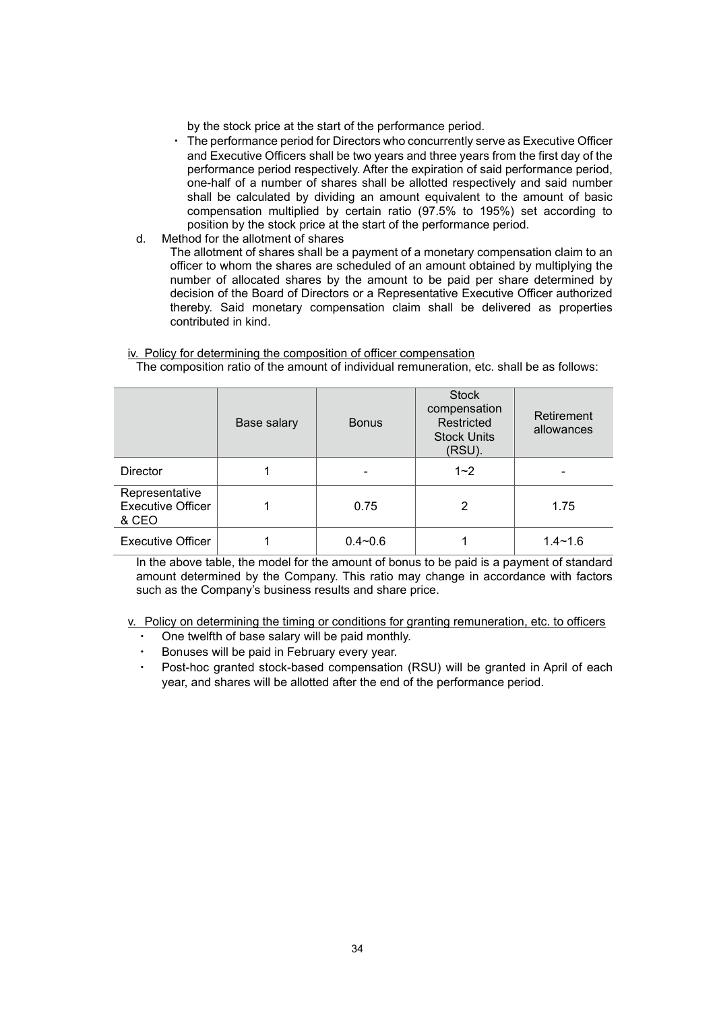by the stock price at the start of the performance period.

- ・ The performance period for Directors who concurrently serve as Executive Officer and Executive Officers shall be two years and three years from the first day of the performance period respectively. After the expiration of said performance period, one-half of a number of shares shall be allotted respectively and said number shall be calculated by dividing an amount equivalent to the amount of basic compensation multiplied by certain ratio (97.5% to 195%) set according to position by the stock price at the start of the performance period.
- d. Method for the allotment of shares

The allotment of shares shall be a payment of a monetary compensation claim to an officer to whom the shares are scheduled of an amount obtained by multiplying the number of allocated shares by the amount to be paid per share determined by decision of the Board of Directors or a Representative Executive Officer authorized thereby. Said monetary compensation claim shall be delivered as properties contributed in kind.

|                                                     | Base salary | <b>Bonus</b>   | <b>Stock</b><br>compensation<br>Restricted<br><b>Stock Units</b><br>(RSU). | Retirement<br>allowances |
|-----------------------------------------------------|-------------|----------------|----------------------------------------------------------------------------|--------------------------|
| <b>Director</b>                                     |             | $\blacksquare$ | $1 - 2$                                                                    |                          |
| Representative<br><b>Executive Officer</b><br>& CEO |             | 0.75           | 2                                                                          | 1.75                     |
| <b>Executive Officer</b>                            |             | $0.4 - 0.6$    |                                                                            | $1.4 - 1.6$              |

# iv. Policy for determining the composition of officer compensation

The composition ratio of the amount of individual remuneration, etc. shall be as follows:

In the above table, the model for the amount of bonus to be paid is a payment of standard amount determined by the Company. This ratio may change in accordance with factors such as the Company's business results and share price.

v. Policy on determining the timing or conditions for granting remuneration, etc. to officers

- One twelfth of base salary will be paid monthly.
- Bonuses will be paid in February every year.
- Post-hoc granted stock-based compensation (RSU) will be granted in April of each year, and shares will be allotted after the end of the performance period.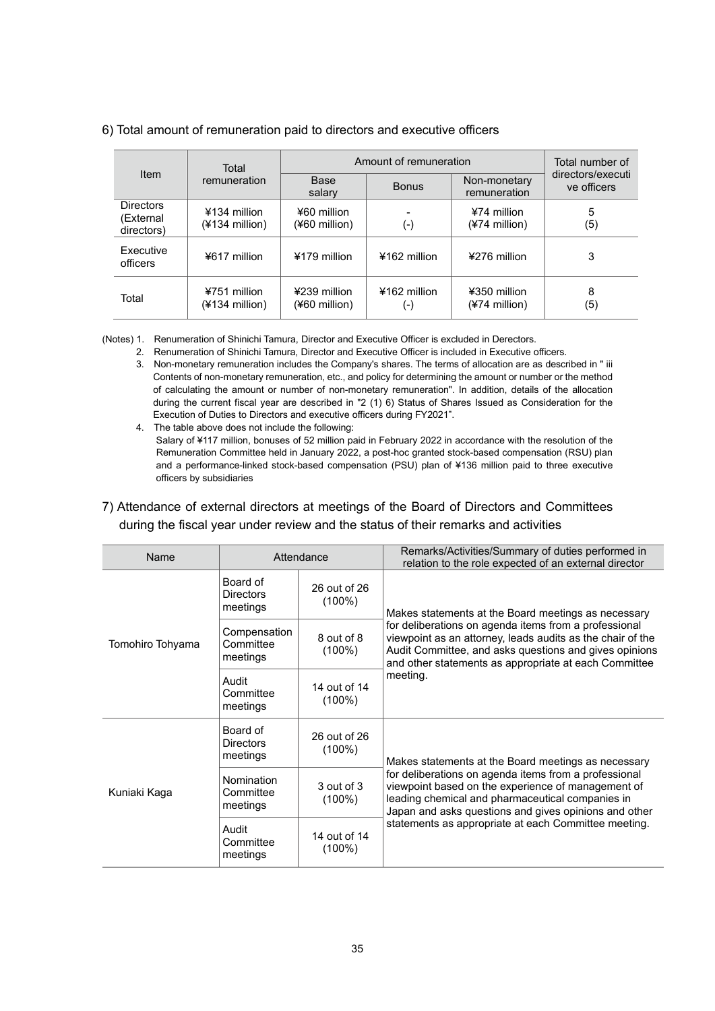|                                             | Total                            | Amount of remuneration        | Total number of     |                                |                                  |
|---------------------------------------------|----------------------------------|-------------------------------|---------------------|--------------------------------|----------------------------------|
| Item                                        | remuneration                     | Base<br>salary                | <b>Bonus</b>        | Non-monetary<br>remuneration   | directors/executi<br>ve officers |
| <b>Directors</b><br>(External<br>directors) | ¥134 million<br>$(4134$ million) | ¥60 million<br>(¥60 million)  | $(\textnormal{-})$  | ¥74 million<br>$(*74$ million) | 5<br>(5)                         |
| Executive<br>officers                       | ¥617 million                     | ¥179 million                  | ¥162 million        | ¥276 million                   | 3                                |
| Total                                       | ¥751 million<br>$(4134$ million) | ¥239 million<br>(¥60 million) | ¥162 million<br>(-) | ¥350 million<br>(¥74 million)  | 8<br>(5)                         |

# 6) Total amount of remuneration paid to directors and executive officers

(Notes) 1. Renumeration of Shinichi Tamura, Director and Executive Officer is excluded in Derectors.

- 2. Renumeration of Shinichi Tamura, Director and Executive Officer is included in Executive officers. 3. Non-monetary remuneration includes the Company's shares. The terms of allocation are as described in " iii Contents of non-monetary remuneration, etc., and policy for determining the amount or number or the method of calculating the amount or number of non-monetary remuneration". In addition, details of the allocation during the current fiscal year are described in "2 (1) 6) Status of Shares Issued as Consideration for the Execution of Duties to Directors and executive officers during FY2021".
- 4. The table above does not include the following: Salary of ¥117 million, bonuses of 52 million paid in February 2022 in accordance with the resolution of the Remuneration Committee held in January 2022, a post-hoc granted stock-based compensation (RSU) plan and a performance-linked stock-based compensation (PSU) plan of ¥136 million paid to three executive officers by subsidiaries

# 7) Attendance of external directors at meetings of the Board of Directors and Committees during the fiscal year under review and the status of their remarks and activities

| Name                                        | Attendance                               |                           | Remarks/Activities/Summary of duties performed in<br>relation to the role expected of an external director                                                                                                                             |
|---------------------------------------------|------------------------------------------|---------------------------|----------------------------------------------------------------------------------------------------------------------------------------------------------------------------------------------------------------------------------------|
|                                             | Board of<br><b>Directors</b><br>meetings | 26 out of 26<br>$(100\%)$ | Makes statements at the Board meetings as necessary                                                                                                                                                                                    |
| Tomohiro Tohyama                            | Compensation<br>Committee<br>meetings    | 8 out of 8<br>$(100\%)$   | for deliberations on agenda items from a professional<br>viewpoint as an attorney, leads audits as the chair of the<br>Audit Committee, and asks questions and gives opinions<br>and other statements as appropriate at each Committee |
|                                             | Audit<br>Committee<br>meetings           | 14 out of 14<br>$(100\%)$ | meeting.                                                                                                                                                                                                                               |
|                                             | Board of<br><b>Directors</b><br>meetings | 26 out of 26<br>$(100\%)$ | Makes statements at the Board meetings as necessary                                                                                                                                                                                    |
| Kuniaki Kaga                                | Nomination<br>Committee<br>meetings      | 3 out of 3<br>$(100\%)$   | for deliberations on agenda items from a professional<br>viewpoint based on the experience of management of<br>leading chemical and pharmaceutical companies in<br>Japan and asks questions and gives opinions and other               |
| Audit<br>Committee<br>$(100\%)$<br>meetings |                                          | 14 out of 14              | statements as appropriate at each Committee meeting.                                                                                                                                                                                   |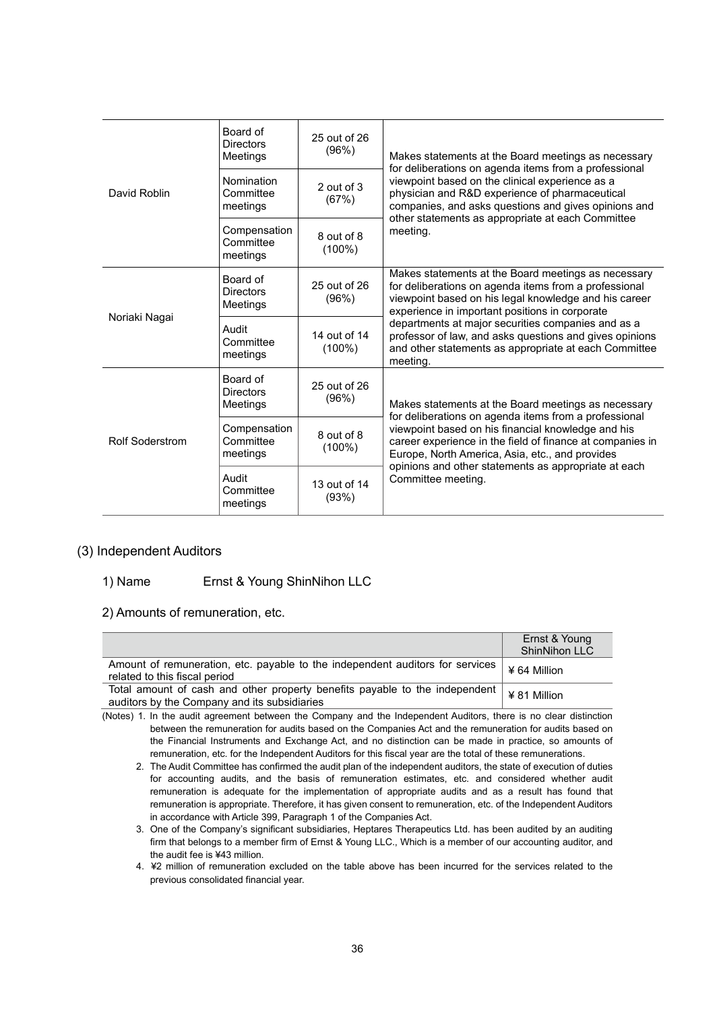|                        | Board of<br><b>Directors</b><br>Meetings | 25 out of 26<br>(96%)     | Makes statements at the Board meetings as necessary                                                                                                                                                                        |  |  |
|------------------------|------------------------------------------|---------------------------|----------------------------------------------------------------------------------------------------------------------------------------------------------------------------------------------------------------------------|--|--|
| David Roblin           | Nomination<br>Committee<br>meetings      | $2$ out of $3$<br>(67%)   | for deliberations on agenda items from a professional<br>viewpoint based on the clinical experience as a<br>physician and R&D experience of pharmaceutical<br>companies, and asks questions and gives opinions and         |  |  |
|                        | Compensation<br>Committee<br>meetings    | 8 out of 8<br>$(100\%)$   | other statements as appropriate at each Committee<br>meeting.                                                                                                                                                              |  |  |
|                        | Board of<br><b>Directors</b><br>Meetings | 25 out of 26<br>(96%)     | Makes statements at the Board meetings as necessary<br>for deliberations on agenda items from a professional<br>viewpoint based on his legal knowledge and his career<br>experience in important positions in corporate    |  |  |
| Noriaki Nagai          | Audit<br>Committee<br>meetings           | 14 out of 14<br>$(100\%)$ | departments at major securities companies and as a<br>professor of law, and asks questions and gives opinions<br>and other statements as appropriate at each Committee<br>meeting.                                         |  |  |
|                        | Board of<br><b>Directors</b><br>Meetings | 25 out of 26<br>(96%)     | Makes statements at the Board meetings as necessary<br>for deliberations on agenda items from a professional                                                                                                               |  |  |
| <b>Rolf Soderstrom</b> | Compensation<br>Committee<br>meetings    | 8 out of 8<br>$(100\%)$   | viewpoint based on his financial knowledge and his<br>career experience in the field of finance at companies in<br>Europe, North America, Asia, etc., and provides<br>opinions and other statements as appropriate at each |  |  |
|                        | Audit<br>Committee<br>meetings           | 13 out of 14<br>(93%)     | Committee meeting.                                                                                                                                                                                                         |  |  |

# (3) Independent Auditors

### 1) Name Ernst & Young ShinNihon LLC

2) Amounts of remuneration, etc.

|                                                                                                                             | Ernst & Young<br><b>ShinNihon LLC</b> |
|-----------------------------------------------------------------------------------------------------------------------------|---------------------------------------|
| Amount of remuneration, etc. payable to the independent auditors for services<br>related to this fiscal period              | ¥ 64 Million                          |
| Total amount of cash and other property benefits payable to the independent<br>auditors by the Company and its subsidiaries | ¥ 81 Million                          |

(Notes) 1. In the audit agreement between the Company and the Independent Auditors, there is no clear distinction between the remuneration for audits based on the Companies Act and the remuneration for audits based on the Financial Instruments and Exchange Act, and no distinction can be made in practice, so amounts of remuneration, etc. for the Independent Auditors for this fiscal year are the total of these remunerations.

2. The Audit Committee has confirmed the audit plan of the independent auditors, the state of execution of duties for accounting audits, and the basis of remuneration estimates, etc. and considered whether audit remuneration is adequate for the implementation of appropriate audits and as a result has found that remuneration is appropriate. Therefore, it has given consent to remuneration, etc. of the Independent Auditors in accordance with Article 399, Paragraph 1 of the Companies Act.

3. One of the Company's significant subsidiaries, Heptares Therapeutics Ltd. has been audited by an auditing firm that belongs to a member firm of Ernst & Young LLC., Which is a member of our accounting auditor, and the audit fee is ¥43 million.

4.¥2 million of remuneration excluded on the table above has been incurred for the services related to the previous consolidated financial year.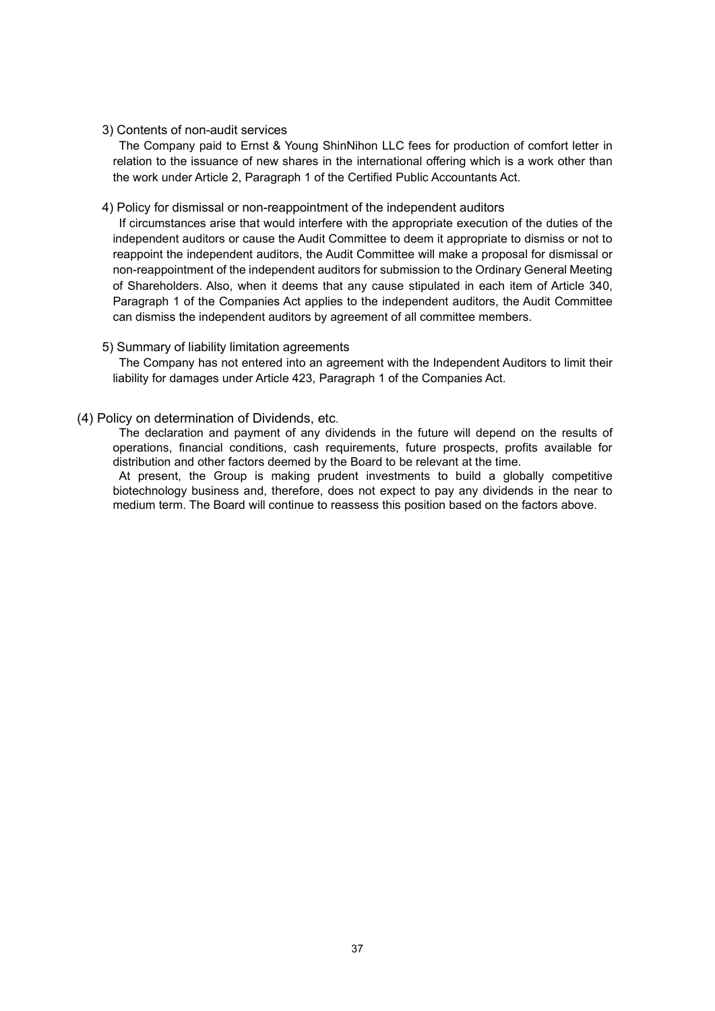## 3) Contents of non-audit services

The Company paid to Ernst & Young ShinNihon LLC fees for production of comfort letter in relation to the issuance of new shares in the international offering which is a work other than the work under Article 2, Paragraph 1 of the Certified Public Accountants Act.

## 4) Policy for dismissal or non-reappointment of the independent auditors

If circumstances arise that would interfere with the appropriate execution of the duties of the independent auditors or cause the Audit Committee to deem it appropriate to dismiss or not to reappoint the independent auditors, the Audit Committee will make a proposal for dismissal or non-reappointment of the independent auditors for submission to the Ordinary General Meeting of Shareholders. Also, when it deems that any cause stipulated in each item of Article 340, Paragraph 1 of the Companies Act applies to the independent auditors, the Audit Committee can dismiss the independent auditors by agreement of all committee members.

# 5) Summary of liability limitation agreements

The Company has not entered into an agreement with the Independent Auditors to limit their liability for damages under Article 423, Paragraph 1 of the Companies Act.

# (4) Policy on determination of Dividends, etc.

The declaration and payment of any dividends in the future will depend on the results of operations, financial conditions, cash requirements, future prospects, profits available for distribution and other factors deemed by the Board to be relevant at the time.

At present, the Group is making prudent investments to build a globally competitive biotechnology business and, therefore, does not expect to pay any dividends in the near to medium term. The Board will continue to reassess this position based on the factors above.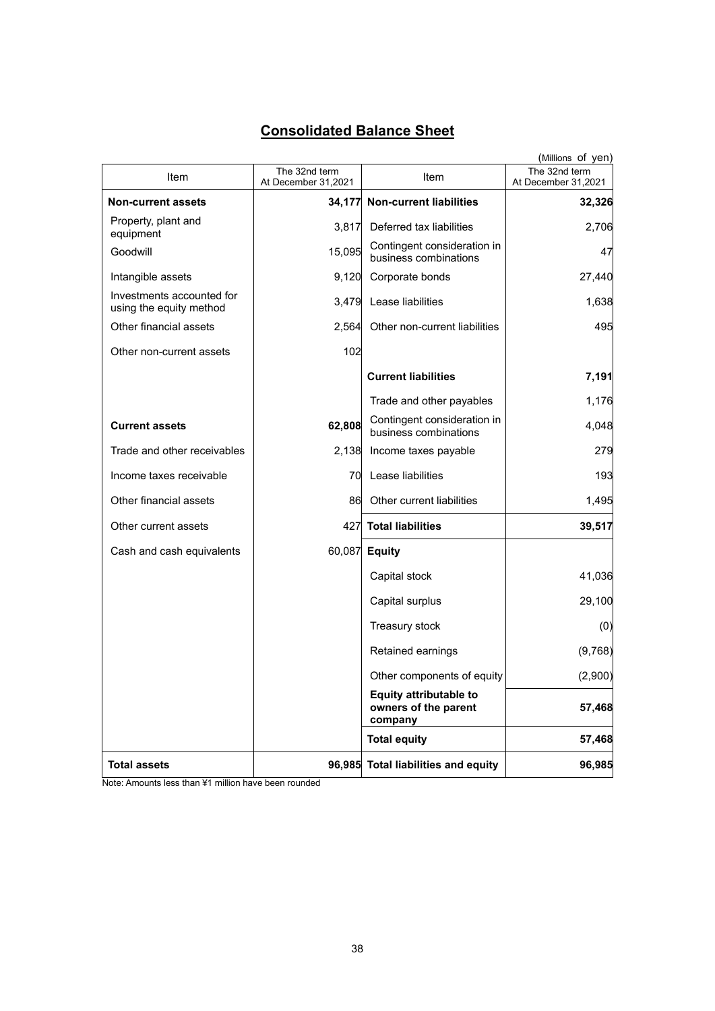# **Consolidated Balance Sheet**

|                                                      |                                      |                                                                  | (Millions of yen)                    |
|------------------------------------------------------|--------------------------------------|------------------------------------------------------------------|--------------------------------------|
| Item                                                 | The 32nd term<br>At December 31,2021 | Item                                                             | The 32nd term<br>At December 31,2021 |
| <b>Non-current assets</b>                            | 34,177                               | <b>Non-current liabilities</b>                                   | 32,326                               |
| Property, plant and<br>equipment                     | 3,817                                | Deferred tax liabilities                                         | 2,706                                |
| Goodwill                                             | 15,095                               | Contingent consideration in<br>business combinations             | 47                                   |
| Intangible assets                                    | 9,120                                | Corporate bonds                                                  | 27,440                               |
| Investments accounted for<br>using the equity method | 3,479                                | Lease liabilities                                                | 1,638                                |
| Other financial assets                               | 2,564                                | Other non-current liabilities                                    | 495                                  |
| Other non-current assets                             | 102                                  |                                                                  |                                      |
|                                                      |                                      | <b>Current liabilities</b>                                       | 7,191                                |
|                                                      |                                      | Trade and other payables                                         | 1,176                                |
| <b>Current assets</b>                                | 62,808                               | Contingent consideration in<br>business combinations             | 4,048                                |
| Trade and other receivables                          | 2,138                                | Income taxes payable                                             | 279                                  |
| Income taxes receivable                              |                                      | 70 Lease liabilities                                             | 193                                  |
| Other financial assets                               | 86                                   | Other current liabilities                                        | 1,495                                |
| Other current assets                                 |                                      | 427 Total liabilities                                            | 39,517                               |
| Cash and cash equivalents                            |                                      | 60,087 Equity                                                    |                                      |
|                                                      |                                      | Capital stock                                                    | 41,036                               |
|                                                      |                                      | Capital surplus                                                  | 29,100                               |
|                                                      |                                      | Treasury stock                                                   | (0)                                  |
|                                                      |                                      | Retained earnings                                                | (9,768)                              |
|                                                      |                                      | Other components of equity                                       | (2,900)                              |
|                                                      |                                      | <b>Equity attributable to</b><br>owners of the parent<br>company | 57,468                               |
|                                                      |                                      | <b>Total equity</b>                                              | 57,468                               |
| <b>Total assets</b>                                  |                                      | 96,985 Total liabilities and equity                              | 96,985                               |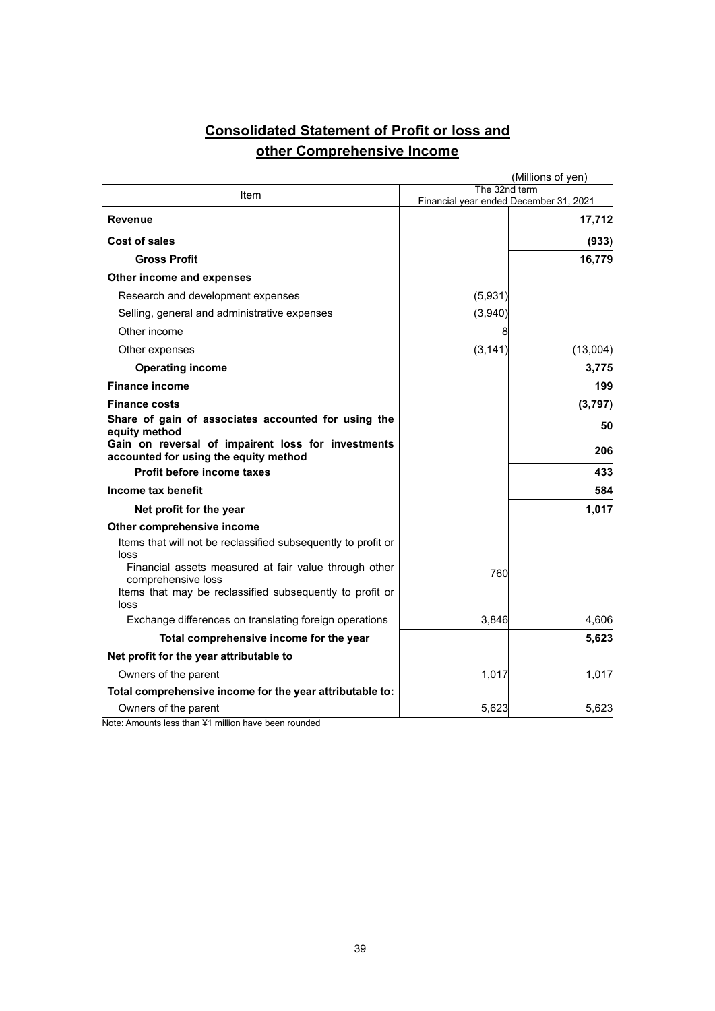# **Consolidated Statement of Profit or loss and other Comprehensive Income**

|                                                                                             |                                                         | (Millions of yen) |
|---------------------------------------------------------------------------------------------|---------------------------------------------------------|-------------------|
| Item                                                                                        | The 32nd term<br>Financial year ended December 31, 2021 |                   |
| Revenue                                                                                     |                                                         | 17,712            |
| Cost of sales                                                                               |                                                         | (933)             |
| <b>Gross Profit</b>                                                                         |                                                         | 16,779            |
| Other income and expenses                                                                   |                                                         |                   |
| Research and development expenses                                                           | (5,931)                                                 |                   |
| Selling, general and administrative expenses                                                | (3,940)                                                 |                   |
| Other income                                                                                |                                                         |                   |
| Other expenses                                                                              | (3, 141)                                                | (13,004)          |
| <b>Operating income</b>                                                                     |                                                         | 3,775             |
| <b>Finance income</b>                                                                       |                                                         | 199               |
| <b>Finance costs</b>                                                                        |                                                         | (3, 797)          |
| Share of gain of associates accounted for using the<br>equity method                        |                                                         | 50                |
| Gain on reversal of impairent loss for investments<br>accounted for using the equity method |                                                         | 206               |
| Profit before income taxes                                                                  |                                                         | 433               |
| Income tax benefit                                                                          |                                                         | 584               |
| Net profit for the year                                                                     |                                                         | 1,017             |
| Other comprehensive income                                                                  |                                                         |                   |
| Items that will not be reclassified subsequently to profit or<br>loss                       |                                                         |                   |
| Financial assets measured at fair value through other<br>comprehensive loss                 | 760                                                     |                   |
| Items that may be reclassified subsequently to profit or<br>loss                            |                                                         |                   |
| Exchange differences on translating foreign operations                                      | 3,846                                                   | 4,606             |
| Total comprehensive income for the year                                                     |                                                         | 5,623             |
| Net profit for the year attributable to                                                     |                                                         |                   |
| Owners of the parent                                                                        | 1,017                                                   | 1,017             |
| Total comprehensive income for the year attributable to:                                    |                                                         |                   |
| Owners of the parent                                                                        | 5,623                                                   | 5,623             |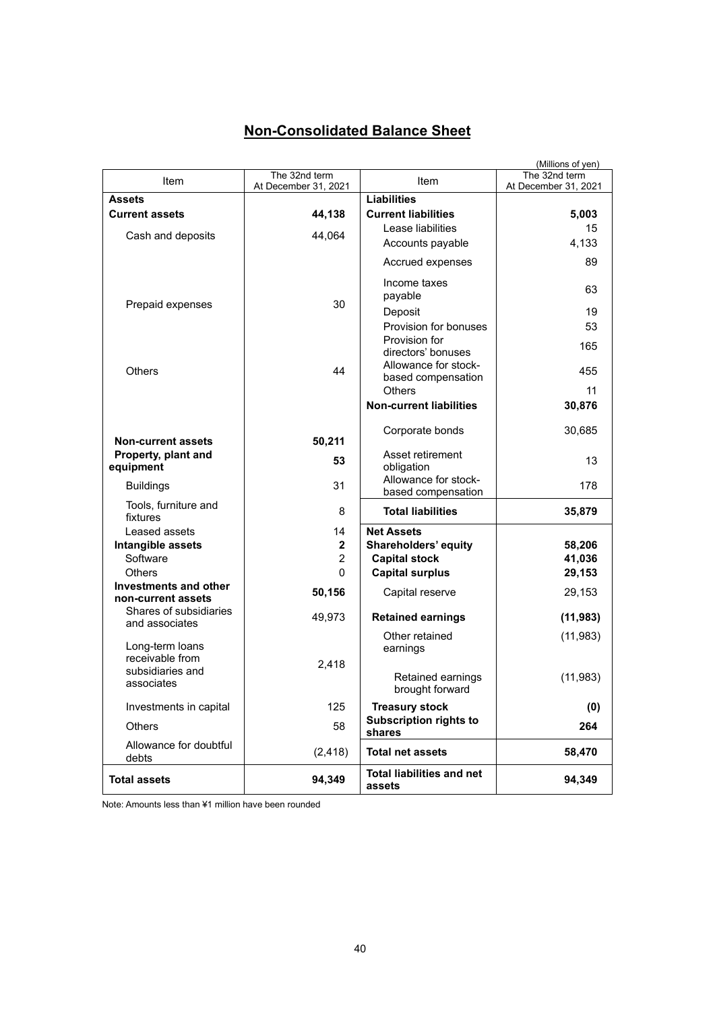# **Non-Consolidated Balance Sheet**

|                                             |                      |                                            | (Millions of yen)    |
|---------------------------------------------|----------------------|--------------------------------------------|----------------------|
| Item                                        | The 32nd term        | Item                                       | The 32nd term        |
|                                             | At December 31, 2021 |                                            | At December 31, 2021 |
| <b>Assets</b>                               |                      | <b>Liabilities</b>                         |                      |
| <b>Current assets</b>                       | 44,138               | <b>Current liabilities</b>                 | 5,003                |
| Cash and deposits                           | 44,064               | Lease liabilities                          | 15                   |
|                                             |                      | Accounts payable                           | 4,133                |
|                                             |                      | Accrued expenses                           | 89                   |
|                                             | 30                   | Income taxes<br>payable                    | 63                   |
| Prepaid expenses                            |                      | Deposit                                    | 19                   |
|                                             |                      | Provision for bonuses                      | 53                   |
|                                             |                      | Provision for                              |                      |
|                                             |                      | directors' bonuses                         | 165                  |
| <b>Others</b>                               | 44                   | Allowance for stock-<br>based compensation | 455                  |
|                                             |                      | <b>Others</b>                              | 11                   |
|                                             |                      | <b>Non-current liabilities</b>             | 30,876               |
|                                             |                      | Corporate bonds                            | 30,685               |
| <b>Non-current assets</b>                   | 50,211               |                                            |                      |
| Property, plant and<br>equipment            | 53                   | Asset retirement<br>obligation             | 13                   |
| <b>Buildings</b>                            | 31                   | Allowance for stock-<br>based compensation | 178                  |
| Tools, furniture and<br>fixtures            | 8                    | <b>Total liabilities</b>                   | 35,879               |
| Leased assets                               | 14                   | <b>Net Assets</b>                          |                      |
| Intangible assets                           | $\mathbf{2}$         | Shareholders' equity                       | 58,206               |
| Software                                    | $\overline{2}$       | <b>Capital stock</b>                       | 41,036               |
| <b>Others</b>                               | 0                    | <b>Capital surplus</b>                     | 29,153               |
| Investments and other<br>non-current assets | 50,156               | Capital reserve                            | 29,153               |
| Shares of subsidiaries<br>and associates    | 49,973               | <b>Retained earnings</b>                   | (11, 983)            |
| Long-term loans<br>receivable from          |                      | Other retained<br>earnings                 | (11, 983)            |
| subsidiaries and                            | 2,418                |                                            |                      |
| associates                                  |                      | Retained earnings<br>brought forward       | (11, 983)            |
| Investments in capital                      | 125                  | <b>Treasury stock</b>                      | (0)                  |
| Others                                      | 58                   | <b>Subscription rights to</b><br>shares    | 264                  |
| Allowance for doubtful<br>debts             | (2, 418)             | <b>Total net assets</b>                    | 58,470               |
| <b>Total assets</b>                         | 94,349               | <b>Total liabilities and net</b><br>assets | 94,349               |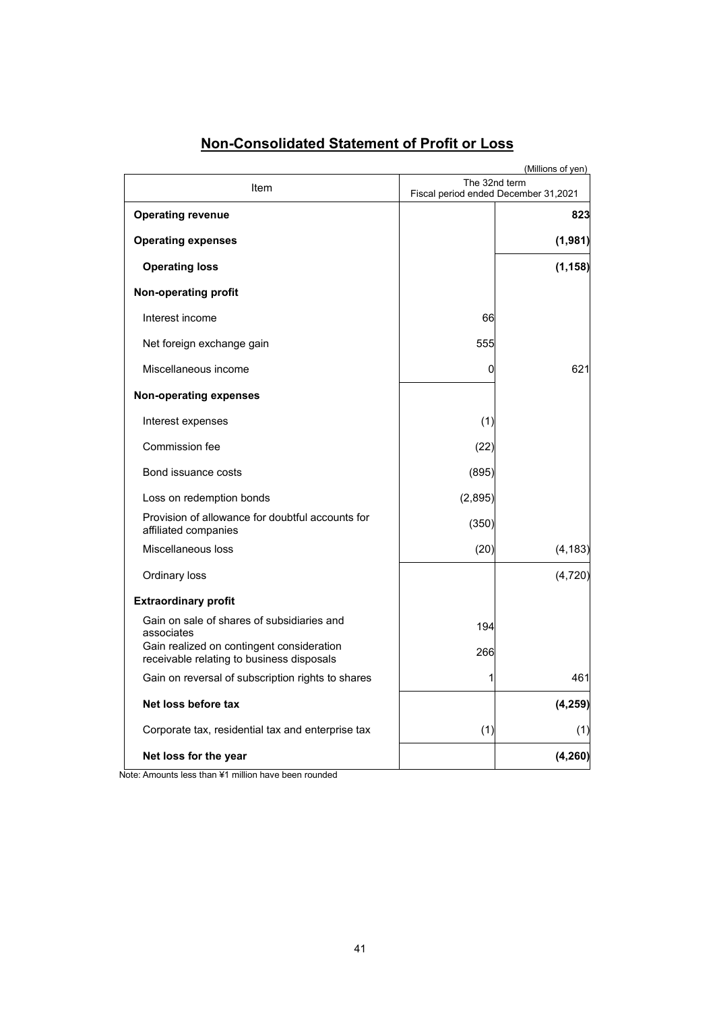|                                                                                        |         | (Millions of yen)                                     |
|----------------------------------------------------------------------------------------|---------|-------------------------------------------------------|
| Item                                                                                   |         | The 32nd term<br>Fiscal period ended December 31,2021 |
| <b>Operating revenue</b>                                                               |         | 823                                                   |
| <b>Operating expenses</b>                                                              |         | (1,981)                                               |
| <b>Operating loss</b>                                                                  |         | (1, 158)                                              |
| Non-operating profit                                                                   |         |                                                       |
| Interest income                                                                        | 66      |                                                       |
| Net foreign exchange gain                                                              | 555     |                                                       |
| Miscellaneous income                                                                   | 0       | 621                                                   |
| <b>Non-operating expenses</b>                                                          |         |                                                       |
| Interest expenses                                                                      | (1)     |                                                       |
| Commission fee                                                                         | (22)    |                                                       |
| Bond issuance costs                                                                    | (895)   |                                                       |
| Loss on redemption bonds                                                               | (2,895) |                                                       |
| Provision of allowance for doubtful accounts for<br>affiliated companies               | (350)   |                                                       |
| Miscellaneous loss                                                                     | (20)    | (4, 183)                                              |
| Ordinary loss                                                                          |         | (4, 720)                                              |
| <b>Extraordinary profit</b>                                                            |         |                                                       |
| Gain on sale of shares of subsidiaries and<br>associates                               | 194     |                                                       |
| Gain realized on contingent consideration<br>receivable relating to business disposals | 266     |                                                       |
| Gain on reversal of subscription rights to shares                                      | 1       | 461                                                   |
| Net loss before tax                                                                    |         | (4, 259)                                              |
| Corporate tax, residential tax and enterprise tax                                      | (1)     | (1)                                                   |
| Net loss for the year                                                                  |         | (4, 260)                                              |

# **Non-Consolidated Statement of Profit or Loss**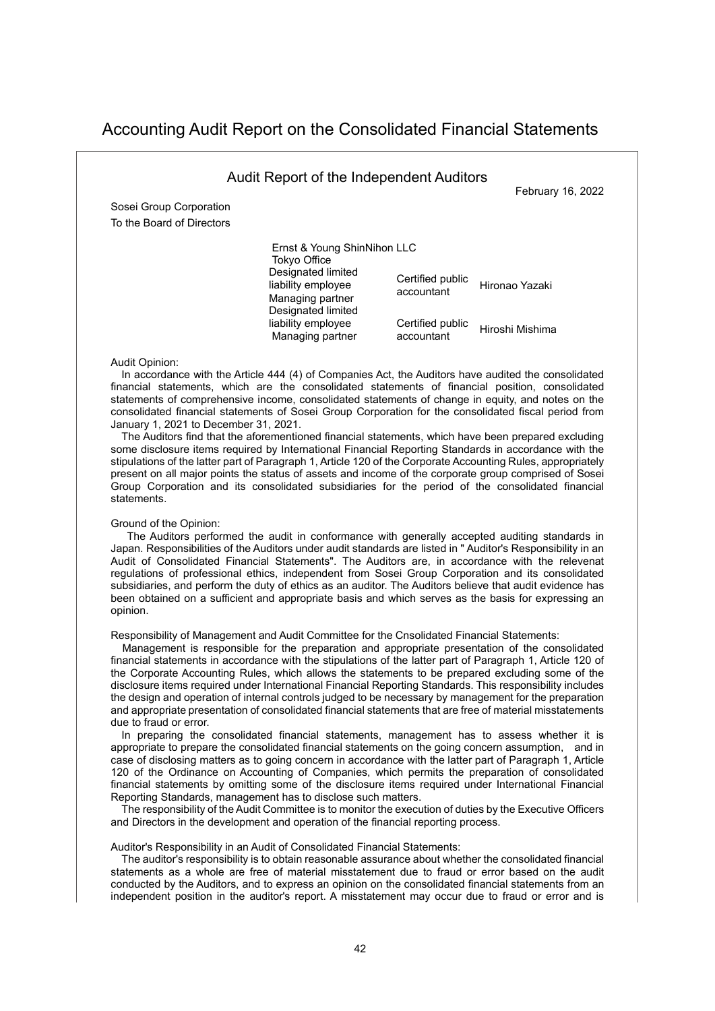# Accounting Audit Report on the Consolidated Financial Statements

|                                                      | Audit Report of the Independent Auditors                                                                                                                                           |                                                                  | February 16, 2022                 |
|------------------------------------------------------|------------------------------------------------------------------------------------------------------------------------------------------------------------------------------------|------------------------------------------------------------------|-----------------------------------|
| Sosei Group Corporation<br>To the Board of Directors |                                                                                                                                                                                    |                                                                  |                                   |
|                                                      | Ernst & Young ShinNihon LLC<br><b>Tokyo Office</b><br>Designated limited<br>liability employee<br>Managing partner<br>Designated limited<br>liability employee<br>Managing partner | Certified public<br>accountant<br>Certified public<br>accountant | Hironao Yazaki<br>Hiroshi Mishima |

#### Audit Opinion:

In accordance with the Article 444 (4) of Companies Act, the Auditors have audited the consolidated financial statements, which are the consolidated statements of financial position, consolidated statements of comprehensive income, consolidated statements of change in equity, and notes on the consolidated financial statements of Sosei Group Corporation for the consolidated fiscal period from January 1, 2021 to December 31, 2021.

The Auditors find that the aforementioned financial statements, which have been prepared excluding some disclosure items required by International Financial Reporting Standards in accordance with the stipulations of the latter part of Paragraph 1, Article 120 of the Corporate Accounting Rules, appropriately present on all major points the status of assets and income of the corporate group comprised of Sosei Group Corporation and its consolidated subsidiaries for the period of the consolidated financial statements.

# Ground of the Opinion:

 The Auditors performed the audit in conformance with generally accepted auditing standards in Japan. Responsibilities of the Auditors under audit standards are listed in " Auditor's Responsibility in an Audit of Consolidated Financial Statements". The Auditors are, in accordance with the relevenat regulations of professional ethics, independent from Sosei Group Corporation and its consolidated subsidiaries, and perform the duty of ethics as an auditor. The Auditors believe that audit evidence has been obtained on a sufficient and appropriate basis and which serves as the basis for expressing an opinion.

Responsibility of Management and Audit Committee for the Cnsolidated Financial Statements:

Management is responsible for the preparation and appropriate presentation of the consolidated financial statements in accordance with the stipulations of the latter part of Paragraph 1, Article 120 of the Corporate Accounting Rules, which allows the statements to be prepared excluding some of the disclosure items required under International Financial Reporting Standards. This responsibility includes the design and operation of internal controls judged to be necessary by management for the preparation and appropriate presentation of consolidated financial statements that are free of material misstatements due to fraud or error.

In preparing the consolidated financial statements, management has to assess whether it is appropriate to prepare the consolidated financial statements on the going concern assumption, and in case of disclosing matters as to going concern in accordance with the latter part of Paragraph 1, Article 120 of the Ordinance on Accounting of Companies, which permits the preparation of consolidated financial statements by omitting some of the disclosure items required under International Financial Reporting Standards, management has to disclose such matters.

The responsibility of the Audit Committee is to monitor the execution of duties by the Executive Officers and Directors in the development and operation of the financial reporting process.

#### Auditor's Responsibility in an Audit of Consolidated Financial Statements:

The auditor's responsibility is to obtain reasonable assurance about whether the consolidated financial statements as a whole are free of material misstatement due to fraud or error based on the audit conducted by the Auditors, and to express an opinion on the consolidated financial statements from an independent position in the auditor's report. A misstatement may occur due to fraud or error and is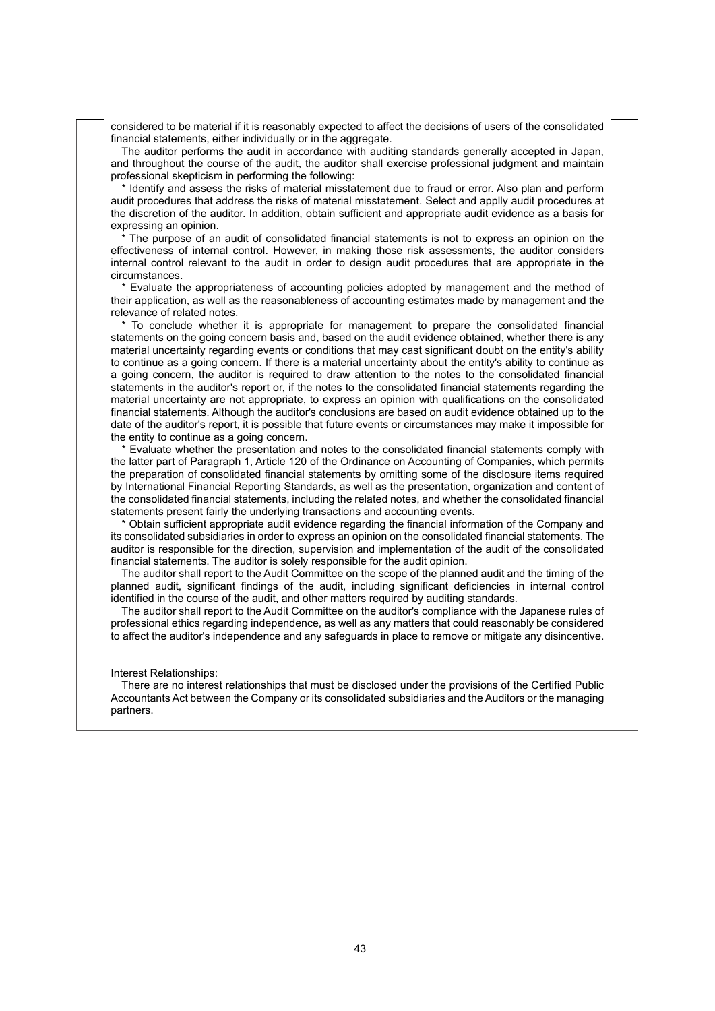considered to be material if it is reasonably expected to affect the decisions of users of the consolidated financial statements, either individually or in the aggregate.

The auditor performs the audit in accordance with auditing standards generally accepted in Japan, and throughout the course of the audit, the auditor shall exercise professional judgment and maintain professional skepticism in performing the following:

 \* Identify and assess the risks of material misstatement due to fraud or error. Also plan and perform audit procedures that address the risks of material misstatement. Select and applly audit procedures at the discretion of the auditor. In addition, obtain sufficient and appropriate audit evidence as a basis for expressing an opinion.

The purpose of an audit of consolidated financial statements is not to express an opinion on the effectiveness of internal control. However, in making those risk assessments, the auditor considers internal control relevant to the audit in order to design audit procedures that are appropriate in the circumstances.

\* Evaluate the appropriateness of accounting policies adopted by management and the method of their application, as well as the reasonableness of accounting estimates made by management and the relevance of related notes.

\* To conclude whether it is appropriate for management to prepare the consolidated financial statements on the going concern basis and, based on the audit evidence obtained, whether there is any material uncertainty regarding events or conditions that may cast significant doubt on the entity's ability to continue as a going concern. If there is a material uncertainty about the entity's ability to continue as a going concern, the auditor is required to draw attention to the notes to the consolidated financial statements in the auditor's report or, if the notes to the consolidated financial statements regarding the material uncertainty are not appropriate, to express an opinion with qualifications on the consolidated financial statements. Although the auditor's conclusions are based on audit evidence obtained up to the date of the auditor's report, it is possible that future events or circumstances may make it impossible for the entity to continue as a going concern.

\* Evaluate whether the presentation and notes to the consolidated financial statements comply with the latter part of Paragraph 1, Article 120 of the Ordinance on Accounting of Companies, which permits the preparation of consolidated financial statements by omitting some of the disclosure items required by International Financial Reporting Standards, as well as the presentation, organization and content of the consolidated financial statements, including the related notes, and whether the consolidated financial statements present fairly the underlying transactions and accounting events.

\* Obtain sufficient appropriate audit evidence regarding the financial information of the Company and its consolidated subsidiaries in order to express an opinion on the consolidated financial statements. The auditor is responsible for the direction, supervision and implementation of the audit of the consolidated financial statements. The auditor is solely responsible for the audit opinion.

The auditor shall report to the Audit Committee on the scope of the planned audit and the timing of the planned audit, significant findings of the audit, including significant deficiencies in internal control identified in the course of the audit, and other matters required by auditing standards.

The auditor shall report to the Audit Committee on the auditor's compliance with the Japanese rules of professional ethics regarding independence, as well as any matters that could reasonably be considered to affect the auditor's independence and any safeguards in place to remove or mitigate any disincentive.

#### Interest Relationships:

There are no interest relationships that must be disclosed under the provisions of the Certified Public Accountants Act between the Company or its consolidated subsidiaries and the Auditors or the managing partners.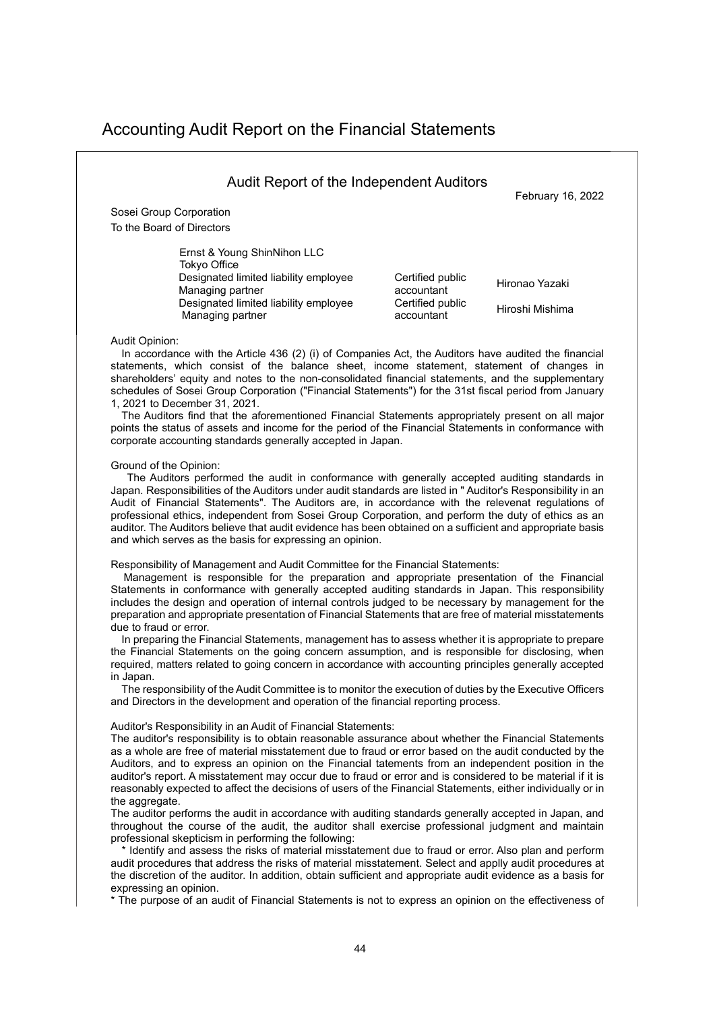# Accounting Audit Report on the Financial Statements

| Sosei Group Corporation               |                  |                 |
|---------------------------------------|------------------|-----------------|
| To the Board of Directors             |                  |                 |
| Ernst & Young ShinNihon LLC           |                  |                 |
| Tokyo Office                          |                  |                 |
| Designated limited liability employee | Certified public | Hironao Yazaki  |
| Managing partner                      | accountant       |                 |
| Managing partner                      | accountant       | Hiroshi Mishima |
| Designated limited liability employee | Certified public |                 |

1, 2021 to December 31, 2021.

The Auditors find that the aforementioned Financial Statements appropriately present on all major points the status of assets and income for the period of the Financial Statements in conformance with corporate accounting standards generally accepted in Japan.

#### Ground of the Opinion:

 The Auditors performed the audit in conformance with generally accepted auditing standards in Japan. Responsibilities of the Auditors under audit standards are listed in " Auditor's Responsibility in an Audit of Financial Statements". The Auditors are, in accordance with the relevenat regulations of professional ethics, independent from Sosei Group Corporation, and perform the duty of ethics as an auditor. The Auditors believe that audit evidence has been obtained on a sufficient and appropriate basis and which serves as the basis for expressing an opinion.

Responsibility of Management and Audit Committee for the Financial Statements:

Management is responsible for the preparation and appropriate presentation of the Financial Statements in conformance with generally accepted auditing standards in Japan. This responsibility includes the design and operation of internal controls judged to be necessary by management for the preparation and appropriate presentation of Financial Statements that are free of material misstatements due to fraud or error.

In preparing the Financial Statements, management has to assess whether it is appropriate to prepare the Financial Statements on the going concern assumption, and is responsible for disclosing, when required, matters related to going concern in accordance with accounting principles generally accepted in Japan.

The responsibility of the Audit Committee is to monitor the execution of duties by the Executive Officers and Directors in the development and operation of the financial reporting process.

#### Auditor's Responsibility in an Audit of Financial Statements:

The auditor's responsibility is to obtain reasonable assurance about whether the Financial Statements as a whole are free of material misstatement due to fraud or error based on the audit conducted by the Auditors, and to express an opinion on the Financial tatements from an independent position in the auditor's report. A misstatement may occur due to fraud or error and is considered to be material if it is reasonably expected to affect the decisions of users of the Financial Statements, either individually or in the aggregate.

The auditor performs the audit in accordance with auditing standards generally accepted in Japan, and throughout the course of the audit, the auditor shall exercise professional judgment and maintain professional skepticism in performing the following:

 \* Identify and assess the risks of material misstatement due to fraud or error. Also plan and perform audit procedures that address the risks of material misstatement. Select and applly audit procedures at the discretion of the auditor. In addition, obtain sufficient and appropriate audit evidence as a basis for expressing an opinion.

\* The purpose of an audit of Financial Statements is not to express an opinion on the effectiveness of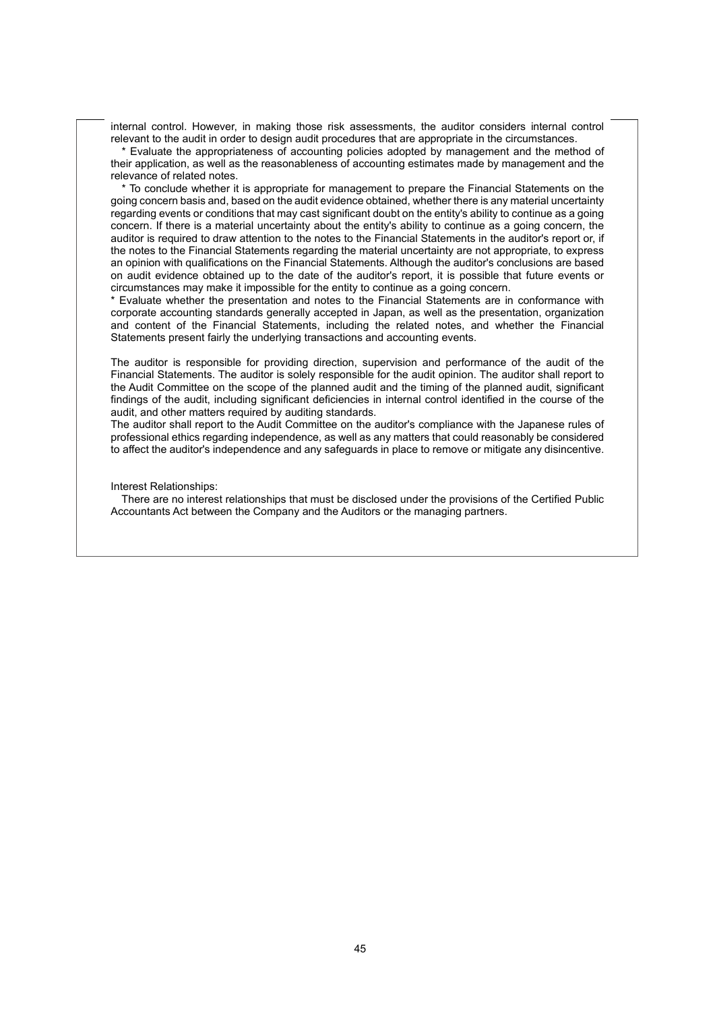internal control. However, in making those risk assessments, the auditor considers internal control relevant to the audit in order to design audit procedures that are appropriate in the circumstances.

 \* Evaluate the appropriateness of accounting policies adopted by management and the method of their application, as well as the reasonableness of accounting estimates made by management and the relevance of related notes.

 \* To conclude whether it is appropriate for management to prepare the Financial Statements on the going concern basis and, based on the audit evidence obtained, whether there is any material uncertainty regarding events or conditions that may cast significant doubt on the entity's ability to continue as a going concern. If there is a material uncertainty about the entity's ability to continue as a going concern, the auditor is required to draw attention to the notes to the Financial Statements in the auditor's report or, if the notes to the Financial Statements regarding the material uncertainty are not appropriate, to express an opinion with qualifications on the Financial Statements. Although the auditor's conclusions are based on audit evidence obtained up to the date of the auditor's report, it is possible that future events or circumstances may make it impossible for the entity to continue as a going concern.

\* Evaluate whether the presentation and notes to the Financial Statements are in conformance with corporate accounting standards generally accepted in Japan, as well as the presentation, organization and content of the Financial Statements, including the related notes, and whether the Financial Statements present fairly the underlying transactions and accounting events.

The auditor is responsible for providing direction, supervision and performance of the audit of the Financial Statements. The auditor is solely responsible for the audit opinion. The auditor shall report to the Audit Committee on the scope of the planned audit and the timing of the planned audit, significant findings of the audit, including significant deficiencies in internal control identified in the course of the audit, and other matters required by auditing standards.

The auditor shall report to the Audit Committee on the auditor's compliance with the Japanese rules of professional ethics regarding independence, as well as any matters that could reasonably be considered to affect the auditor's independence and any safeguards in place to remove or mitigate any disincentive.

Interest Relationships:

There are no interest relationships that must be disclosed under the provisions of the Certified Public Accountants Act between the Company and the Auditors or the managing partners.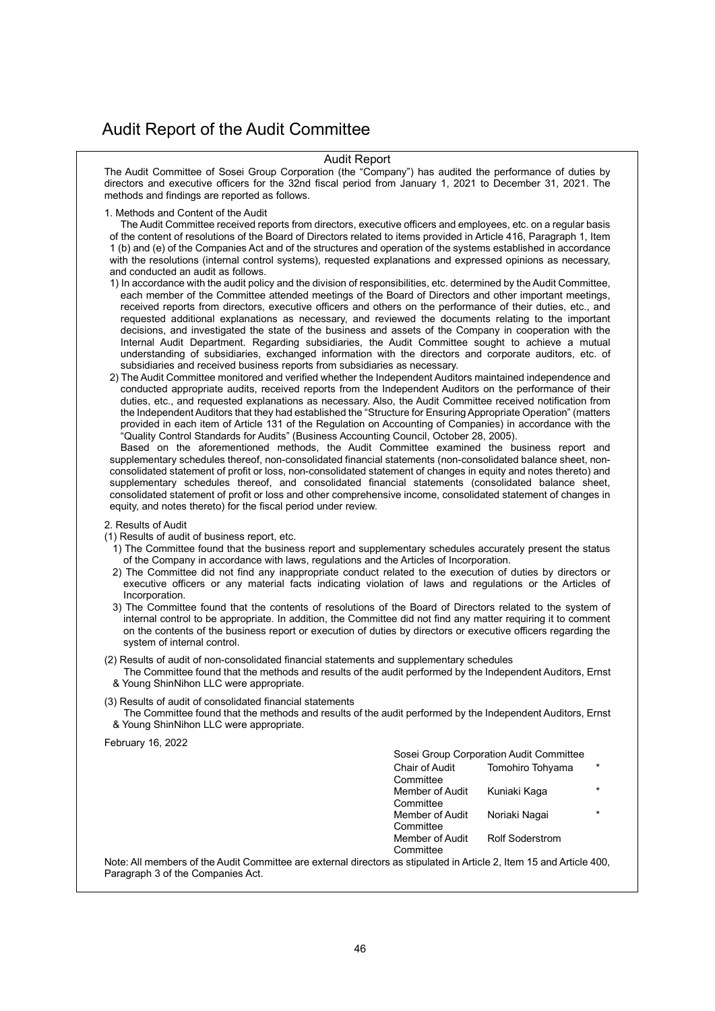# Audit Report of the Audit Committee

#### Audit Report

The Audit Committee of Sosei Group Corporation (the "Company") has audited the performance of duties by directors and executive officers for the 32nd fiscal period from January 1, 2021 to December 31, 2021. The methods and findings are reported as follows.

1. Methods and Content of the Audit

The Audit Committee received reports from directors, executive officers and employees, etc. on a regular basis of the content of resolutions of the Board of Directors related to items provided in Article 416, Paragraph 1, Item 1 (b) and (e) of the Companies Act and of the structures and operation of the systems established in accordance with the resolutions (internal control systems), requested explanations and expressed opinions as necessary, and conducted an audit as follows.

- 1) In accordance with the audit policy and the division of responsibilities, etc. determined by the Audit Committee, each member of the Committee attended meetings of the Board of Directors and other important meetings, received reports from directors, executive officers and others on the performance of their duties, etc., and requested additional explanations as necessary, and reviewed the documents relating to the important decisions, and investigated the state of the business and assets of the Company in cooperation with the Internal Audit Department. Regarding subsidiaries, the Audit Committee sought to achieve a mutual understanding of subsidiaries, exchanged information with the directors and corporate auditors, etc. of subsidiaries and received business reports from subsidiaries as necessary.
- 2) The Audit Committee monitored and verified whether the Independent Auditors maintained independence and conducted appropriate audits, received reports from the Independent Auditors on the performance of their duties, etc., and requested explanations as necessary. Also, the Audit Committee received notification from the Independent Auditors that they had established the "Structure for Ensuring Appropriate Operation" (matters provided in each item of Article 131 of the Regulation on Accounting of Companies) in accordance with the "Quality Control Standards for Audits" (Business Accounting Council, October 28, 2005).

Based on the aforementioned methods, the Audit Committee examined the business report and supplementary schedules thereof, non-consolidated financial statements (non-consolidated balance sheet, nonconsolidated statement of profit or loss, non-consolidated statement of changes in equity and notes thereto) and supplementary schedules thereof, and consolidated financial statements (consolidated balance sheet, consolidated statement of profit or loss and other comprehensive income, consolidated statement of changes in equity, and notes thereto) for the fiscal period under review.

2. Results of Audit

(1) Results of audit of business report, etc.

- 1) The Committee found that the business report and supplementary schedules accurately present the status of the Company in accordance with laws, regulations and the Articles of Incorporation.
- 2) The Committee did not find any inappropriate conduct related to the execution of duties by directors or executive officers or any material facts indicating violation of laws and regulations or the Articles of Incorporation.
- 3) The Committee found that the contents of resolutions of the Board of Directors related to the system of internal control to be appropriate. In addition, the Committee did not find any matter requiring it to comment on the contents of the business report or execution of duties by directors or executive officers regarding the system of internal control.

(2) Results of audit of non-consolidated financial statements and supplementary schedules

- The Committee found that the methods and results of the audit performed by the Independent Auditors, Ernst & Young ShinNihon LLC were appropriate.
- (3) Results of audit of consolidated financial statements
- The Committee found that the methods and results of the audit performed by the Independent Auditors, Ernst & Young ShinNihon LLC were appropriate.

February 16, 2022

Sosei Group Corporation Audit Committee

Member of Audit **Committee** 

Chair of Audit Tomohiro Tohyama \*

**Committee** Member of Audit **Committee** Kuniaki Kaga \* Member of Audit **Committee** Noriaki Nagai \*

Rolf Soderstrom

Note: All members of the Audit Committee are external directors as stipulated in Article 2, Item 15 and Article 400, Paragraph 3 of the Companies Act.